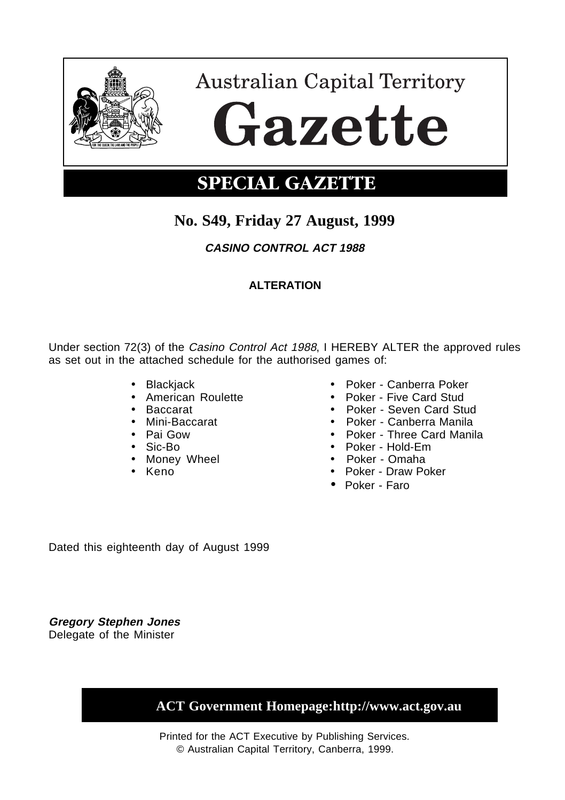

# **Australian Capital Territory** Gazette

### **SPECIAL GAZETTE**

### **No. S49, Friday 27 August, 1999**

**CASINO CONTROL ACT 1988**

### **ALTERATION**

Under section 72(3) of the Casino Control Act 1988, I HEREBY ALTER the approved rules as set out in the attached schedule for the authorised games of:

- 
- 
- 
- 
- 
- 
- 
- 
- Blackjack Poker Canberra Poker<br>• American Roulette Poker Five Card Stud
- American Roulette Poker Five Card Stud
	- Poker Seven Card Stud
- Mini-Baccarat Poker Canberra Manila
- Pai Gow Poker Three Card Manila
	- Poker Hold-Em
- Money Wheel Poker Omaha
	- Poker Draw Poker
	- Poker Faro

Dated this eighteenth day of August 1999

**Gregory Stephen Jones** Delegate of the Minister

 **ACT Government Homepage:http://www.act.gov.au**

Printed for the ACT Executive by Publishing Services. © Australian Capital Territory, Canberra, 1999.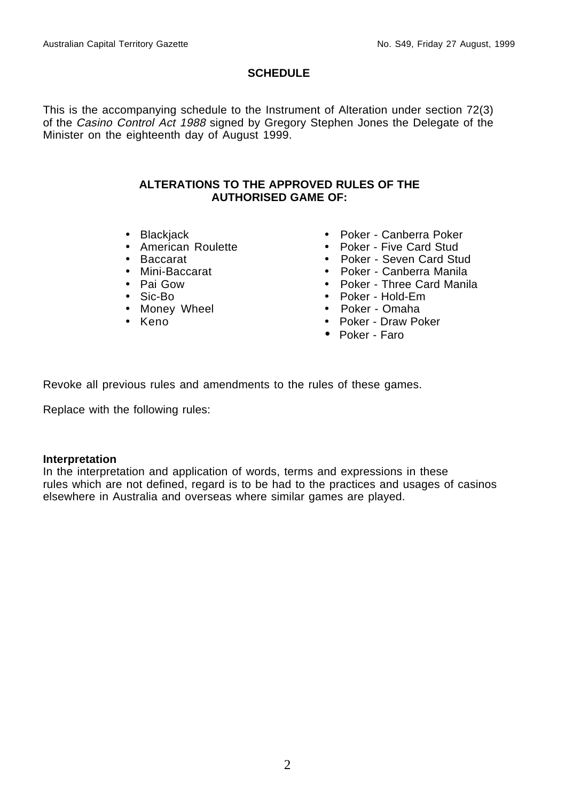#### **SCHEDULE**

This is the accompanying schedule to the Instrument of Alteration under section 72(3) of the Casino Control Act 1988 signed by Gregory Stephen Jones the Delegate of the Minister on the eighteenth day of August 1999.

#### **ALTERATIONS TO THE APPROVED RULES OF THE AUTHORISED GAME OF:**

- 
- American Roulette
- 
- 
- 
- 
- Money Wheel<br>• Keno
- 
- Blackjack Poker Canberra Poker<br>• American Roulette Poker Five Card Stud
	-
	-
- Baccarat Poker Seven Card Stud • Mini-Baccarat • Poker - Canberra Manila
	- Poker Three Card Manila
- Sic-Bo Poker Hold-Em
	-
	- Poker Draw Poker
	- Poker Faro

Revoke all previous rules and amendments to the rules of these games.

Replace with the following rules:

#### **Interpretation**

In the interpretation and application of words, terms and expressions in these rules which are not defined, regard is to be had to the practices and usages of casinos elsewhere in Australia and overseas where similar games are played.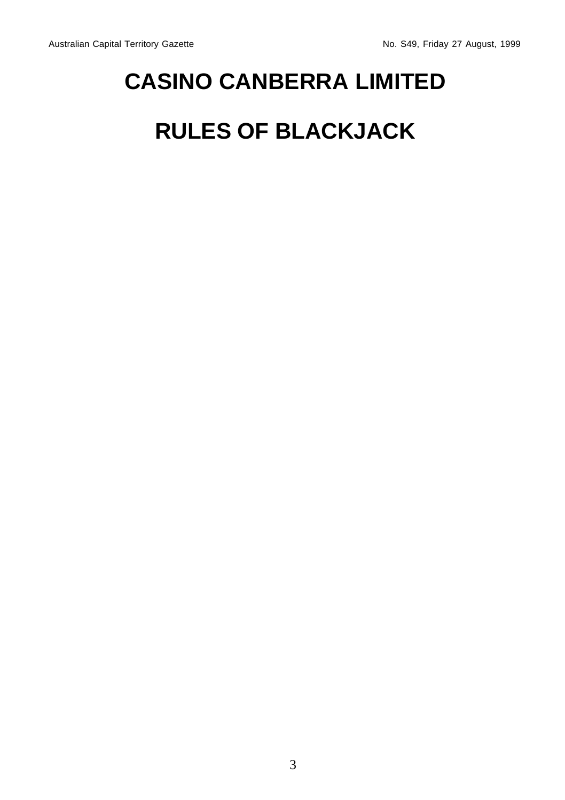# **CASINO CANBERRA LIMITED**

# **RULES OF BLACKJACK**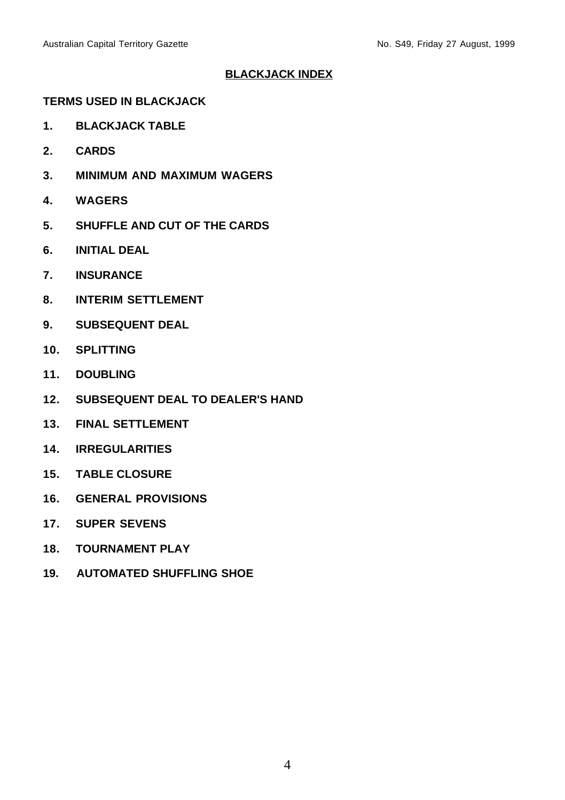#### **BLACKJACK INDEX**

#### **TERMS USED IN BLACKJACK**

- **1. BLACKJACK TABLE**
- **2. CARDS**
- **3. MINIMUM AND MAXIMUM WAGERS**
- **4. WAGERS**
- **5. SHUFFLE AND CUT OF THE CARDS**
- **6. INITIAL DEAL**
- **7. INSURANCE**
- **8. INTERIM SETTLEMENT**
- **9. SUBSEQUENT DEAL**
- **10. SPLITTING**
- **11. DOUBLING**
- **12. SUBSEQUENT DEAL TO DEALER'S HAND**
- **13. FINAL SETTLEMENT**
- **14. IRREGULARITIES**
- **15. TABLE CLOSURE**
- **16. GENERAL PROVISIONS**
- **17. SUPER SEVENS**
- **18. TOURNAMENT PLAY**
- **19. AUTOMATED SHUFFLING SHOE**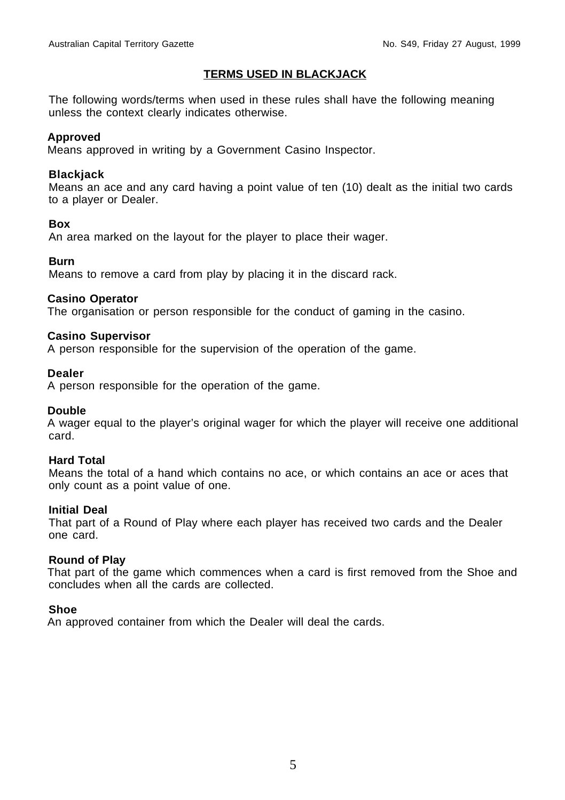#### **TERMS USED IN BLACKJACK**

The following words/terms when used in these rules shall have the following meaning unless the context clearly indicates otherwise.

#### **Approved**

Means approved in writing by a Government Casino Inspector.

#### **Blackjack**

Means an ace and any card having a point value of ten (10) dealt as the initial two cards to a player or Dealer.

#### **Box**

An area marked on the layout for the player to place their wager.

#### **Burn**

Means to remove a card from play by placing it in the discard rack.

#### **Casino Operator**

The organisation or person responsible for the conduct of gaming in the casino.

#### **Casino Supervisor**

A person responsible for the supervision of the operation of the game.

#### **Dealer**

A person responsible for the operation of the game.

#### **Double**

A wager equal to the player's original wager for which the player will receive one additional card.

#### **Hard Total**

Means the total of a hand which contains no ace, or which contains an ace or aces that only count as a point value of one.

#### **Initial Deal**

That part of a Round of Play where each player has received two cards and the Dealer one card.

#### **Round of Play**

That part of the game which commences when a card is first removed from the Shoe and concludes when all the cards are collected.

#### **Shoe**

An approved container from which the Dealer will deal the cards.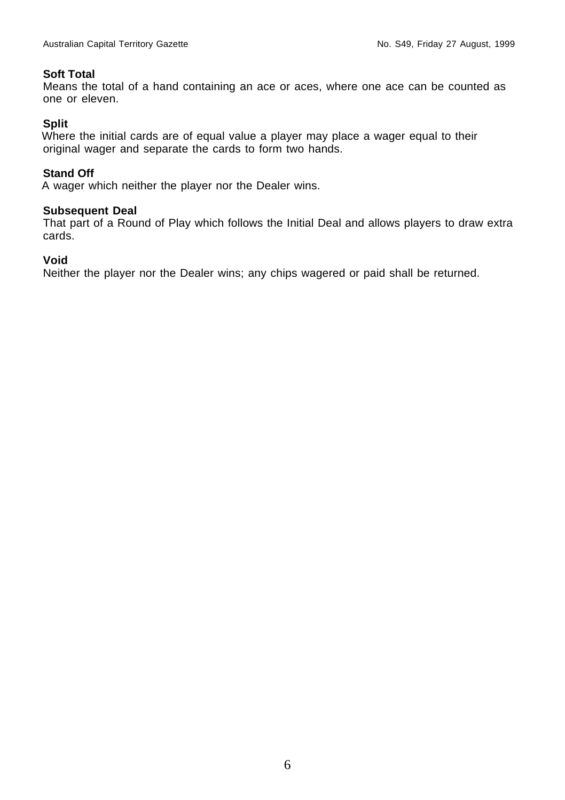#### **Soft Total**

Means the total of a hand containing an ace or aces, where one ace can be counted as one or eleven.

#### **Split**

Where the initial cards are of equal value a player may place a wager equal to their original wager and separate the cards to form two hands.

#### **Stand Off**

A wager which neither the player nor the Dealer wins.

#### **Subsequent Deal**

That part of a Round of Play which follows the Initial Deal and allows players to draw extra cards.

#### **Void**

Neither the player nor the Dealer wins; any chips wagered or paid shall be returned.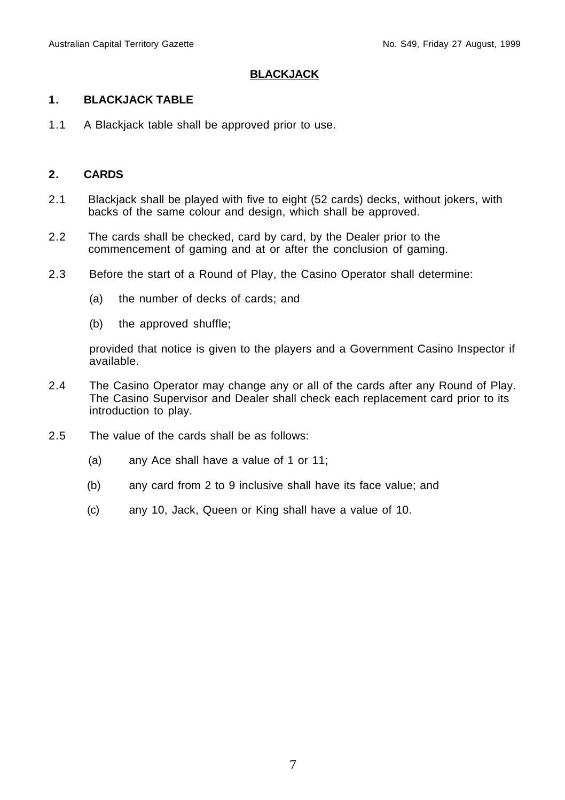#### **BLACKJACK**

#### **1. BLACKJACK TABLE**

1.1 A Blackjack table shall be approved prior to use.

#### **2. CARDS**

- 2.1 Blackjack shall be played with five to eight (52 cards) decks, without jokers, with backs of the same colour and design, which shall be approved.
- 2.2 The cards shall be checked, card by card, by the Dealer prior to the commencement of gaming and at or after the conclusion of gaming.
- 2.3 Before the start of a Round of Play, the Casino Operator shall determine:
	- (a) the number of decks of cards; and
	- (b) the approved shuffle;

provided that notice is given to the players and a Government Casino Inspector if available.

- 2.4 The Casino Operator may change any or all of the cards after any Round of Play. The Casino Supervisor and Dealer shall check each replacement card prior to its introduction to play.
- 2.5 The value of the cards shall be as follows:
	- (a) any Ace shall have a value of 1 or 11;
	- (b) any card from 2 to 9 inclusive shall have its face value; and
	- (c) any 10, Jack, Queen or King shall have a value of 10.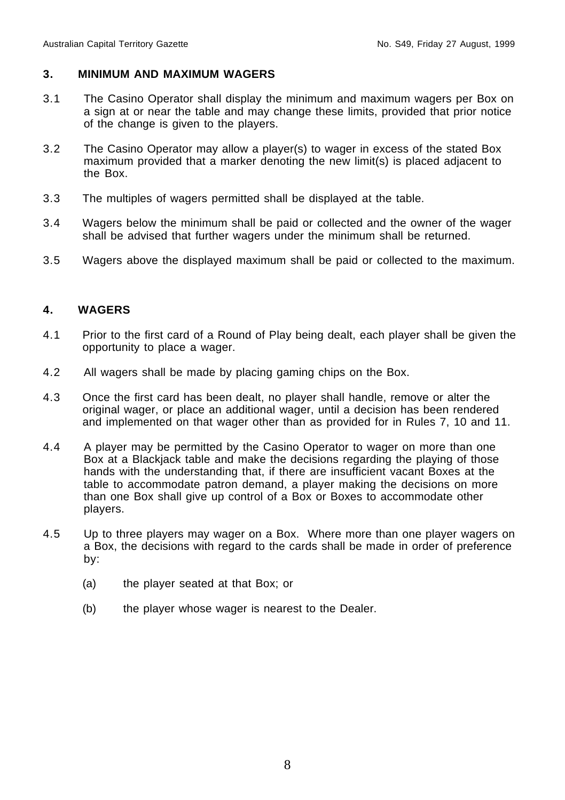#### **3. MINIMUM AND MAXIMUM WAGERS**

- 3.1 The Casino Operator shall display the minimum and maximum wagers per Box on a sign at or near the table and may change these limits, provided that prior notice of the change is given to the players.
- 3.2 The Casino Operator may allow a player(s) to wager in excess of the stated Box maximum provided that a marker denoting the new limit(s) is placed adjacent to the Box.
- 3.3 The multiples of wagers permitted shall be displayed at the table.
- 3.4 Wagers below the minimum shall be paid or collected and the owner of the wager shall be advised that further wagers under the minimum shall be returned.
- 3.5 Wagers above the displayed maximum shall be paid or collected to the maximum.

#### **4. WAGERS**

- 4.1 Prior to the first card of a Round of Play being dealt, each player shall be given the opportunity to place a wager.
- 4.2 All wagers shall be made by placing gaming chips on the Box.
- 4.3 Once the first card has been dealt, no player shall handle, remove or alter the original wager, or place an additional wager, until a decision has been rendered and implemented on that wager other than as provided for in Rules 7, 10 and 11.
- 4.4 A player may be permitted by the Casino Operator to wager on more than one Box at a Blackjack table and make the decisions regarding the playing of those hands with the understanding that, if there are insufficient vacant Boxes at the table to accommodate patron demand, a player making the decisions on more than one Box shall give up control of a Box or Boxes to accommodate other players.
- 4.5 Up to three players may wager on a Box. Where more than one player wagers on a Box, the decisions with regard to the cards shall be made in order of preference by:
	- (a) the player seated at that Box; or
	- (b) the player whose wager is nearest to the Dealer.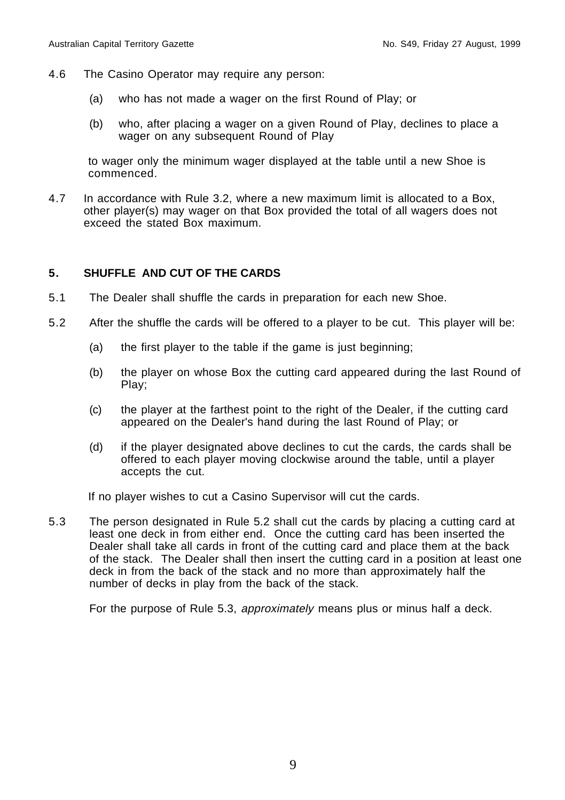- 4.6 The Casino Operator may require any person:
	- (a) who has not made a wager on the first Round of Play; or
	- (b) who, after placing a wager on a given Round of Play, declines to place a wager on any subsequent Round of Play

to wager only the minimum wager displayed at the table until a new Shoe is commenced.

4.7 In accordance with Rule 3.2, where a new maximum limit is allocated to a Box, other player(s) may wager on that Box provided the total of all wagers does not exceed the stated Box maximum.

#### **5. SHUFFLE AND CUT OF THE CARDS**

- 5.1 The Dealer shall shuffle the cards in preparation for each new Shoe.
- 5.2 After the shuffle the cards will be offered to a player to be cut. This player will be:
	- (a) the first player to the table if the game is just beginning;
	- (b) the player on whose Box the cutting card appeared during the last Round of Play;
	- (c) the player at the farthest point to the right of the Dealer, if the cutting card appeared on the Dealer's hand during the last Round of Play; or
	- (d) if the player designated above declines to cut the cards, the cards shall be offered to each player moving clockwise around the table, until a player accepts the cut.

If no player wishes to cut a Casino Supervisor will cut the cards.

5.3 The person designated in Rule 5.2 shall cut the cards by placing a cutting card at least one deck in from either end. Once the cutting card has been inserted the Dealer shall take all cards in front of the cutting card and place them at the back of the stack. The Dealer shall then insert the cutting card in a position at least one deck in from the back of the stack and no more than approximately half the number of decks in play from the back of the stack.

For the purpose of Rule 5.3, approximately means plus or minus half a deck.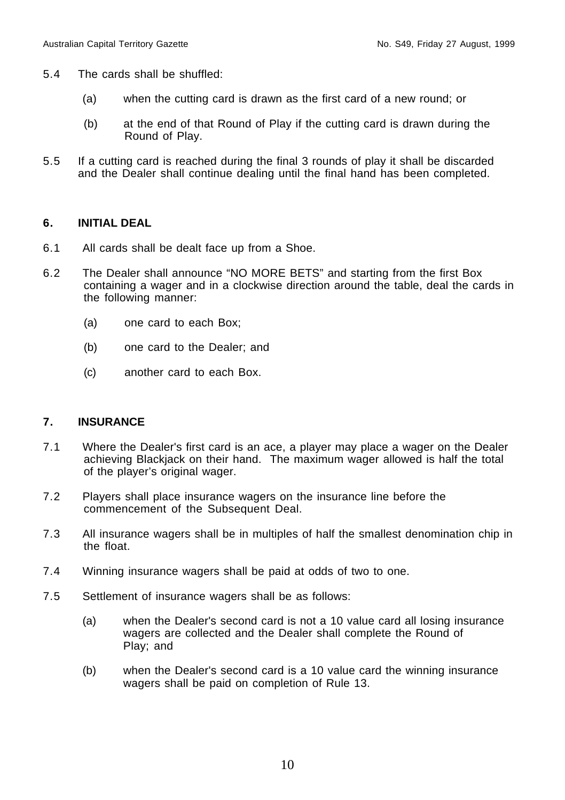- 5.4 The cards shall be shuffled:
	- (a) when the cutting card is drawn as the first card of a new round; or
	- (b) at the end of that Round of Play if the cutting card is drawn during the Round of Play.
- 5.5 If a cutting card is reached during the final 3 rounds of play it shall be discarded and the Dealer shall continue dealing until the final hand has been completed.

#### **6. INITIAL DEAL**

- 6.1 All cards shall be dealt face up from a Shoe.
- 6.2 The Dealer shall announce "NO MORE BETS" and starting from the first Box containing a wager and in a clockwise direction around the table, deal the cards in the following manner:
	- (a) one card to each Box;
	- (b) one card to the Dealer; and
	- (c) another card to each Box.

#### **7. INSURANCE**

- 7.1 Where the Dealer's first card is an ace, a player may place a wager on the Dealer achieving Blackjack on their hand. The maximum wager allowed is half the total of the player's original wager.
- 7.2 Players shall place insurance wagers on the insurance line before the commencement of the Subsequent Deal.
- 7.3 All insurance wagers shall be in multiples of half the smallest denomination chip in the float.
- 7.4 Winning insurance wagers shall be paid at odds of two to one.
- 7.5 Settlement of insurance wagers shall be as follows:
	- (a) when the Dealer's second card is not a 10 value card all losing insurance wagers are collected and the Dealer shall complete the Round of Play; and
	- (b) when the Dealer's second card is a 10 value card the winning insurance wagers shall be paid on completion of Rule 13.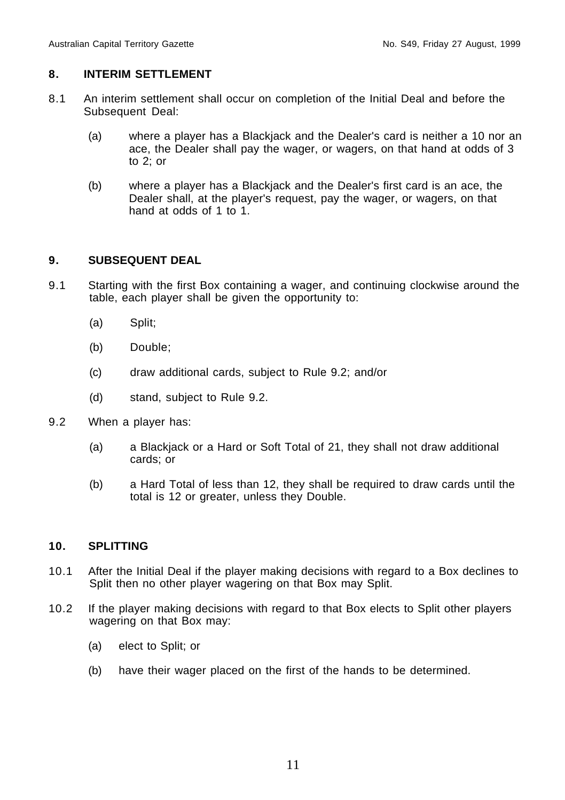#### **8. INTERIM SETTLEMENT**

- 8.1 An interim settlement shall occur on completion of the Initial Deal and before the Subsequent Deal:
	- (a) where a player has a Blackjack and the Dealer's card is neither a 10 nor an ace, the Dealer shall pay the wager, or wagers, on that hand at odds of 3 to 2; or
	- (b) where a player has a Blackjack and the Dealer's first card is an ace, the Dealer shall, at the player's request, pay the wager, or wagers, on that hand at odds of 1 to 1.

#### **9. SUBSEQUENT DEAL**

- 9.1 Starting with the first Box containing a wager, and continuing clockwise around the table, each player shall be given the opportunity to:
	- (a) Split;
	- (b) Double;
	- (c) draw additional cards, subject to Rule 9.2; and/or
	- (d) stand, subject to Rule 9.2.
- 9.2 When a player has:
	- (a) a Blackjack or a Hard or Soft Total of 21, they shall not draw additional cards; or
	- (b) a Hard Total of less than 12, they shall be required to draw cards until the total is 12 or greater, unless they Double.

#### **10. SPLITTING**

- 10.1 After the Initial Deal if the player making decisions with regard to a Box declines to Split then no other player wagering on that Box may Split.
- 10.2 If the player making decisions with regard to that Box elects to Split other players wagering on that Box may:
	- (a) elect to Split; or
	- (b) have their wager placed on the first of the hands to be determined.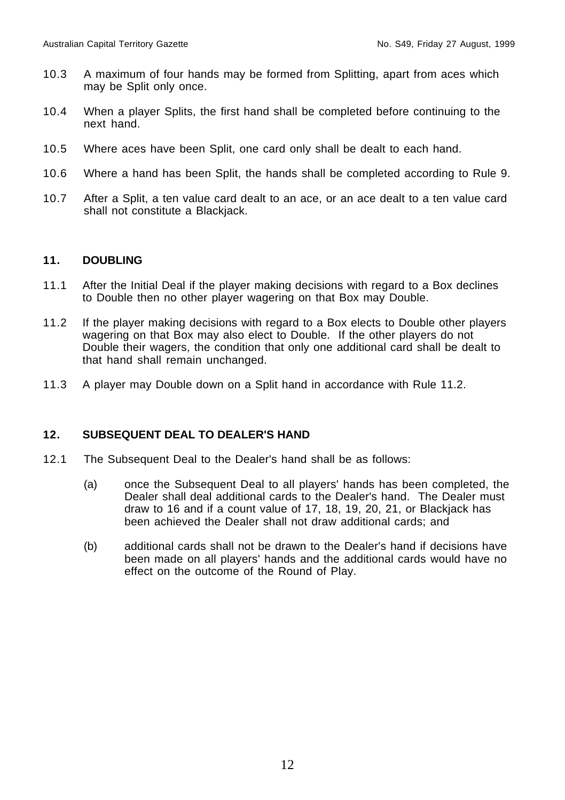- 10.3 A maximum of four hands may be formed from Splitting, apart from aces which may be Split only once.
- 10.4 When a player Splits, the first hand shall be completed before continuing to the next hand.
- 10.5 Where aces have been Split, one card only shall be dealt to each hand.
- 10.6 Where a hand has been Split, the hands shall be completed according to Rule 9.
- 10.7 After a Split, a ten value card dealt to an ace, or an ace dealt to a ten value card shall not constitute a Blackjack.

#### **11. DOUBLING**

- 11.1 After the Initial Deal if the player making decisions with regard to a Box declines to Double then no other player wagering on that Box may Double.
- 11.2 If the player making decisions with regard to a Box elects to Double other players wagering on that Box may also elect to Double. If the other players do not Double their wagers, the condition that only one additional card shall be dealt to that hand shall remain unchanged.
- 11.3 A player may Double down on a Split hand in accordance with Rule 11.2.

#### **12. SUBSEQUENT DEAL TO DEALER'S HAND**

- 12.1 The Subsequent Deal to the Dealer's hand shall be as follows:
	- (a) once the Subsequent Deal to all players' hands has been completed, the Dealer shall deal additional cards to the Dealer's hand. The Dealer must draw to 16 and if a count value of 17, 18, 19, 20, 21, or Blackjack has been achieved the Dealer shall not draw additional cards; and
	- (b) additional cards shall not be drawn to the Dealer's hand if decisions have been made on all players' hands and the additional cards would have no effect on the outcome of the Round of Play.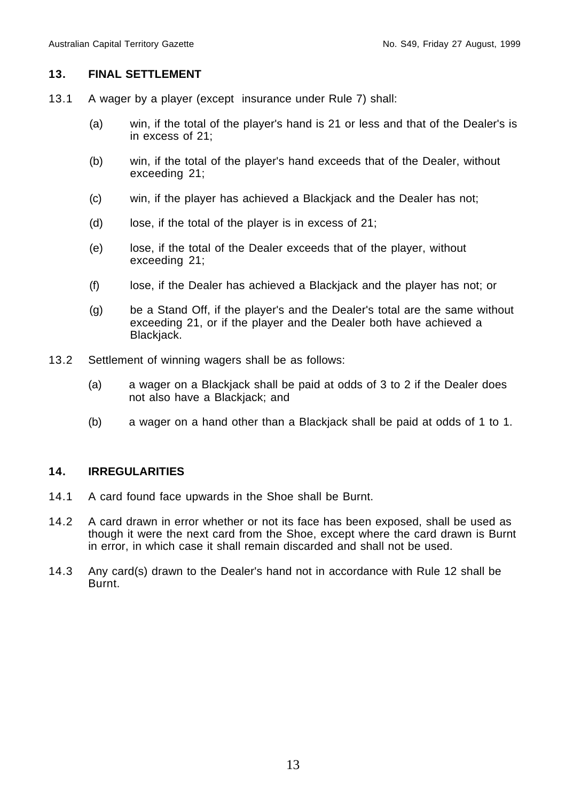#### **13. FINAL SETTLEMENT**

- 13.1 A wager by a player (except insurance under Rule 7) shall:
	- (a) win, if the total of the player's hand is 21 or less and that of the Dealer's is in excess of 21;
	- (b) win, if the total of the player's hand exceeds that of the Dealer, without exceeding 21;
	- (c) win, if the player has achieved a Blackjack and the Dealer has not;
	- (d) lose, if the total of the player is in excess of 21;
	- (e) lose, if the total of the Dealer exceeds that of the player, without exceeding 21;
	- (f) lose, if the Dealer has achieved a Blackjack and the player has not; or
	- (g) be a Stand Off, if the player's and the Dealer's total are the same without exceeding 21, or if the player and the Dealer both have achieved a Blackjack.
- 13.2 Settlement of winning wagers shall be as follows:
	- (a) a wager on a Blackjack shall be paid at odds of 3 to 2 if the Dealer does not also have a Blackjack; and
	- (b) a wager on a hand other than a Blackjack shall be paid at odds of 1 to 1.

#### **14. IRREGULARITIES**

- 14.1 A card found face upwards in the Shoe shall be Burnt.
- 14.2 A card drawn in error whether or not its face has been exposed, shall be used as though it were the next card from the Shoe, except where the card drawn is Burnt in error, in which case it shall remain discarded and shall not be used.
- 14.3 Any card(s) drawn to the Dealer's hand not in accordance with Rule 12 shall be Burnt.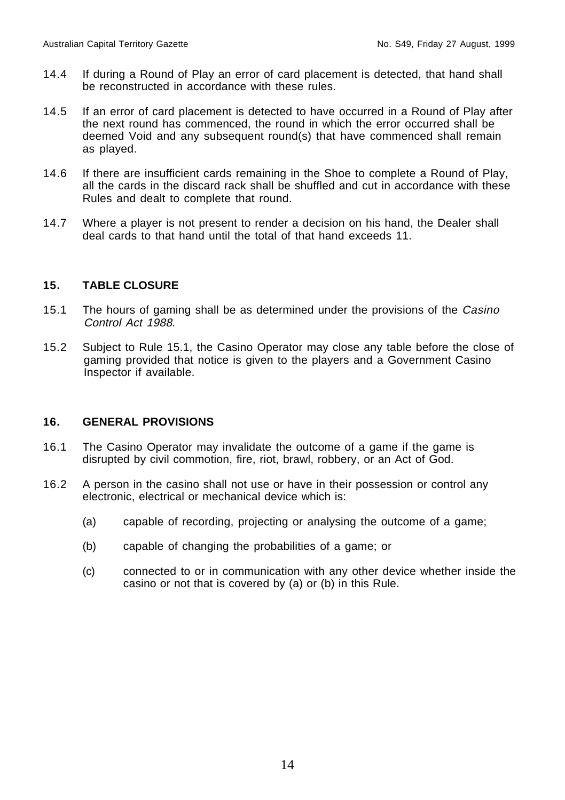- 14.4 If during a Round of Play an error of card placement is detected, that hand shall be reconstructed in accordance with these rules.
- 14.5 If an error of card placement is detected to have occurred in a Round of Play after the next round has commenced, the round in which the error occurred shall be deemed Void and any subsequent round(s) that have commenced shall remain as played.
- 14.6 If there are insufficient cards remaining in the Shoe to complete a Round of Play, all the cards in the discard rack shall be shuffled and cut in accordance with these Rules and dealt to complete that round.
- 14.7 Where a player is not present to render a decision on his hand, the Dealer shall deal cards to that hand until the total of that hand exceeds 11.

#### **15. TABLE CLOSURE**

- 15.1 The hours of gaming shall be as determined under the provisions of the Casino Control Act 1988.
- 15.2 Subject to Rule 15.1, the Casino Operator may close any table before the close of gaming provided that notice is given to the players and a Government Casino Inspector if available.

#### **16. GENERAL PROVISIONS**

- 16.1 The Casino Operator may invalidate the outcome of a game if the game is disrupted by civil commotion, fire, riot, brawl, robbery, or an Act of God.
- 16.2 A person in the casino shall not use or have in their possession or control any electronic, electrical or mechanical device which is:
	- (a) capable of recording, projecting or analysing the outcome of a game;
	- (b) capable of changing the probabilities of a game; or
	- (c) connected to or in communication with any other device whether inside the casino or not that is covered by (a) or (b) in this Rule.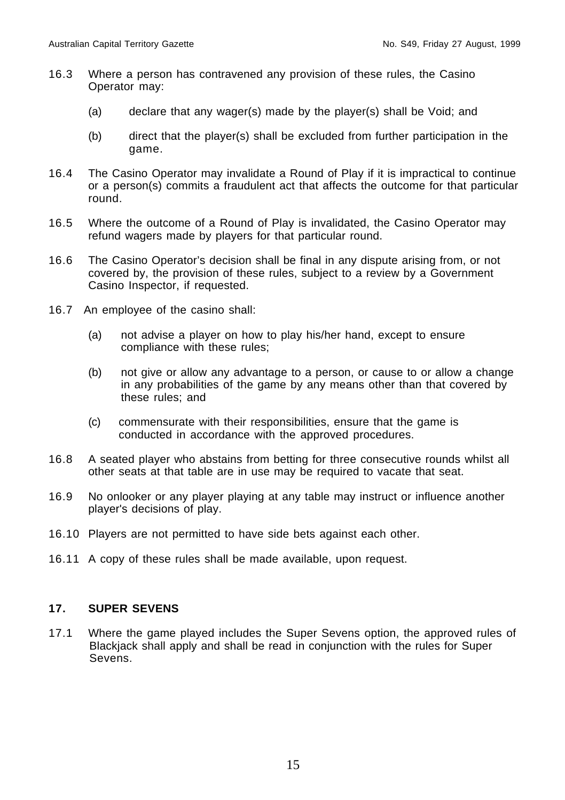- 16.3 Where a person has contravened any provision of these rules, the Casino Operator may:
	- (a) declare that any wager(s) made by the player(s) shall be Void; and
	- (b) direct that the player(s) shall be excluded from further participation in the game.
- 16.4 The Casino Operator may invalidate a Round of Play if it is impractical to continue or a person(s) commits a fraudulent act that affects the outcome for that particular round.
- 16.5 Where the outcome of a Round of Play is invalidated, the Casino Operator may refund wagers made by players for that particular round.
- 16.6 The Casino Operator's decision shall be final in any dispute arising from, or not covered by, the provision of these rules, subject to a review by a Government Casino Inspector, if requested.
- 16.7 An employee of the casino shall:
	- (a) not advise a player on how to play his/her hand, except to ensure compliance with these rules;
	- (b) not give or allow any advantage to a person, or cause to or allow a change in any probabilities of the game by any means other than that covered by these rules; and
	- (c) commensurate with their responsibilities, ensure that the game is conducted in accordance with the approved procedures.
- 16.8 A seated player who abstains from betting for three consecutive rounds whilst all other seats at that table are in use may be required to vacate that seat.
- 16.9 No onlooker or any player playing at any table may instruct or influence another player's decisions of play.
- 16.10 Players are not permitted to have side bets against each other.
- 16.11 A copy of these rules shall be made available, upon request.

#### **17. SUPER SEVENS**

17.1 Where the game played includes the Super Sevens option, the approved rules of Blackjack shall apply and shall be read in conjunction with the rules for Super Sevens.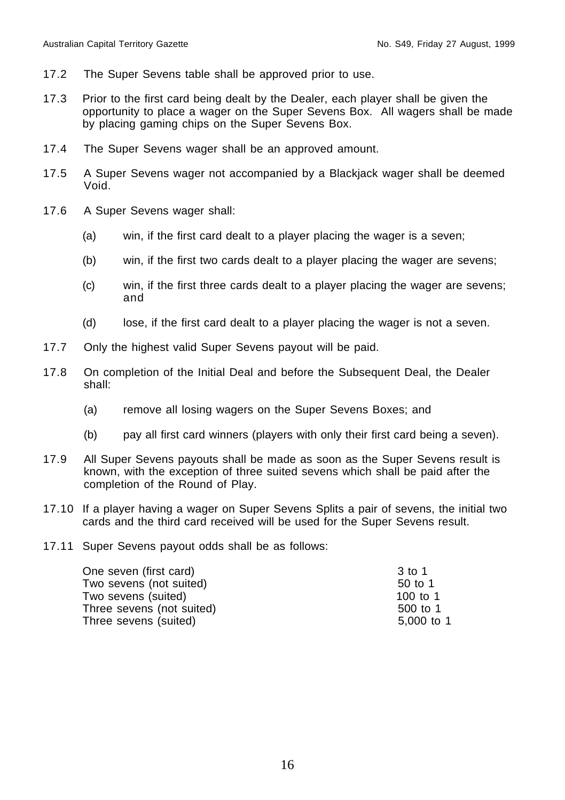- 17.2 The Super Sevens table shall be approved prior to use.
- 17.3 Prior to the first card being dealt by the Dealer, each player shall be given the opportunity to place a wager on the Super Sevens Box. All wagers shall be made by placing gaming chips on the Super Sevens Box.
- 17.4 The Super Sevens wager shall be an approved amount.
- 17.5 A Super Sevens wager not accompanied by a Blackjack wager shall be deemed Void.
- 17.6 A Super Sevens wager shall:
	- (a) win, if the first card dealt to a player placing the wager is a seven;
	- (b) win, if the first two cards dealt to a player placing the wager are sevens;
	- (c) win, if the first three cards dealt to a player placing the wager are sevens; and
	- (d) lose, if the first card dealt to a player placing the wager is not a seven.
- 17.7 Only the highest valid Super Sevens payout will be paid.
- 17.8 On completion of the Initial Deal and before the Subsequent Deal, the Dealer shall:
	- (a) remove all losing wagers on the Super Sevens Boxes; and
	- (b) pay all first card winners (players with only their first card being a seven).
- 17.9 All Super Sevens payouts shall be made as soon as the Super Sevens result is known, with the exception of three suited sevens which shall be paid after the completion of the Round of Play.
- 17.10 If a player having a wager on Super Sevens Splits a pair of sevens, the initial two cards and the third card received will be used for the Super Sevens result.
- 17.11 Super Sevens payout odds shall be as follows:

| One seven (first card)    | 3 to 1     |
|---------------------------|------------|
| Two sevens (not suited)   | 50 to 1    |
| Two sevens (suited)       | 100 to 1   |
| Three sevens (not suited) | 500 to 1   |
| Three sevens (suited)     | 5,000 to 1 |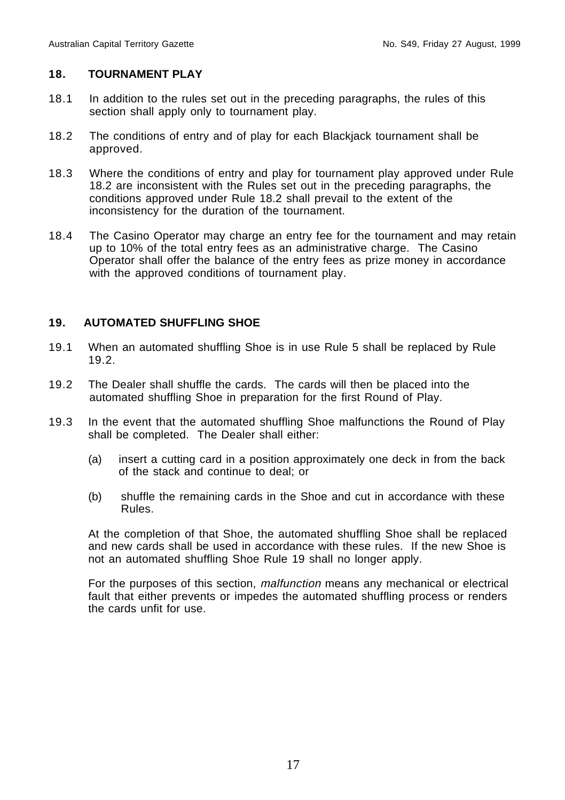#### **18. TOURNAMENT PLAY**

- 18.1 In addition to the rules set out in the preceding paragraphs, the rules of this section shall apply only to tournament play.
- 18.2 The conditions of entry and of play for each Blackjack tournament shall be approved.
- 18.3 Where the conditions of entry and play for tournament play approved under Rule 18.2 are inconsistent with the Rules set out in the preceding paragraphs, the conditions approved under Rule 18.2 shall prevail to the extent of the inconsistency for the duration of the tournament.
- 18.4 The Casino Operator may charge an entry fee for the tournament and may retain up to 10% of the total entry fees as an administrative charge. The Casino Operator shall offer the balance of the entry fees as prize money in accordance with the approved conditions of tournament play.

#### **19. AUTOMATED SHUFFLING SHOE**

- 19.1 When an automated shuffling Shoe is in use Rule 5 shall be replaced by Rule 19.2.
- 19.2 The Dealer shall shuffle the cards. The cards will then be placed into the automated shuffling Shoe in preparation for the first Round of Play.
- 19.3 In the event that the automated shuffling Shoe malfunctions the Round of Play shall be completed. The Dealer shall either:
	- (a) insert a cutting card in a position approximately one deck in from the back of the stack and continue to deal; or
	- (b) shuffle the remaining cards in the Shoe and cut in accordance with these Rules.

At the completion of that Shoe, the automated shuffling Shoe shall be replaced and new cards shall be used in accordance with these rules. If the new Shoe is not an automated shuffling Shoe Rule 19 shall no longer apply.

For the purposes of this section, malfunction means any mechanical or electrical fault that either prevents or impedes the automated shuffling process or renders the cards unfit for use.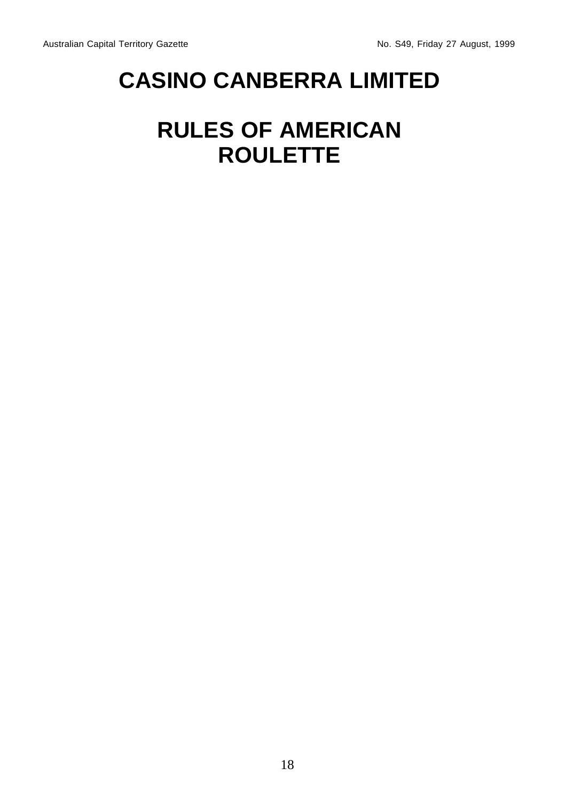## **CASINO CANBERRA LIMITED**

### **RULES OF AMERICAN ROULETTE**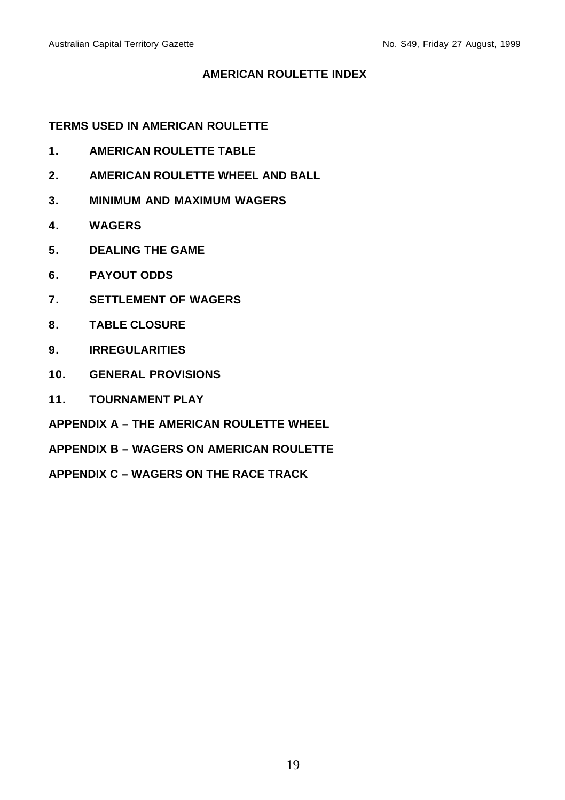#### **AMERICAN ROULETTE INDEX**

**TERMS USED IN AMERICAN ROULETTE**

- **1. AMERICAN ROULETTE TABLE**
- **2. AMERICAN ROULETTE WHEEL AND BALL**
- **3. MINIMUM AND MAXIMUM WAGERS**
- **4. WAGERS**
- **5. DEALING THE GAME**
- **6. PAYOUT ODDS**
- **7. SETTLEMENT OF WAGERS**
- **8. TABLE CLOSURE**
- **9. IRREGULARITIES**
- **10. GENERAL PROVISIONS**
- **11. TOURNAMENT PLAY**

**APPENDIX A – THE AMERICAN ROULETTE WHEEL**

**APPENDIX B – WAGERS ON AMERICAN ROULETTE**

**APPENDIX C – WAGERS ON THE RACE TRACK**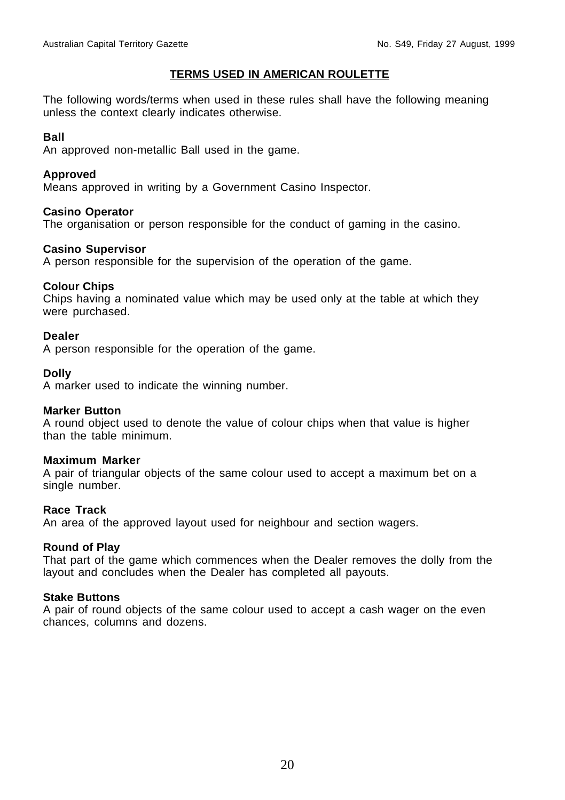#### **TERMS USED IN AMERICAN ROULETTE**

The following words/terms when used in these rules shall have the following meaning unless the context clearly indicates otherwise.

#### **Ball**

An approved non-metallic Ball used in the game.

#### **Approved**

Means approved in writing by a Government Casino Inspector.

#### **Casino Operator**

The organisation or person responsible for the conduct of gaming in the casino.

#### **Casino Supervisor**

A person responsible for the supervision of the operation of the game.

#### **Colour Chips**

Chips having a nominated value which may be used only at the table at which they were purchased.

#### **Dealer**

A person responsible for the operation of the game.

#### **Dolly**

A marker used to indicate the winning number.

#### **Marker Button**

A round object used to denote the value of colour chips when that value is higher than the table minimum.

#### **Maximum Marker**

A pair of triangular objects of the same colour used to accept a maximum bet on a single number.

#### **Race Track**

An area of the approved layout used for neighbour and section wagers.

#### **Round of Play**

That part of the game which commences when the Dealer removes the dolly from the layout and concludes when the Dealer has completed all payouts.

#### **Stake Buttons**

A pair of round objects of the same colour used to accept a cash wager on the even chances, columns and dozens.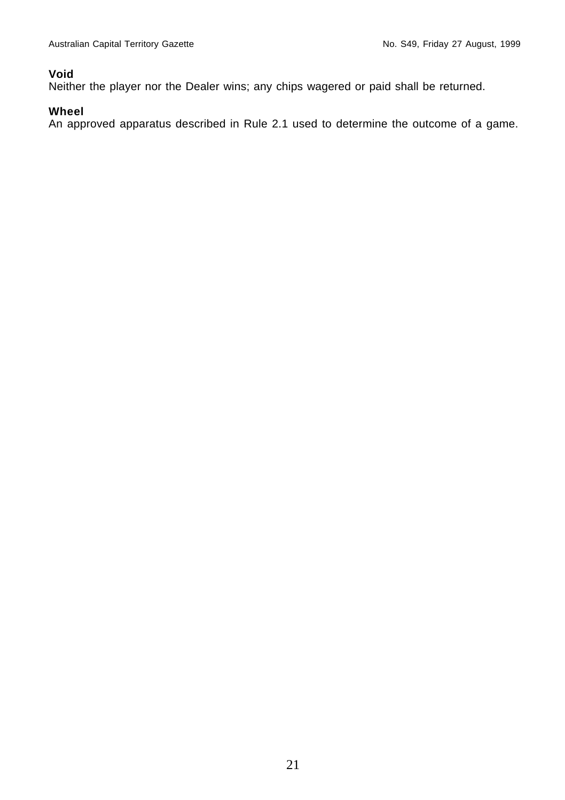#### **Void**

Neither the player nor the Dealer wins; any chips wagered or paid shall be returned.

#### **Wheel**

An approved apparatus described in Rule 2.1 used to determine the outcome of a game.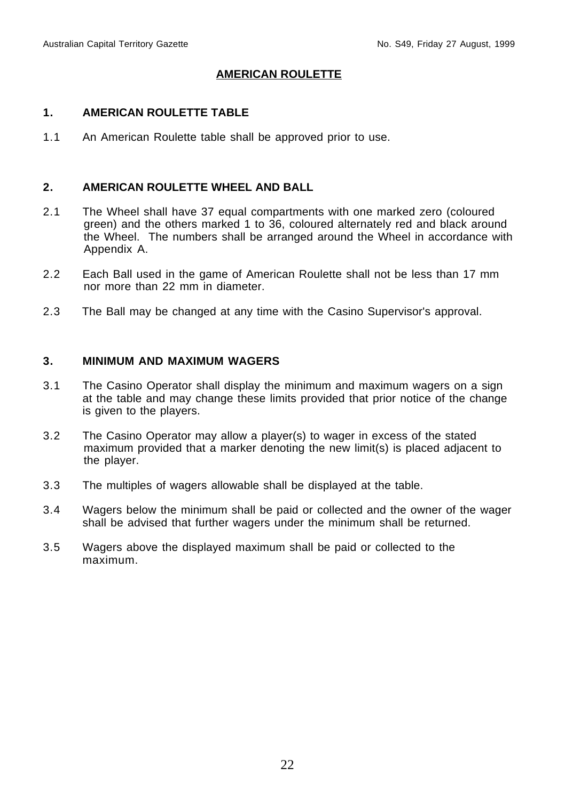#### **AMERICAN ROULETTE**

#### **1. AMERICAN ROULETTE TABLE**

1.1 An American Roulette table shall be approved prior to use.

#### **2. AMERICAN ROULETTE WHEEL AND BALL**

- 2.1 The Wheel shall have 37 equal compartments with one marked zero (coloured green) and the others marked 1 to 36, coloured alternately red and black around the Wheel. The numbers shall be arranged around the Wheel in accordance with Appendix A.
- 2.2 Each Ball used in the game of American Roulette shall not be less than 17 mm nor more than 22 mm in diameter.
- 2.3 The Ball may be changed at any time with the Casino Supervisor's approval.

#### **3. MINIMUM AND MAXIMUM WAGERS**

- 3.1 The Casino Operator shall display the minimum and maximum wagers on a sign at the table and may change these limits provided that prior notice of the change is given to the players.
- 3.2 The Casino Operator may allow a player(s) to wager in excess of the stated maximum provided that a marker denoting the new limit(s) is placed adjacent to the player.
- 3.3 The multiples of wagers allowable shall be displayed at the table.
- 3.4 Wagers below the minimum shall be paid or collected and the owner of the wager shall be advised that further wagers under the minimum shall be returned.
- 3.5 Wagers above the displayed maximum shall be paid or collected to the maximum.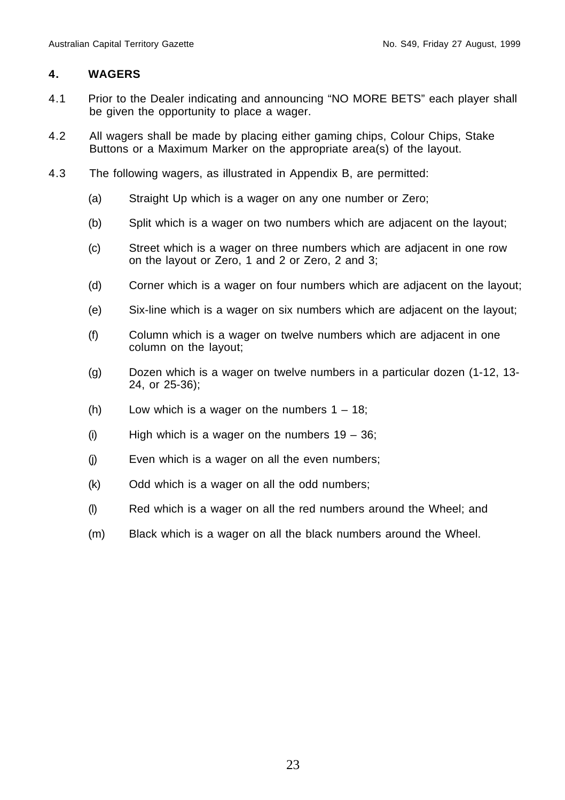#### **4. WAGERS**

- 4.1 Prior to the Dealer indicating and announcing "NO MORE BETS" each player shall be given the opportunity to place a wager.
- 4.2 All wagers shall be made by placing either gaming chips, Colour Chips, Stake Buttons or a Maximum Marker on the appropriate area(s) of the layout.
- 4.3 The following wagers, as illustrated in Appendix B, are permitted:
	- (a) Straight Up which is a wager on any one number or Zero;
	- (b) Split which is a wager on two numbers which are adjacent on the layout;
	- (c) Street which is a wager on three numbers which are adjacent in one row on the layout or Zero, 1 and 2 or Zero, 2 and 3;
	- (d) Corner which is a wager on four numbers which are adjacent on the layout;
	- (e) Six-line which is a wager on six numbers which are adjacent on the layout;
	- (f) Column which is a wager on twelve numbers which are adjacent in one column on the layout;
	- (g) Dozen which is a wager on twelve numbers in a particular dozen (1-12, 13- 24, or 25-36);
	- (h) Low which is a wager on the numbers  $1 18$ ;
	- (i) High which is a wager on the numbers  $19 36$ ;
	- (j) Even which is a wager on all the even numbers;
	- (k) Odd which is a wager on all the odd numbers;
	- (l) Red which is a wager on all the red numbers around the Wheel; and
	- (m) Black which is a wager on all the black numbers around the Wheel.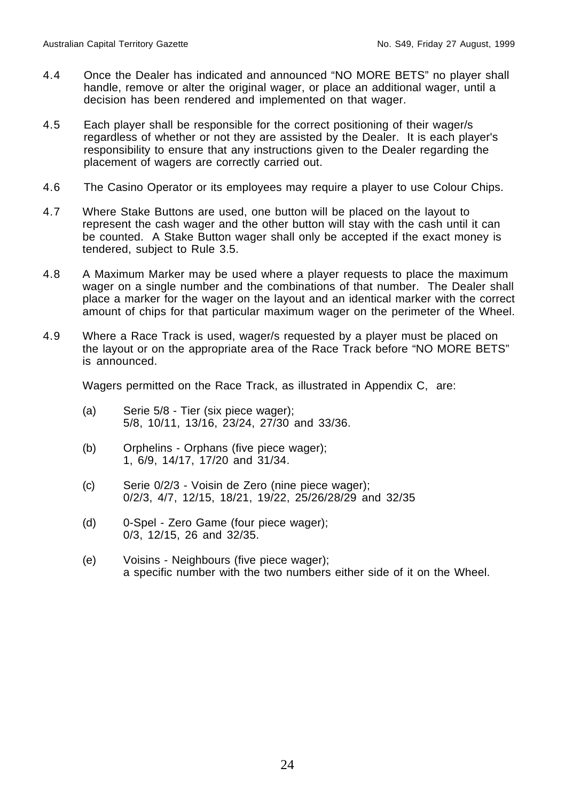- 4.4 Once the Dealer has indicated and announced "NO MORE BETS" no player shall handle, remove or alter the original wager, or place an additional wager, until a decision has been rendered and implemented on that wager.
- 4.5 Each player shall be responsible for the correct positioning of their wager/s regardless of whether or not they are assisted by the Dealer. It is each player's responsibility to ensure that any instructions given to the Dealer regarding the placement of wagers are correctly carried out.
- 4.6 The Casino Operator or its employees may require a player to use Colour Chips.
- 4.7 Where Stake Buttons are used, one button will be placed on the layout to represent the cash wager and the other button will stay with the cash until it can be counted. A Stake Button wager shall only be accepted if the exact money is tendered, subject to Rule 3.5.
- 4.8 A Maximum Marker may be used where a player requests to place the maximum wager on a single number and the combinations of that number. The Dealer shall place a marker for the wager on the layout and an identical marker with the correct amount of chips for that particular maximum wager on the perimeter of the Wheel.
- 4.9 Where a Race Track is used, wager/s requested by a player must be placed on the layout or on the appropriate area of the Race Track before "NO MORE BETS" is announced.

Wagers permitted on the Race Track, as illustrated in Appendix C, are:

- (a) Serie 5/8 Tier (six piece wager); 5/8, 10/11, 13/16, 23/24, 27/30 and 33/36.
- (b) Orphelins Orphans (five piece wager); 1, 6/9, 14/17, 17/20 and 31/34.
- (c) Serie 0/2/3 Voisin de Zero (nine piece wager); 0/2/3, 4/7, 12/15, 18/21, 19/22, 25/26/28/29 and 32/35
- (d) 0-Spel Zero Game (four piece wager); 0/3, 12/15, 26 and 32/35.
- (e) Voisins Neighbours (five piece wager); a specific number with the two numbers either side of it on the Wheel.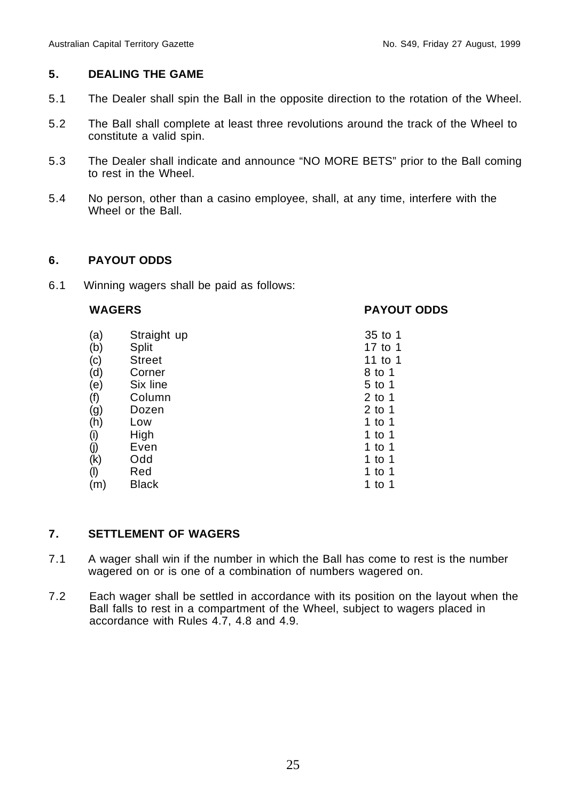#### **5. DEALING THE GAME**

- 5.1 The Dealer shall spin the Ball in the opposite direction to the rotation of the Wheel.
- 5.2 The Ball shall complete at least three revolutions around the track of the Wheel to constitute a valid spin.
- 5.3 The Dealer shall indicate and announce "NO MORE BETS" prior to the Ball coming to rest in the Wheel.
- 5.4 No person, other than a casino employee, shall, at any time, interfere with the Wheel or the Ball.

#### **6. PAYOUT ODDS**

6.1 Winning wagers shall be paid as follows:

#### **WAGERS PAYOUT ODDS**

| (a)       | Straight up   | 35 to 1  |
|-----------|---------------|----------|
| (b)       | Split         | 17 to 1  |
| (c)       | <b>Street</b> | 11 to 1  |
| (d)       | Corner        | 8 to 1   |
| (e)       | Six line      | 5 to 1   |
| (f)       | Column        | $2$ to 1 |
| (g)       | Dozen         | $2$ to 1 |
| (h)       | Low           | 1 to 1   |
| (i)       | High          | 1 to 1   |
| (j)       | Even          | 1 to 1   |
| (k)       | Odd           | 1 to 1   |
| $($ l $)$ | Red           | 1 to 1   |
| (m)       | Black         | 1 to 1   |

#### **7. SETTLEMENT OF WAGERS**

- 7.1 A wager shall win if the number in which the Ball has come to rest is the number wagered on or is one of a combination of numbers wagered on.
- 7.2 Each wager shall be settled in accordance with its position on the layout when the Ball falls to rest in a compartment of the Wheel, subject to wagers placed in accordance with Rules 4.7, 4.8 and 4.9.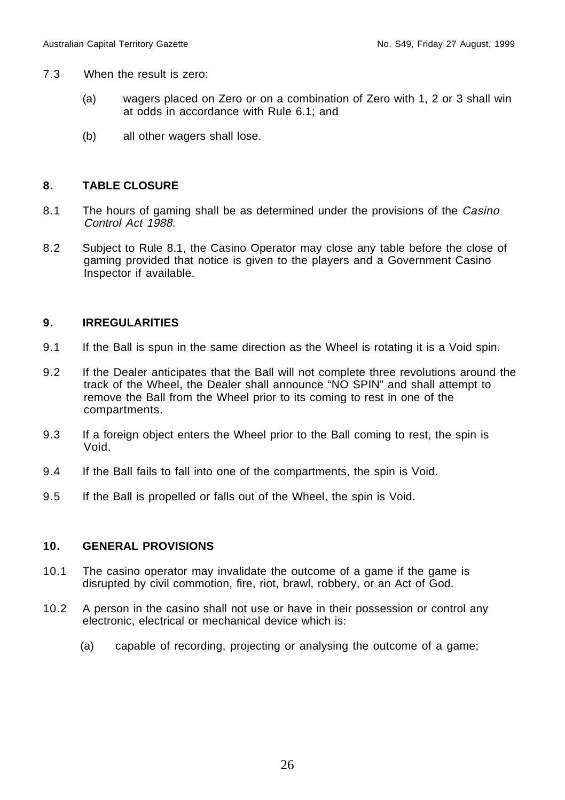- 7.3 When the result is zero:
	- (a) wagers placed on Zero or on a combination of Zero with 1, 2 or 3 shall win at odds in accordance with Rule 6.1; and
	- (b) all other wagers shall lose.

### **8. TABLE CLOSURE**

- 8.1 The hours of gaming shall be as determined under the provisions of the Casino Control Act 1988.
- 8.2 Subject to Rule 8.1, the Casino Operator may close any table before the close of gaming provided that notice is given to the players and a Government Casino Inspector if available.

#### **9. IRREGULARITIES**

- 9.1 If the Ball is spun in the same direction as the Wheel is rotating it is a Void spin.
- 9.2 If the Dealer anticipates that the Ball will not complete three revolutions around the track of the Wheel, the Dealer shall announce "NO SPIN" and shall attempt to remove the Ball from the Wheel prior to its coming to rest in one of the compartments.
- 9.3 If a foreign object enters the Wheel prior to the Ball coming to rest, the spin is Void.
- 9.4 If the Ball fails to fall into one of the compartments, the spin is Void.
- 9.5 If the Ball is propelled or falls out of the Wheel, the spin is Void.

#### **10. GENERAL PROVISIONS**

- 10.1 The casino operator may invalidate the outcome of a game if the game is disrupted by civil commotion, fire, riot, brawl, robbery, or an Act of God.
- 10.2 A person in the casino shall not use or have in their possession or control any electronic, electrical or mechanical device which is:
	- (a) capable of recording, projecting or analysing the outcome of a game;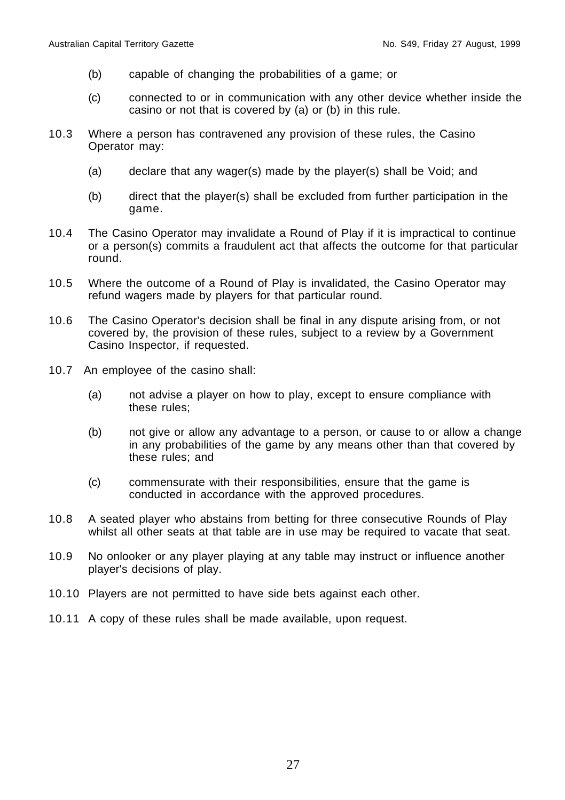- (b) capable of changing the probabilities of a game; or
- (c) connected to or in communication with any other device whether inside the casino or not that is covered by (a) or (b) in this rule.
- 10.3 Where a person has contravened any provision of these rules, the Casino Operator may:
	- (a) declare that any wager(s) made by the player(s) shall be Void; and
	- (b) direct that the player(s) shall be excluded from further participation in the game.
- 10.4 The Casino Operator may invalidate a Round of Play if it is impractical to continue or a person(s) commits a fraudulent act that affects the outcome for that particular round.
- 10.5 Where the outcome of a Round of Play is invalidated, the Casino Operator may refund wagers made by players for that particular round.
- 10.6 The Casino Operator's decision shall be final in any dispute arising from, or not covered by, the provision of these rules, subject to a review by a Government Casino Inspector, if requested.
- 10.7 An employee of the casino shall:
	- (a) not advise a player on how to play, except to ensure compliance with these rules;
	- (b) not give or allow any advantage to a person, or cause to or allow a change in any probabilities of the game by any means other than that covered by these rules; and
	- (c) commensurate with their responsibilities, ensure that the game is conducted in accordance with the approved procedures.
- 10.8 A seated player who abstains from betting for three consecutive Rounds of Play whilst all other seats at that table are in use may be required to vacate that seat.
- 10.9 No onlooker or any player playing at any table may instruct or influence another player's decisions of play.
- 10.10 Players are not permitted to have side bets against each other.
- 10.11 A copy of these rules shall be made available, upon request.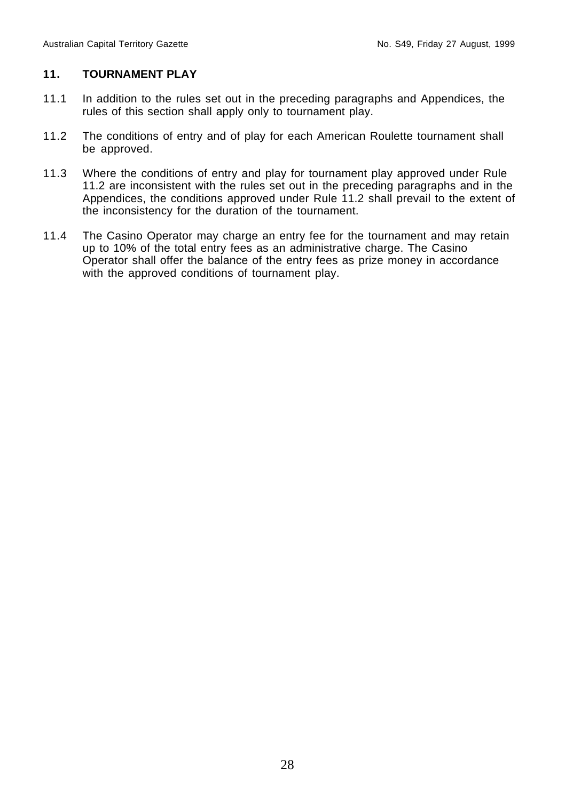#### **11. TOURNAMENT PLAY**

- 11.1 In addition to the rules set out in the preceding paragraphs and Appendices, the rules of this section shall apply only to tournament play.
- 11.2 The conditions of entry and of play for each American Roulette tournament shall be approved.
- 11.3 Where the conditions of entry and play for tournament play approved under Rule 11.2 are inconsistent with the rules set out in the preceding paragraphs and in the Appendices, the conditions approved under Rule 11.2 shall prevail to the extent of the inconsistency for the duration of the tournament.
- 11.4 The Casino Operator may charge an entry fee for the tournament and may retain up to 10% of the total entry fees as an administrative charge. The Casino Operator shall offer the balance of the entry fees as prize money in accordance with the approved conditions of tournament play.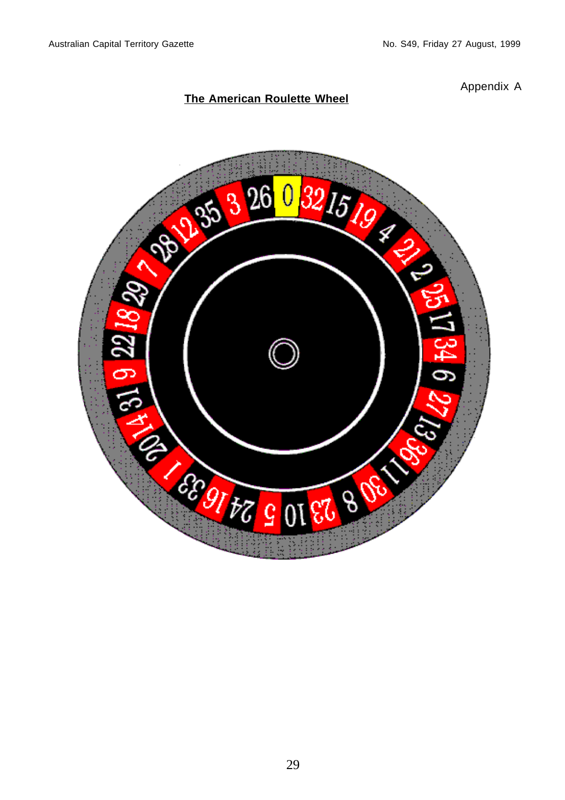### **The American Roulette Wheel**

Appendix A

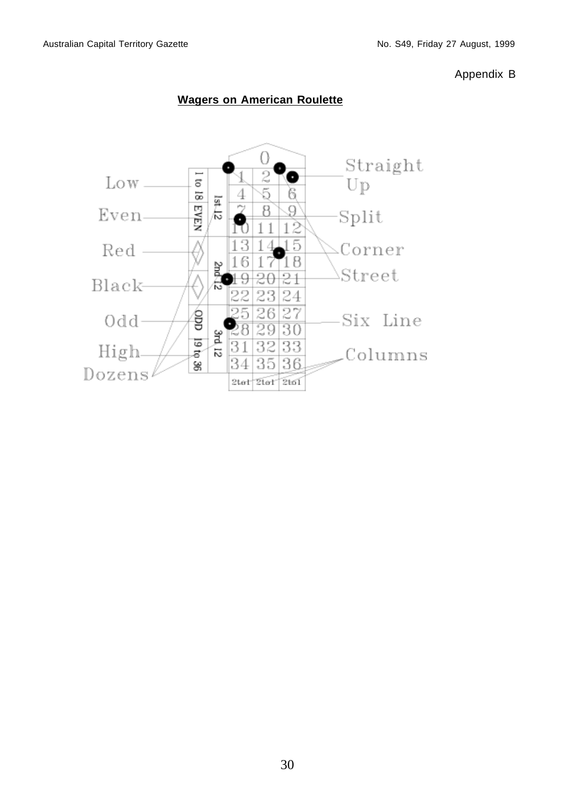Appendix B



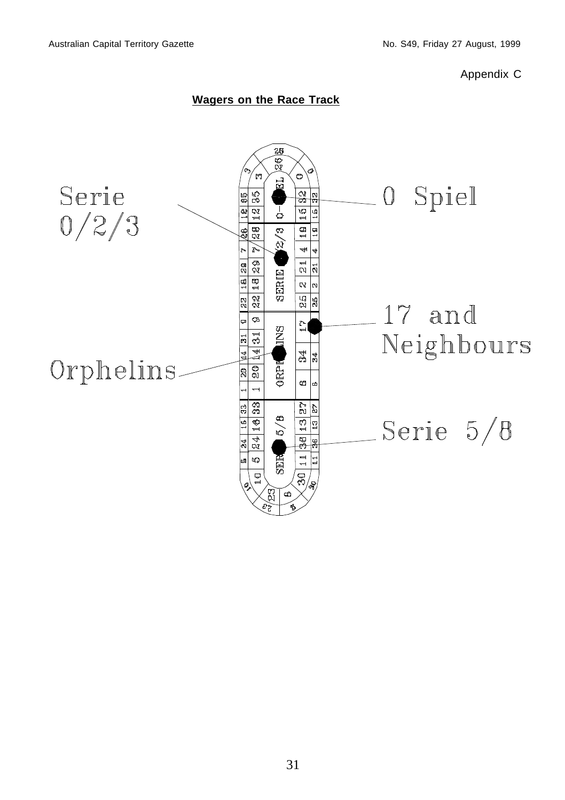Appendix C

### **Wagers on the Race Track**

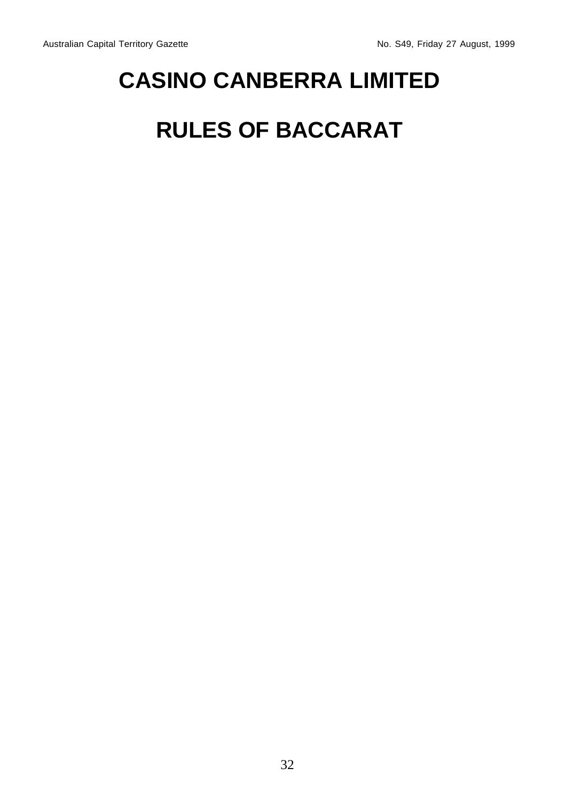# **CASINO CANBERRA LIMITED**

# **RULES OF BACCARAT**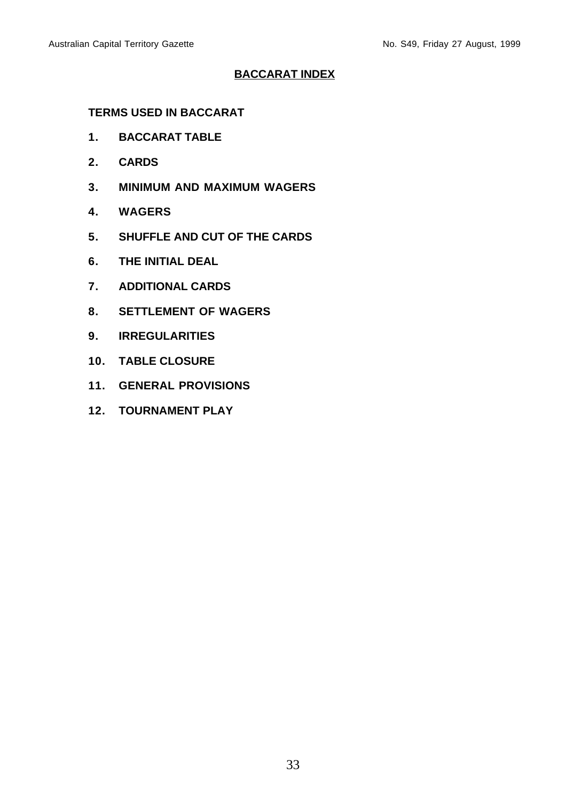#### **BACCARAT INDEX**

#### **TERMS USED IN BACCARAT**

- **1. BACCARAT TABLE**
- **2. CARDS**
- **3. MINIMUM AND MAXIMUM WAGERS**
- **4. WAGERS**
- **5. SHUFFLE AND CUT OF THE CARDS**
- **6. THE INITIAL DEAL**
- **7. ADDITIONAL CARDS**
- **8. SETTLEMENT OF WAGERS**
- **9. IRREGULARITIES**
- **10. TABLE CLOSURE**
- **11. GENERAL PROVISIONS**
- **12. TOURNAMENT PLAY**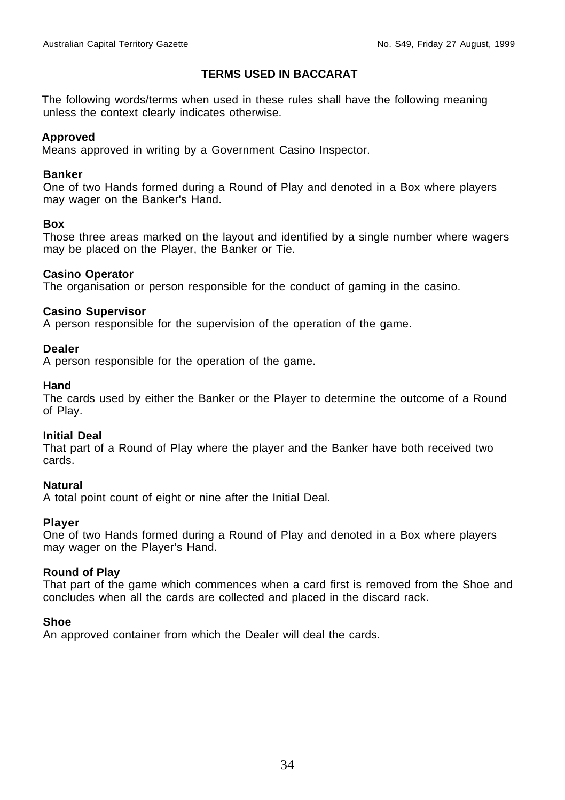#### **TERMS USED IN BACCARAT**

The following words/terms when used in these rules shall have the following meaning unless the context clearly indicates otherwise.

#### **Approved**

Means approved in writing by a Government Casino Inspector.

#### **Banker**

One of two Hands formed during a Round of Play and denoted in a Box where players may wager on the Banker's Hand.

#### **Box**

Those three areas marked on the layout and identified by a single number where wagers may be placed on the Player, the Banker or Tie.

#### **Casino Operator**

The organisation or person responsible for the conduct of gaming in the casino.

#### **Casino Supervisor**

A person responsible for the supervision of the operation of the game.

#### **Dealer**

A person responsible for the operation of the game.

#### **Hand**

The cards used by either the Banker or the Player to determine the outcome of a Round of Play.

#### **Initial Deal**

That part of a Round of Play where the player and the Banker have both received two cards.

#### **Natural**

A total point count of eight or nine after the Initial Deal.

#### **Player**

One of two Hands formed during a Round of Play and denoted in a Box where players may wager on the Player's Hand.

#### **Round of Play**

That part of the game which commences when a card first is removed from the Shoe and concludes when all the cards are collected and placed in the discard rack.

#### **Shoe**

An approved container from which the Dealer will deal the cards.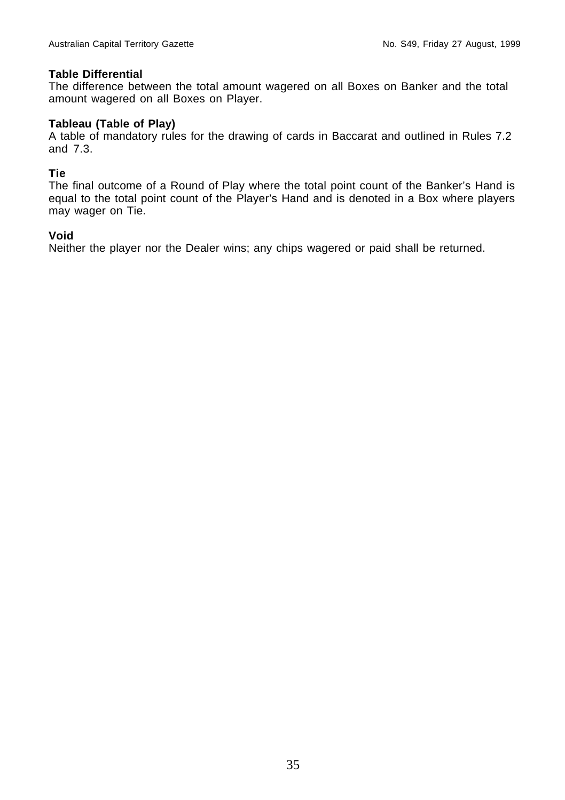#### **Table Differential**

The difference between the total amount wagered on all Boxes on Banker and the total amount wagered on all Boxes on Player.

#### **Tableau (Table of Play)**

A table of mandatory rules for the drawing of cards in Baccarat and outlined in Rules 7.2 and 7.3.

#### **Tie**

The final outcome of a Round of Play where the total point count of the Banker's Hand is equal to the total point count of the Player's Hand and is denoted in a Box where players may wager on Tie.

#### **Void**

Neither the player nor the Dealer wins; any chips wagered or paid shall be returned.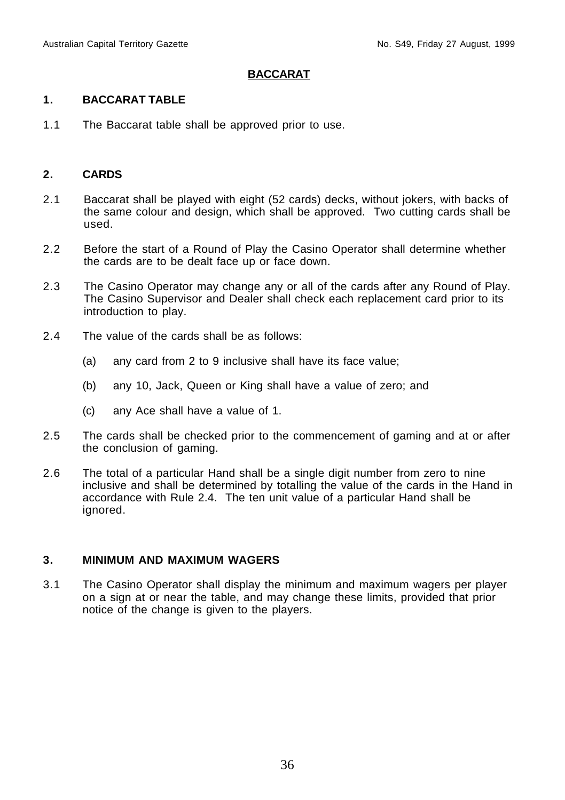#### **BACCARAT**

#### **1. BACCARAT TABLE**

1.1 The Baccarat table shall be approved prior to use.

#### **2. CARDS**

- 2.1 Baccarat shall be played with eight (52 cards) decks, without jokers, with backs of the same colour and design, which shall be approved. Two cutting cards shall be used.
- 2.2 Before the start of a Round of Play the Casino Operator shall determine whether the cards are to be dealt face up or face down.
- 2.3 The Casino Operator may change any or all of the cards after any Round of Play. The Casino Supervisor and Dealer shall check each replacement card prior to its introduction to play.
- 2.4 The value of the cards shall be as follows:
	- (a) any card from 2 to 9 inclusive shall have its face value;
	- (b) any 10, Jack, Queen or King shall have a value of zero; and
	- (c) any Ace shall have a value of 1.
- 2.5 The cards shall be checked prior to the commencement of gaming and at or after the conclusion of gaming.
- 2.6 The total of a particular Hand shall be a single digit number from zero to nine inclusive and shall be determined by totalling the value of the cards in the Hand in accordance with Rule 2.4. The ten unit value of a particular Hand shall be ignored.

#### **3. MINIMUM AND MAXIMUM WAGERS**

3.1 The Casino Operator shall display the minimum and maximum wagers per player on a sign at or near the table, and may change these limits, provided that prior notice of the change is given to the players.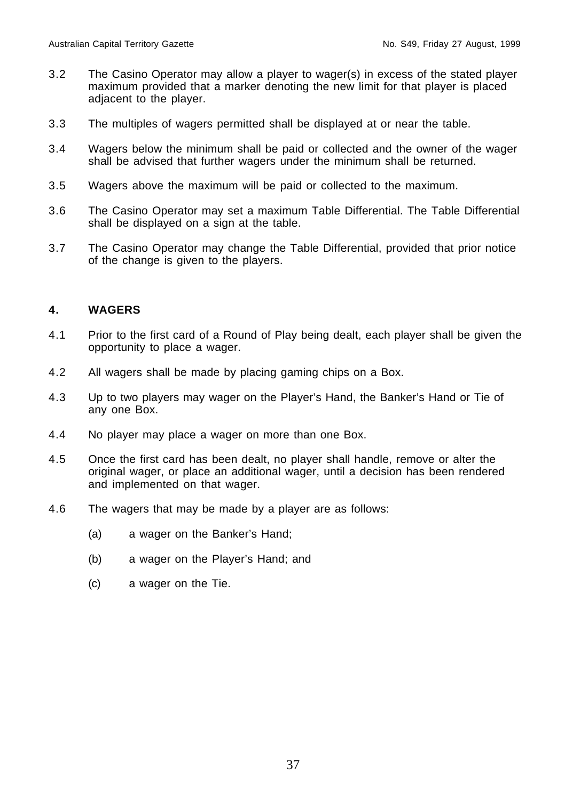- 3.2 The Casino Operator may allow a player to wager(s) in excess of the stated player maximum provided that a marker denoting the new limit for that player is placed adjacent to the player.
- 3.3 The multiples of wagers permitted shall be displayed at or near the table.
- 3.4 Wagers below the minimum shall be paid or collected and the owner of the wager shall be advised that further wagers under the minimum shall be returned.
- 3.5 Wagers above the maximum will be paid or collected to the maximum.
- 3.6 The Casino Operator may set a maximum Table Differential. The Table Differential shall be displayed on a sign at the table.
- 3.7 The Casino Operator may change the Table Differential, provided that prior notice of the change is given to the players.

# **4. WAGERS**

- 4.1 Prior to the first card of a Round of Play being dealt, each player shall be given the opportunity to place a wager.
- 4.2 All wagers shall be made by placing gaming chips on a Box.
- 4.3 Up to two players may wager on the Player's Hand, the Banker's Hand or Tie of any one Box.
- 4.4 No player may place a wager on more than one Box.
- 4.5 Once the first card has been dealt, no player shall handle, remove or alter the original wager, or place an additional wager, until a decision has been rendered and implemented on that wager.
- 4.6 The wagers that may be made by a player are as follows:
	- (a) a wager on the Banker's Hand;
	- (b) a wager on the Player's Hand; and
	- (c) a wager on the Tie.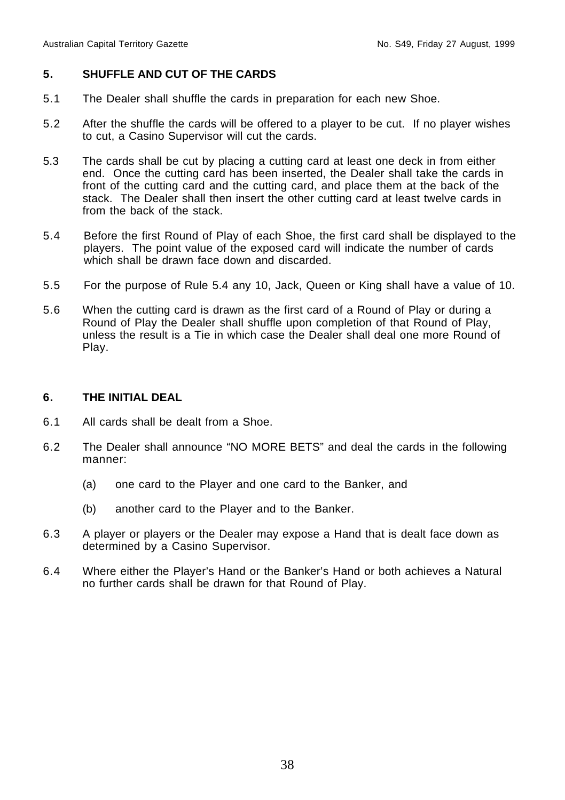# **5. SHUFFLE AND CUT OF THE CARDS**

- 5.1 The Dealer shall shuffle the cards in preparation for each new Shoe.
- 5.2 After the shuffle the cards will be offered to a player to be cut. If no player wishes to cut, a Casino Supervisor will cut the cards.
- 5.3 The cards shall be cut by placing a cutting card at least one deck in from either end. Once the cutting card has been inserted, the Dealer shall take the cards in front of the cutting card and the cutting card, and place them at the back of the stack. The Dealer shall then insert the other cutting card at least twelve cards in from the back of the stack.
- 5.4 Before the first Round of Play of each Shoe, the first card shall be displayed to the players. The point value of the exposed card will indicate the number of cards which shall be drawn face down and discarded.
- 5.5 For the purpose of Rule 5.4 any 10, Jack, Queen or King shall have a value of 10.
- 5.6 When the cutting card is drawn as the first card of a Round of Play or during a Round of Play the Dealer shall shuffle upon completion of that Round of Play, unless the result is a Tie in which case the Dealer shall deal one more Round of Play.

# **6. THE INITIAL DEAL**

- 6.1 All cards shall be dealt from a Shoe.
- 6.2 The Dealer shall announce "NO MORE BETS" and deal the cards in the following manner:
	- (a) one card to the Player and one card to the Banker, and
	- (b) another card to the Player and to the Banker.
- 6.3 A player or players or the Dealer may expose a Hand that is dealt face down as determined by a Casino Supervisor.
- 6.4 Where either the Player's Hand or the Banker's Hand or both achieves a Natural no further cards shall be drawn for that Round of Play.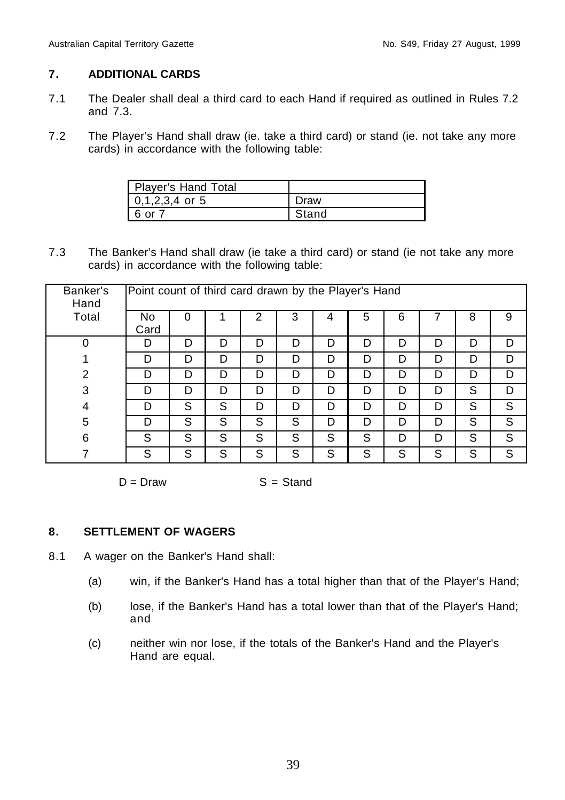# **7. ADDITIONAL CARDS**

- 7.1 The Dealer shall deal a third card to each Hand if required as outlined in Rules 7.2 and 7.3.
- 7.2 The Player's Hand shall draw (ie. take a third card) or stand (ie. not take any more cards) in accordance with the following table:

| Player's Hand Total |       |
|---------------------|-------|
| $0,1,2,3,4$ or 5    | Draw  |
| . ∩r                | Stand |

7.3 The Banker's Hand shall draw (ie take a third card) or stand (ie not take any more cards) in accordance with the following table:

| Banker's<br>Hand | Point count of third card drawn by the Player's Hand |   |   |   |   |   |   |   |    |   |   |
|------------------|------------------------------------------------------|---|---|---|---|---|---|---|----|---|---|
| Total            | No<br>Card                                           | 0 |   | 2 | 3 | 4 | 5 | 6 |    | 8 | 9 |
| 0                | D                                                    | D | D | D | D | D | D | D | רז | D | D |
|                  | D                                                    | D | D | D | D | D | D | D | D  | D | D |
| $\overline{2}$   | D                                                    | D | D | D | D | D | D | D | D  | D | D |
| 3                | D                                                    | D | D | D | D | D | D | D | ח  | S | D |
| 4                | D                                                    | S | S | D | D | D | D | D | D  | S | S |
| 5                | D                                                    | S | S | S | S | D | D | D | D  | S | S |
| 6                | S                                                    | S | S | S | S | S | S | D | D  | S | S |
|                  | S                                                    | S | S | S | S | S | S | S | S  | S | S |

 $D = Draw$   $S = Stand$ 

# **8. SETTLEMENT OF WAGERS**

- 8.1 A wager on the Banker's Hand shall:
	- (a) win, if the Banker's Hand has a total higher than that of the Player's Hand;
	- (b) lose, if the Banker's Hand has a total lower than that of the Player's Hand; and
	- (c) neither win nor lose, if the totals of the Banker's Hand and the Player's Hand are equal.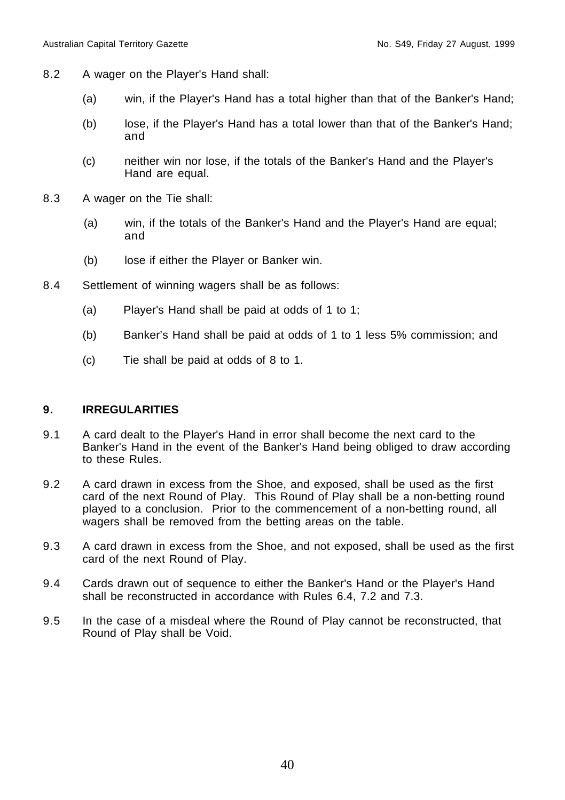- 8.2 A wager on the Player's Hand shall:
	- (a) win, if the Player's Hand has a total higher than that of the Banker's Hand;
	- (b) lose, if the Player's Hand has a total lower than that of the Banker's Hand; and
	- (c) neither win nor lose, if the totals of the Banker's Hand and the Player's Hand are equal.
- 8.3 A wager on the Tie shall:
	- (a) win, if the totals of the Banker's Hand and the Player's Hand are equal; and
	- (b) lose if either the Player or Banker win.
- 8.4 Settlement of winning wagers shall be as follows:
	- (a) Player's Hand shall be paid at odds of 1 to 1;
	- (b) Banker's Hand shall be paid at odds of 1 to 1 less 5% commission; and
	- (c) Tie shall be paid at odds of 8 to 1.

# **9. IRREGULARITIES**

- 9.1 A card dealt to the Player's Hand in error shall become the next card to the Banker's Hand in the event of the Banker's Hand being obliged to draw according to these Rules.
- 9.2 A card drawn in excess from the Shoe, and exposed, shall be used as the first card of the next Round of Play. This Round of Play shall be a non-betting round played to a conclusion. Prior to the commencement of a non-betting round, all wagers shall be removed from the betting areas on the table.
- 9.3 A card drawn in excess from the Shoe, and not exposed, shall be used as the first card of the next Round of Play.
- 9.4 Cards drawn out of sequence to either the Banker's Hand or the Player's Hand shall be reconstructed in accordance with Rules 6.4, 7.2 and 7.3.
- 9.5 In the case of a misdeal where the Round of Play cannot be reconstructed, that Round of Play shall be Void.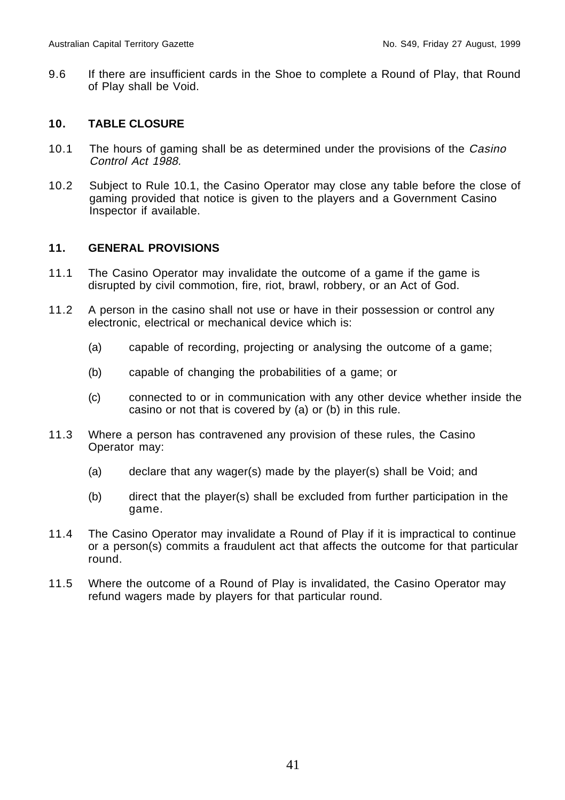9.6 If there are insufficient cards in the Shoe to complete a Round of Play, that Round of Play shall be Void.

# **10. TABLE CLOSURE**

- 10.1 The hours of gaming shall be as determined under the provisions of the Casino Control Act 1988.
- 10.2 Subject to Rule 10.1, the Casino Operator may close any table before the close of gaming provided that notice is given to the players and a Government Casino Inspector if available.

# **11. GENERAL PROVISIONS**

- 11.1 The Casino Operator may invalidate the outcome of a game if the game is disrupted by civil commotion, fire, riot, brawl, robbery, or an Act of God.
- 11.2 A person in the casino shall not use or have in their possession or control any electronic, electrical or mechanical device which is:
	- (a) capable of recording, projecting or analysing the outcome of a game;
	- (b) capable of changing the probabilities of a game; or
	- (c) connected to or in communication with any other device whether inside the casino or not that is covered by (a) or (b) in this rule.
- 11.3 Where a person has contravened any provision of these rules, the Casino Operator may:
	- (a) declare that any wager(s) made by the player(s) shall be Void; and
	- (b) direct that the player(s) shall be excluded from further participation in the game.
- 11.4 The Casino Operator may invalidate a Round of Play if it is impractical to continue or a person(s) commits a fraudulent act that affects the outcome for that particular round.
- 11.5 Where the outcome of a Round of Play is invalidated, the Casino Operator may refund wagers made by players for that particular round.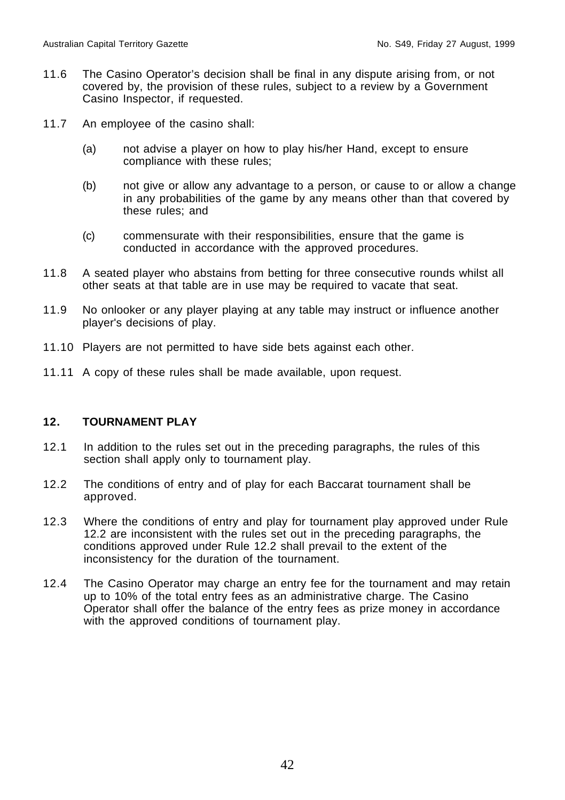- 11.6 The Casino Operator's decision shall be final in any dispute arising from, or not covered by, the provision of these rules, subject to a review by a Government Casino Inspector, if requested.
- 11.7 An employee of the casino shall:
	- (a) not advise a player on how to play his/her Hand, except to ensure compliance with these rules;
	- (b) not give or allow any advantage to a person, or cause to or allow a change in any probabilities of the game by any means other than that covered by these rules; and
	- (c) commensurate with their responsibilities, ensure that the game is conducted in accordance with the approved procedures.
- 11.8 A seated player who abstains from betting for three consecutive rounds whilst all other seats at that table are in use may be required to vacate that seat.
- 11.9 No onlooker or any player playing at any table may instruct or influence another player's decisions of play.
- 11.10 Players are not permitted to have side bets against each other.
- 11.11 A copy of these rules shall be made available, upon request.

## **12. TOURNAMENT PLAY**

- 12.1 In addition to the rules set out in the preceding paragraphs, the rules of this section shall apply only to tournament play.
- 12.2 The conditions of entry and of play for each Baccarat tournament shall be approved.
- 12.3 Where the conditions of entry and play for tournament play approved under Rule 12.2 are inconsistent with the rules set out in the preceding paragraphs, the conditions approved under Rule 12.2 shall prevail to the extent of the inconsistency for the duration of the tournament.
- 12.4 The Casino Operator may charge an entry fee for the tournament and may retain up to 10% of the total entry fees as an administrative charge. The Casino Operator shall offer the balance of the entry fees as prize money in accordance with the approved conditions of tournament play.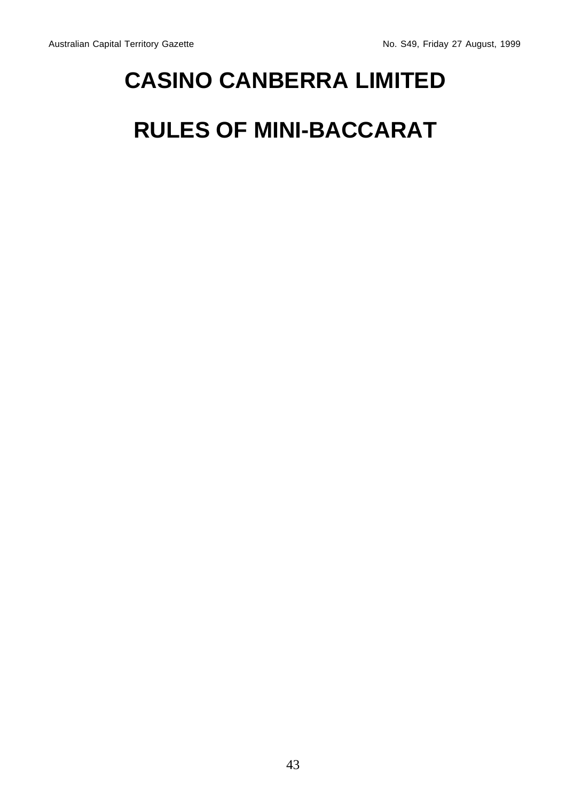# **CASINO CANBERRA LIMITED**

# **RULES OF MINI-BACCARAT**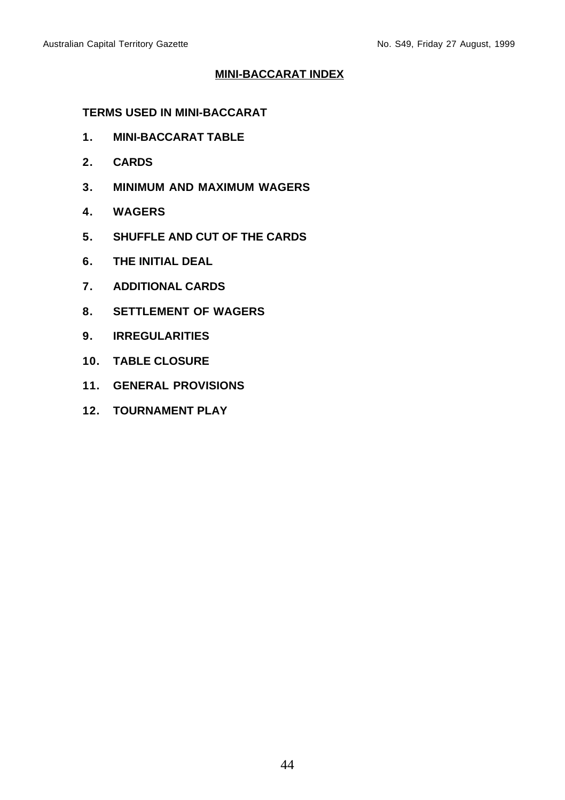# **MINI-BACCARAT INDEX**

# **TERMS USED IN MINI-BACCARAT**

- **1. MINI-BACCARAT TABLE**
- **2. CARDS**
- **3. MINIMUM AND MAXIMUM WAGERS**
- **4. WAGERS**
- **5. SHUFFLE AND CUT OF THE CARDS**
- **6. THE INITIAL DEAL**
- **7. ADDITIONAL CARDS**
- **8. SETTLEMENT OF WAGERS**
- **9. IRREGULARITIES**
- **10. TABLE CLOSURE**
- **11. GENERAL PROVISIONS**
- **12. TOURNAMENT PLAY**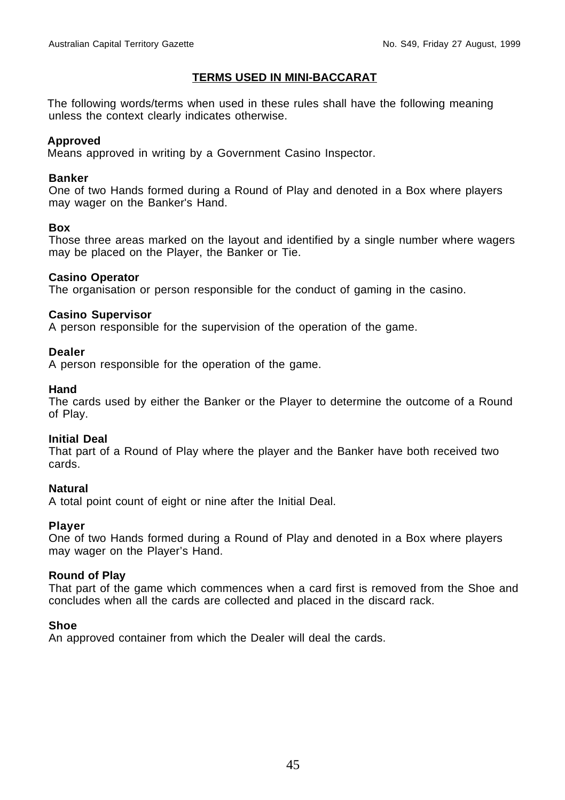## **TERMS USED IN MINI-BACCARAT**

The following words/terms when used in these rules shall have the following meaning unless the context clearly indicates otherwise.

## **Approved**

Means approved in writing by a Government Casino Inspector.

## **Banker**

One of two Hands formed during a Round of Play and denoted in a Box where players may wager on the Banker's Hand.

## **Box**

Those three areas marked on the layout and identified by a single number where wagers may be placed on the Player, the Banker or Tie.

## **Casino Operator**

The organisation or person responsible for the conduct of gaming in the casino.

## **Casino Supervisor**

A person responsible for the supervision of the operation of the game.

## **Dealer**

A person responsible for the operation of the game.

## **Hand**

The cards used by either the Banker or the Player to determine the outcome of a Round of Play.

## **Initial Deal**

That part of a Round of Play where the player and the Banker have both received two cards.

## **Natural**

A total point count of eight or nine after the Initial Deal.

## **Player**

One of two Hands formed during a Round of Play and denoted in a Box where players may wager on the Player's Hand.

## **Round of Play**

That part of the game which commences when a card first is removed from the Shoe and concludes when all the cards are collected and placed in the discard rack.

## **Shoe**

An approved container from which the Dealer will deal the cards.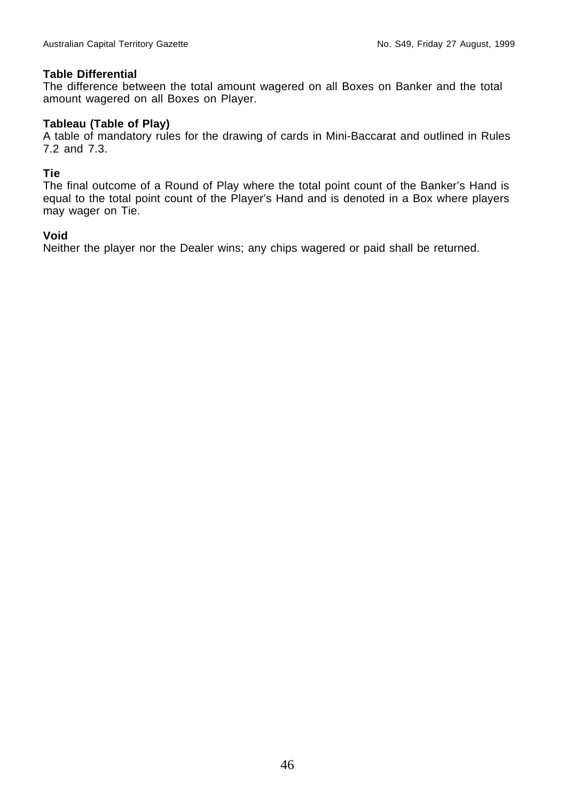## **Table Differential**

The difference between the total amount wagered on all Boxes on Banker and the total amount wagered on all Boxes on Player.

## **Tableau (Table of Play)**

A table of mandatory rules for the drawing of cards in Mini-Baccarat and outlined in Rules 7.2 and 7.3.

## **Tie**

The final outcome of a Round of Play where the total point count of the Banker's Hand is equal to the total point count of the Player's Hand and is denoted in a Box where players may wager on Tie.

## **Void**

Neither the player nor the Dealer wins; any chips wagered or paid shall be returned.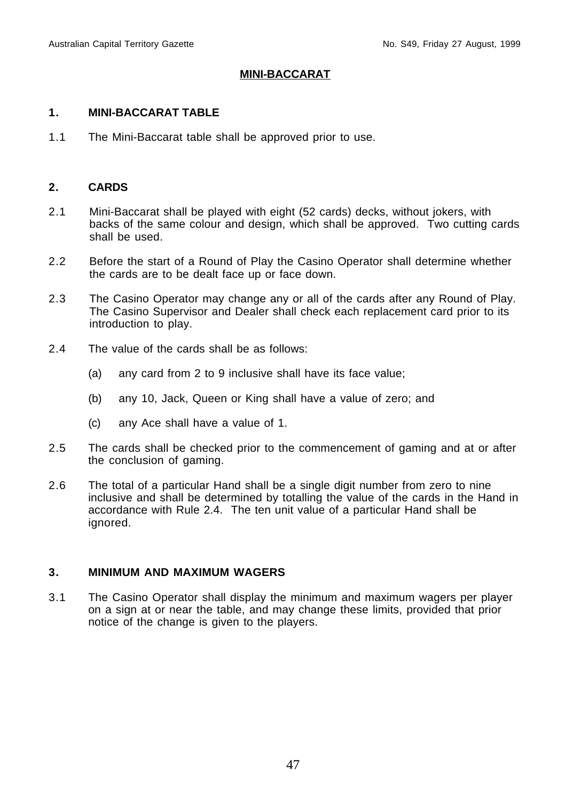## **MINI-BACCARAT**

## **1. MINI-BACCARAT TABLE**

1.1 The Mini-Baccarat table shall be approved prior to use.

## **2. CARDS**

- 2.1 Mini-Baccarat shall be played with eight (52 cards) decks, without jokers, with backs of the same colour and design, which shall be approved. Two cutting cards shall be used.
- 2.2 Before the start of a Round of Play the Casino Operator shall determine whether the cards are to be dealt face up or face down.
- 2.3 The Casino Operator may change any or all of the cards after any Round of Play. The Casino Supervisor and Dealer shall check each replacement card prior to its introduction to play.
- 2.4 The value of the cards shall be as follows:
	- (a) any card from 2 to 9 inclusive shall have its face value;
	- (b) any 10, Jack, Queen or King shall have a value of zero; and
	- (c) any Ace shall have a value of 1.
- 2.5 The cards shall be checked prior to the commencement of gaming and at or after the conclusion of gaming.
- 2.6 The total of a particular Hand shall be a single digit number from zero to nine inclusive and shall be determined by totalling the value of the cards in the Hand in accordance with Rule 2.4. The ten unit value of a particular Hand shall be ignored.

## **3. MINIMUM AND MAXIMUM WAGERS**

3.1 The Casino Operator shall display the minimum and maximum wagers per player on a sign at or near the table, and may change these limits, provided that prior notice of the change is given to the players.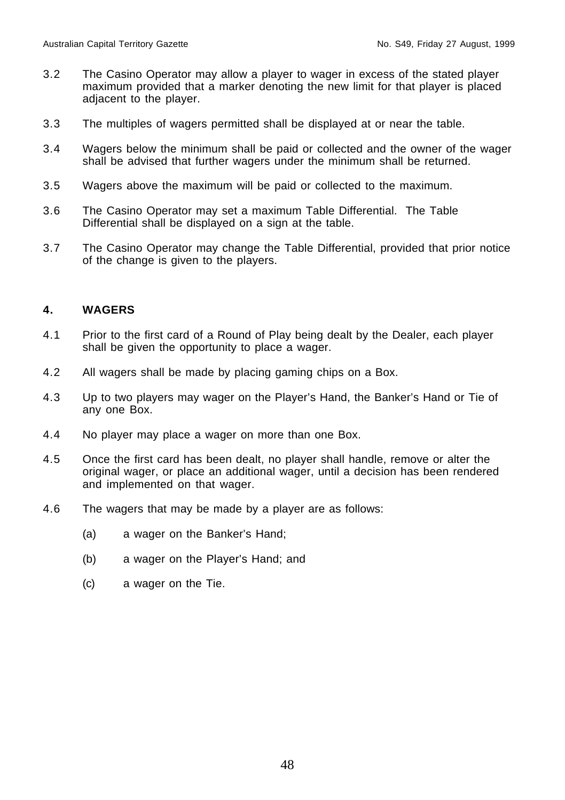- 3.2 The Casino Operator may allow a player to wager in excess of the stated player maximum provided that a marker denoting the new limit for that player is placed adjacent to the player.
- 3.3 The multiples of wagers permitted shall be displayed at or near the table.
- 3.4 Wagers below the minimum shall be paid or collected and the owner of the wager shall be advised that further wagers under the minimum shall be returned.
- 3.5 Wagers above the maximum will be paid or collected to the maximum.
- 3.6 The Casino Operator may set a maximum Table Differential. The Table Differential shall be displayed on a sign at the table.
- 3.7 The Casino Operator may change the Table Differential, provided that prior notice of the change is given to the players.

# **4. WAGERS**

- 4.1 Prior to the first card of a Round of Play being dealt by the Dealer, each player shall be given the opportunity to place a wager.
- 4.2 All wagers shall be made by placing gaming chips on a Box.
- 4.3 Up to two players may wager on the Player's Hand, the Banker's Hand or Tie of any one Box.
- 4.4 No player may place a wager on more than one Box.
- 4.5 Once the first card has been dealt, no player shall handle, remove or alter the original wager, or place an additional wager, until a decision has been rendered and implemented on that wager.
- 4.6 The wagers that may be made by a player are as follows:
	- (a) a wager on the Banker's Hand;
	- (b) a wager on the Player's Hand; and
	- (c) a wager on the Tie.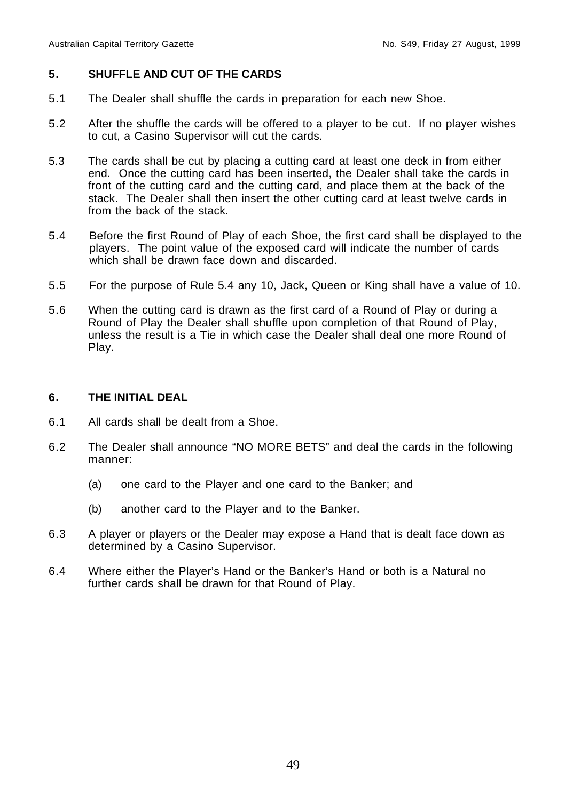# **5. SHUFFLE AND CUT OF THE CARDS**

- 5.1 The Dealer shall shuffle the cards in preparation for each new Shoe.
- 5.2 After the shuffle the cards will be offered to a player to be cut. If no player wishes to cut, a Casino Supervisor will cut the cards.
- 5.3 The cards shall be cut by placing a cutting card at least one deck in from either end. Once the cutting card has been inserted, the Dealer shall take the cards in front of the cutting card and the cutting card, and place them at the back of the stack. The Dealer shall then insert the other cutting card at least twelve cards in from the back of the stack.
- 5.4 Before the first Round of Play of each Shoe, the first card shall be displayed to the players. The point value of the exposed card will indicate the number of cards which shall be drawn face down and discarded.
- 5.5 For the purpose of Rule 5.4 any 10, Jack, Queen or King shall have a value of 10.
- 5.6 When the cutting card is drawn as the first card of a Round of Play or during a Round of Play the Dealer shall shuffle upon completion of that Round of Play, unless the result is a Tie in which case the Dealer shall deal one more Round of Play.

# **6. THE INITIAL DEAL**

- 6.1 All cards shall be dealt from a Shoe.
- 6.2 The Dealer shall announce "NO MORE BETS" and deal the cards in the following manner:
	- (a) one card to the Player and one card to the Banker; and
	- (b) another card to the Player and to the Banker.
- 6.3 A player or players or the Dealer may expose a Hand that is dealt face down as determined by a Casino Supervisor.
- 6.4 Where either the Player's Hand or the Banker's Hand or both is a Natural no further cards shall be drawn for that Round of Play.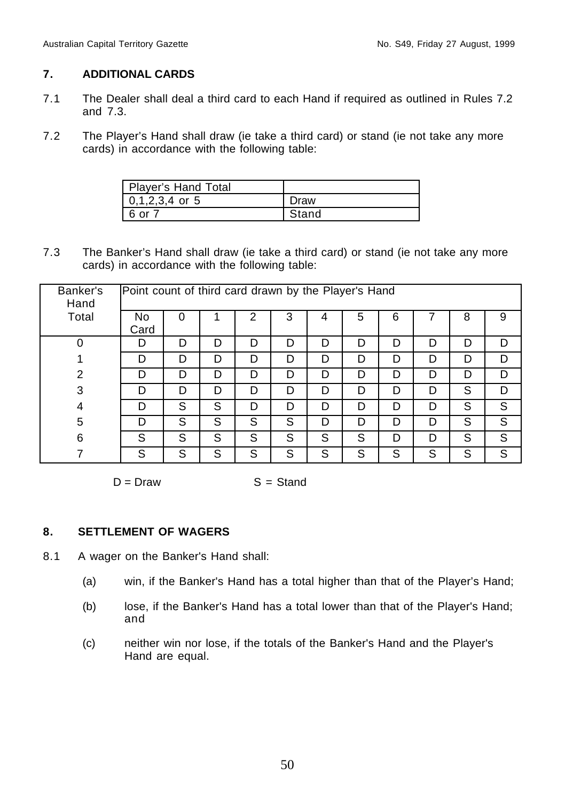# **7. ADDITIONAL CARDS**

- 7.1 The Dealer shall deal a third card to each Hand if required as outlined in Rules 7.2 and 7.3.
- 7.2 The Player's Hand shall draw (ie take a third card) or stand (ie not take any more cards) in accordance with the following table:

| Player's Hand Total |       |
|---------------------|-------|
| $10.1.2.3.4$ or 5   | ∶aw   |
| . or i              | ⊰tand |

7.3 The Banker's Hand shall draw (ie take a third card) or stand (ie not take any more cards) in accordance with the following table:

| Banker's<br>Hand | Point count of third card drawn by the Player's Hand |   |   |   |   |   |   |   |   |   |   |
|------------------|------------------------------------------------------|---|---|---|---|---|---|---|---|---|---|
| Total            | No<br>Card                                           | 0 |   | 2 | 3 | 4 | 5 | 6 |   | 8 | 9 |
| 0                | D                                                    | D | D | D | D | D | D | D | D | D | D |
|                  | D                                                    | D | D | D | D | D | D | D | D | D | D |
| $\overline{2}$   | D                                                    | D | D | D | D | D | D | D | D | D | D |
| 3                | D                                                    | D | D | D | D | D | D | D | D | S | D |
| 4                | D                                                    | S | S | D | D | D | D | D | D | S | S |
| 5                | D                                                    | S | S | S | S | D | D | D | D | S | S |
| 6                | S                                                    | S | S | S | S | S | S | D | D | S | S |
| ⇁                | S                                                    | S | S | S | S | S | S | S | S | S | S |

 $D = Draw$   $S = Stand$ 

# **8. SETTLEMENT OF WAGERS**

- 8.1 A wager on the Banker's Hand shall:
	- (a) win, if the Banker's Hand has a total higher than that of the Player's Hand;
	- (b) lose, if the Banker's Hand has a total lower than that of the Player's Hand; and
	- (c) neither win nor lose, if the totals of the Banker's Hand and the Player's Hand are equal.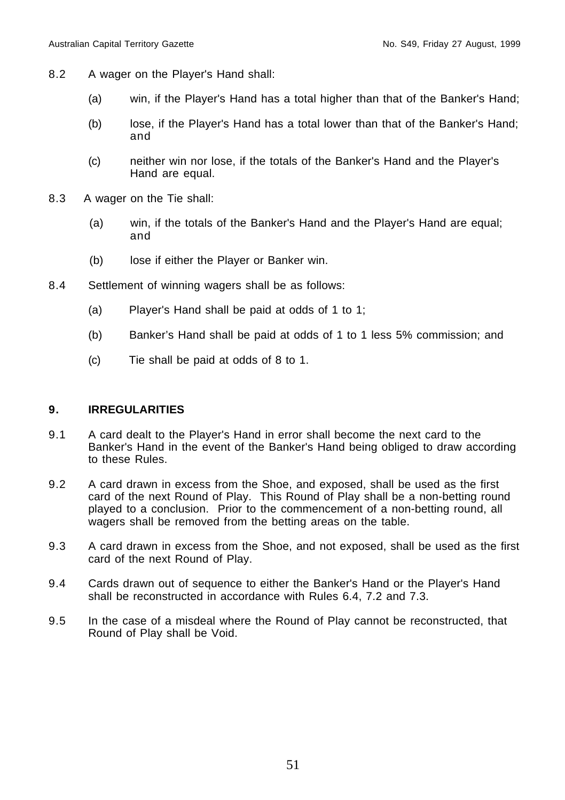- 8.2 A wager on the Player's Hand shall:
	- (a) win, if the Player's Hand has a total higher than that of the Banker's Hand;
	- (b) lose, if the Player's Hand has a total lower than that of the Banker's Hand; and
	- (c) neither win nor lose, if the totals of the Banker's Hand and the Player's Hand are equal.
- 8.3 A wager on the Tie shall:
	- (a) win, if the totals of the Banker's Hand and the Player's Hand are equal; and
	- (b) lose if either the Player or Banker win.
- 8.4 Settlement of winning wagers shall be as follows:
	- (a) Player's Hand shall be paid at odds of 1 to 1;
	- (b) Banker's Hand shall be paid at odds of 1 to 1 less 5% commission; and
	- (c) Tie shall be paid at odds of 8 to 1.

# **9. IRREGULARITIES**

- 9.1 A card dealt to the Player's Hand in error shall become the next card to the Banker's Hand in the event of the Banker's Hand being obliged to draw according to these Rules.
- 9.2 A card drawn in excess from the Shoe, and exposed, shall be used as the first card of the next Round of Play. This Round of Play shall be a non-betting round played to a conclusion. Prior to the commencement of a non-betting round, all wagers shall be removed from the betting areas on the table.
- 9.3 A card drawn in excess from the Shoe, and not exposed, shall be used as the first card of the next Round of Play.
- 9.4 Cards drawn out of sequence to either the Banker's Hand or the Player's Hand shall be reconstructed in accordance with Rules 6.4, 7.2 and 7.3.
- 9.5 In the case of a misdeal where the Round of Play cannot be reconstructed, that Round of Play shall be Void.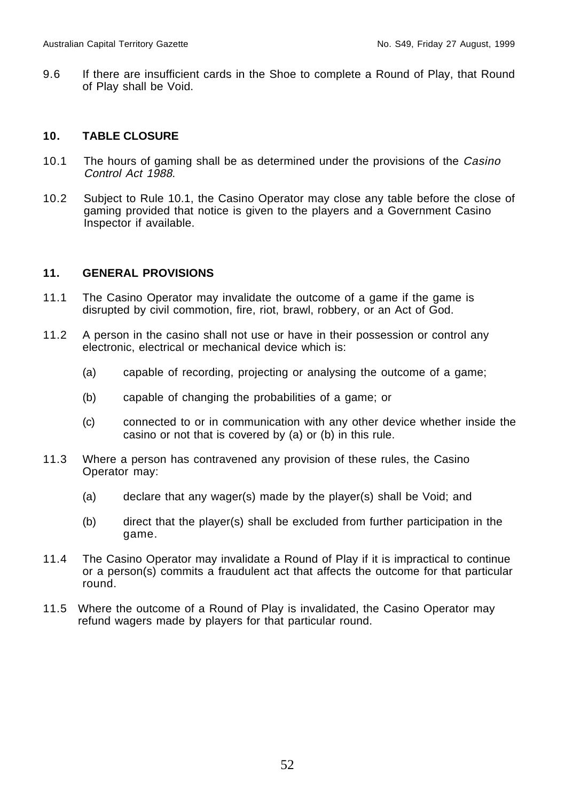9.6 If there are insufficient cards in the Shoe to complete a Round of Play, that Round of Play shall be Void.

# **10. TABLE CLOSURE**

- 10.1 The hours of gaming shall be as determined under the provisions of the Casino Control Act 1988.
- 10.2 Subject to Rule 10.1, the Casino Operator may close any table before the close of gaming provided that notice is given to the players and a Government Casino Inspector if available.

# **11. GENERAL PROVISIONS**

- 11.1 The Casino Operator may invalidate the outcome of a game if the game is disrupted by civil commotion, fire, riot, brawl, robbery, or an Act of God.
- 11.2 A person in the casino shall not use or have in their possession or control any electronic, electrical or mechanical device which is:
	- (a) capable of recording, projecting or analysing the outcome of a game;
	- (b) capable of changing the probabilities of a game; or
	- (c) connected to or in communication with any other device whether inside the casino or not that is covered by (a) or (b) in this rule.
- 11.3 Where a person has contravened any provision of these rules, the Casino Operator may:
	- (a) declare that any wager(s) made by the player(s) shall be Void; and
	- (b) direct that the player(s) shall be excluded from further participation in the game.
- 11.4 The Casino Operator may invalidate a Round of Play if it is impractical to continue or a person(s) commits a fraudulent act that affects the outcome for that particular round.
- 11.5 Where the outcome of a Round of Play is invalidated, the Casino Operator may refund wagers made by players for that particular round.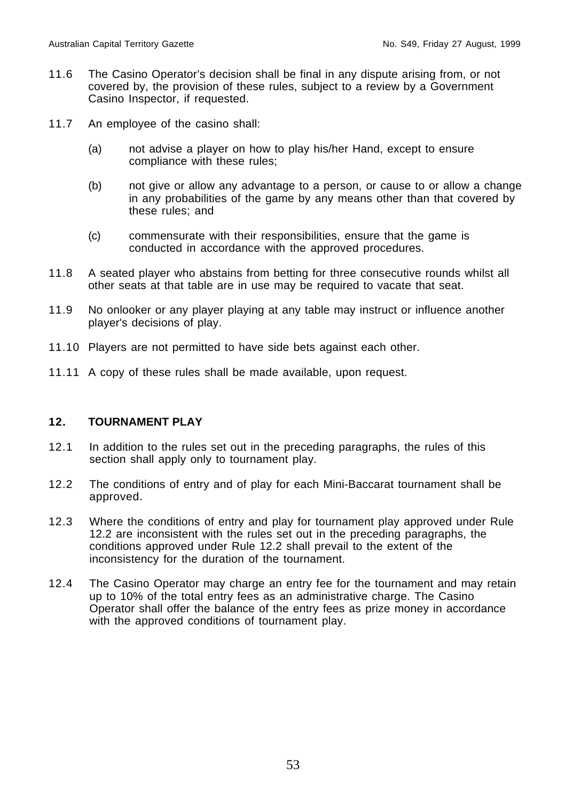- 11.6 The Casino Operator's decision shall be final in any dispute arising from, or not covered by, the provision of these rules, subject to a review by a Government Casino Inspector, if requested.
- 11.7 An employee of the casino shall:
	- (a) not advise a player on how to play his/her Hand, except to ensure compliance with these rules;
	- (b) not give or allow any advantage to a person, or cause to or allow a change in any probabilities of the game by any means other than that covered by these rules; and
	- (c) commensurate with their responsibilities, ensure that the game is conducted in accordance with the approved procedures.
- 11.8 A seated player who abstains from betting for three consecutive rounds whilst all other seats at that table are in use may be required to vacate that seat.
- 11.9 No onlooker or any player playing at any table may instruct or influence another player's decisions of play.
- 11.10 Players are not permitted to have side bets against each other.
- 11.11 A copy of these rules shall be made available, upon request.

# **12. TOURNAMENT PLAY**

- 12.1 In addition to the rules set out in the preceding paragraphs, the rules of this section shall apply only to tournament play.
- 12.2 The conditions of entry and of play for each Mini-Baccarat tournament shall be approved.
- 12.3 Where the conditions of entry and play for tournament play approved under Rule 12.2 are inconsistent with the rules set out in the preceding paragraphs, the conditions approved under Rule 12.2 shall prevail to the extent of the inconsistency for the duration of the tournament.
- 12.4 The Casino Operator may charge an entry fee for the tournament and may retain up to 10% of the total entry fees as an administrative charge. The Casino Operator shall offer the balance of the entry fees as prize money in accordance with the approved conditions of tournament play.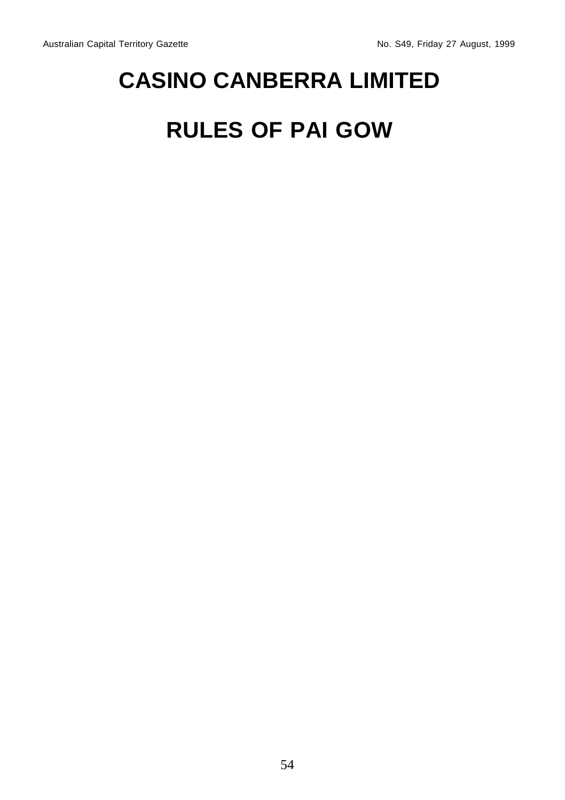# **CASINO CANBERRA LIMITED**

# **RULES OF PAI GOW**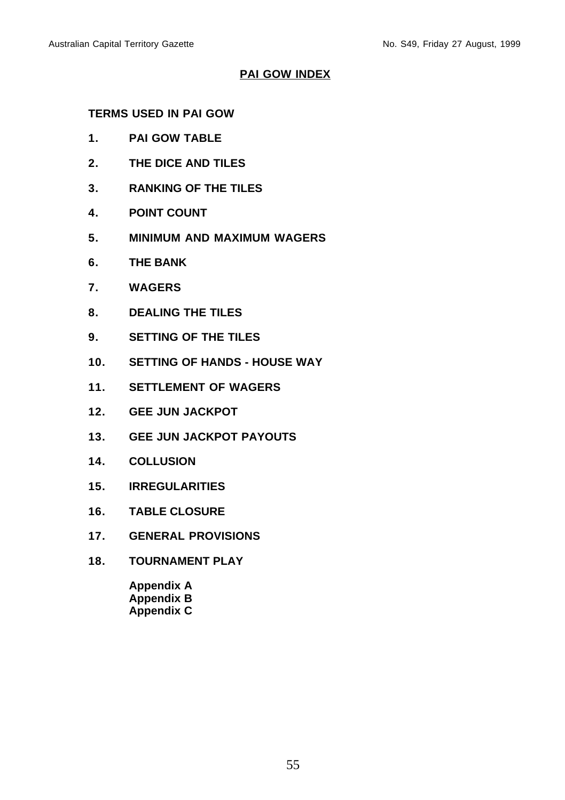# **PAI GOW INDEX**

# **TERMS USED IN PAI GOW**

- **1. PAI GOW TABLE**
- **2. THE DICE AND TILES**
- **3. RANKING OF THE TILES**
- **4. POINT COUNT**
- **5. MINIMUM AND MAXIMUM WAGERS**
- **6. THE BANK**
- **7. WAGERS**
- **8. DEALING THE TILES**
- **9. SETTING OF THE TILES**
- **10. SETTING OF HANDS HOUSE WAY**
- **11. SETTLEMENT OF WAGERS**
- **12. GEE JUN JACKPOT**
- **13. GEE JUN JACKPOT PAYOUTS**
- **14. COLLUSION**
- **15. IRREGULARITIES**
- **16. TABLE CLOSURE**
- **17. GENERAL PROVISIONS**
- **18. TOURNAMENT PLAY**

**Appendix A Appendix B Appendix C**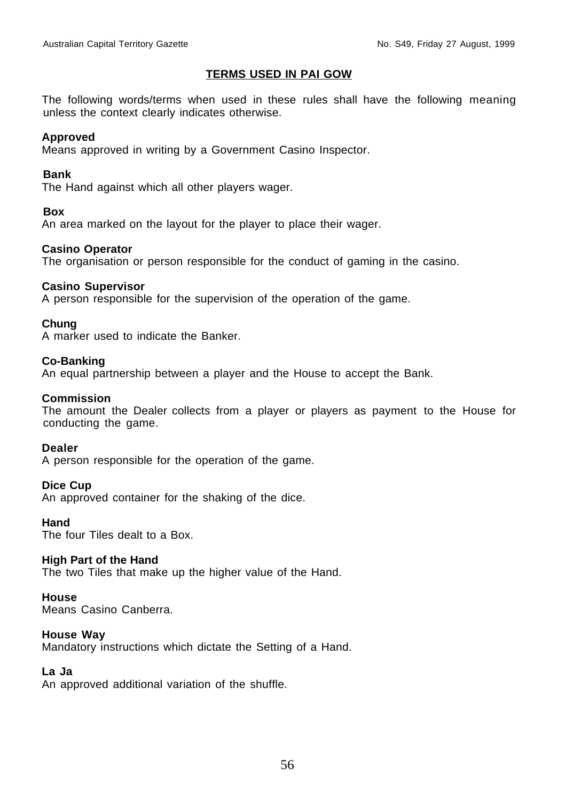## **TERMS USED IN PAI GOW**

The following words/terms when used in these rules shall have the following meaning unless the context clearly indicates otherwise.

## **Approved**

Means approved in writing by a Government Casino Inspector.

## **Bank**

The Hand against which all other players wager.

## **Box**

An area marked on the layout for the player to place their wager.

## **Casino Operator**

The organisation or person responsible for the conduct of gaming in the casino.

## **Casino Supervisor**

A person responsible for the supervision of the operation of the game.

## **Chung**

A marker used to indicate the Banker.

## **Co-Banking**

An equal partnership between a player and the House to accept the Bank.

## **Commission**

The amount the Dealer collects from a player or players as payment to the House for conducting the game.

#### **Dealer**

A person responsible for the operation of the game.

## **Dice Cup**

An approved container for the shaking of the dice.

#### **Hand**

The four Tiles dealt to a Box.

## **High Part of the Hand**

The two Tiles that make up the higher value of the Hand.

## **House**

Means Casino Canberra.

## **House Way**

Mandatory instructions which dictate the Setting of a Hand.

# **La Ja**

An approved additional variation of the shuffle.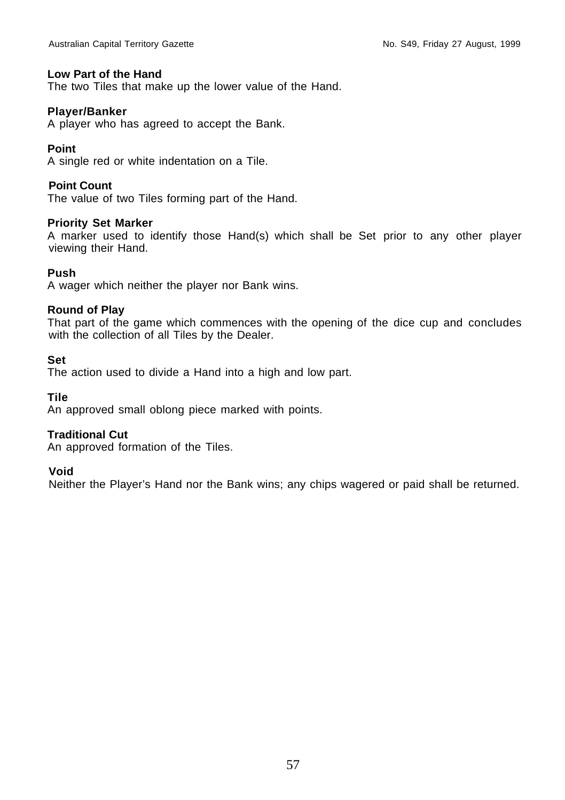## **Low Part of the Hand**

The two Tiles that make up the lower value of the Hand.

## **Player/Banker**

A player who has agreed to accept the Bank.

# **Point**

A single red or white indentation on a Tile.

## **Point Count**

The value of two Tiles forming part of the Hand.

## **Priority Set Marker**

A marker used to identify those Hand(s) which shall be Set prior to any other player viewing their Hand.

## **Push**

A wager which neither the player nor Bank wins.

## **Round of Play**

That part of the game which commences with the opening of the dice cup and concludes with the collection of all Tiles by the Dealer.

## **Set**

The action used to divide a Hand into a high and low part.

**Tile**

An approved small oblong piece marked with points.

# **Traditional Cut**

An approved formation of the Tiles.

## **Void**

Neither the Player's Hand nor the Bank wins; any chips wagered or paid shall be returned.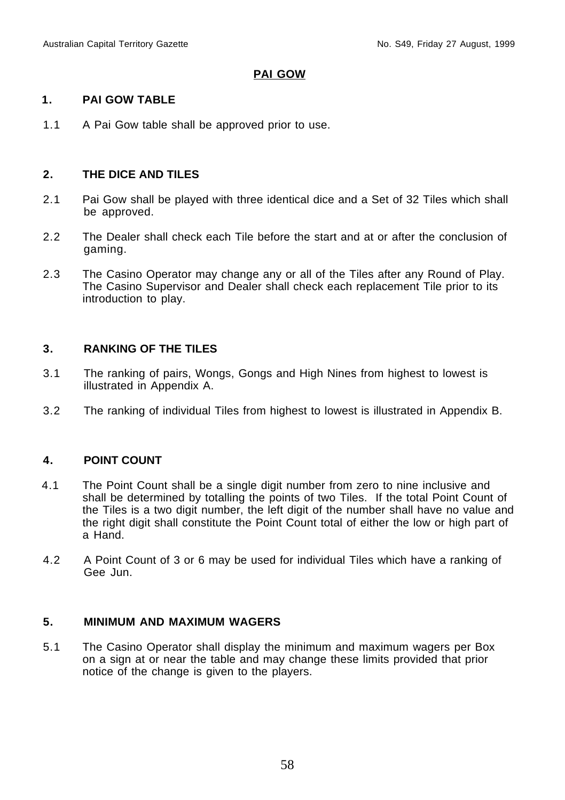# **PAI GOW**

# **1. PAI GOW TABLE**

1.1 A Pai Gow table shall be approved prior to use.

# **2. THE DICE AND TILES**

- 2.1 Pai Gow shall be played with three identical dice and a Set of 32 Tiles which shall be approved.
- 2.2 The Dealer shall check each Tile before the start and at or after the conclusion of gaming.
- 2.3 The Casino Operator may change any or all of the Tiles after any Round of Play. The Casino Supervisor and Dealer shall check each replacement Tile prior to its introduction to play.

# **3. RANKING OF THE TILES**

- 3.1 The ranking of pairs, Wongs, Gongs and High Nines from highest to lowest is illustrated in Appendix A.
- 3.2 The ranking of individual Tiles from highest to lowest is illustrated in Appendix B.

# **4. POINT COUNT**

- 4.1 The Point Count shall be a single digit number from zero to nine inclusive and shall be determined by totalling the points of two Tiles. If the total Point Count of the Tiles is a two digit number, the left digit of the number shall have no value and the right digit shall constitute the Point Count total of either the low or high part of a Hand.
- 4.2 A Point Count of 3 or 6 may be used for individual Tiles which have a ranking of Gee Jun.

## **5. MINIMUM AND MAXIMUM WAGERS**

5.1 The Casino Operator shall display the minimum and maximum wagers per Box on a sign at or near the table and may change these limits provided that prior notice of the change is given to the players.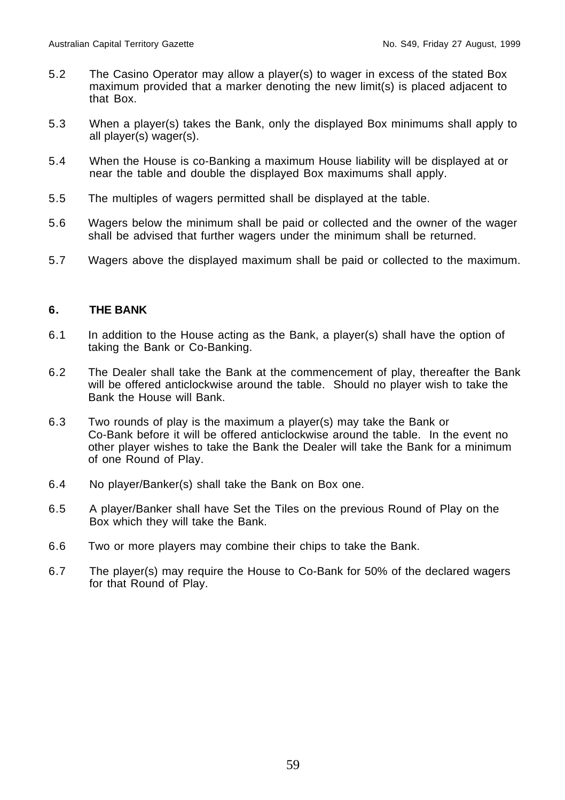- 5.2 The Casino Operator may allow a player(s) to wager in excess of the stated Box maximum provided that a marker denoting the new limit(s) is placed adjacent to that Box.
- 5.3 When a player(s) takes the Bank, only the displayed Box minimums shall apply to all player(s) wager(s).
- 5.4 When the House is co-Banking a maximum House liability will be displayed at or near the table and double the displayed Box maximums shall apply.
- 5.5 The multiples of wagers permitted shall be displayed at the table.
- 5.6 Wagers below the minimum shall be paid or collected and the owner of the wager shall be advised that further wagers under the minimum shall be returned.
- 5.7 Wagers above the displayed maximum shall be paid or collected to the maximum.

# **6. THE BANK**

- 6.1 In addition to the House acting as the Bank, a player(s) shall have the option of taking the Bank or Co-Banking.
- 6.2 The Dealer shall take the Bank at the commencement of play, thereafter the Bank will be offered anticlockwise around the table. Should no player wish to take the Bank the House will Bank.
- 6.3 Two rounds of play is the maximum a player(s) may take the Bank or Co-Bank before it will be offered anticlockwise around the table. In the event no other player wishes to take the Bank the Dealer will take the Bank for a minimum of one Round of Play.
- 6.4 No player/Banker(s) shall take the Bank on Box one.
- 6.5 A player/Banker shall have Set the Tiles on the previous Round of Play on the Box which they will take the Bank.
- 6.6 Two or more players may combine their chips to take the Bank.
- 6.7 The player(s) may require the House to Co-Bank for 50% of the declared wagers for that Round of Play.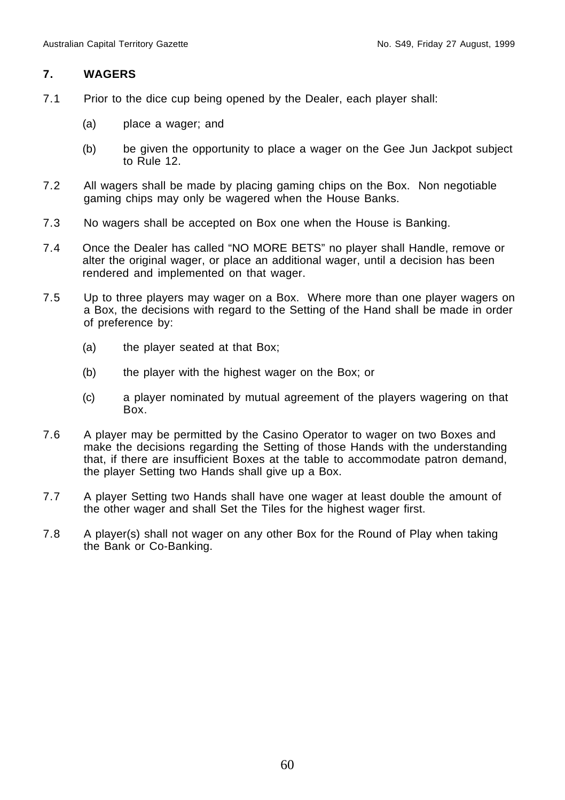## **7. WAGERS**

- 7.1 Prior to the dice cup being opened by the Dealer, each player shall:
	- (a) place a wager; and
	- (b) be given the opportunity to place a wager on the Gee Jun Jackpot subject to Rule 12.
- 7.2 All wagers shall be made by placing gaming chips on the Box. Non negotiable gaming chips may only be wagered when the House Banks.
- 7.3 No wagers shall be accepted on Box one when the House is Banking.
- 7.4 Once the Dealer has called "NO MORE BETS" no player shall Handle, remove or alter the original wager, or place an additional wager, until a decision has been rendered and implemented on that wager.
- 7.5 Up to three players may wager on a Box. Where more than one player wagers on a Box, the decisions with regard to the Setting of the Hand shall be made in order of preference by:
	- (a) the player seated at that Box;
	- (b) the player with the highest wager on the Box; or
	- (c) a player nominated by mutual agreement of the players wagering on that Box.
- 7.6 A player may be permitted by the Casino Operator to wager on two Boxes and make the decisions regarding the Setting of those Hands with the understanding that, if there are insufficient Boxes at the table to accommodate patron demand, the player Setting two Hands shall give up a Box.
- 7.7 A player Setting two Hands shall have one wager at least double the amount of the other wager and shall Set the Tiles for the highest wager first.
- 7.8 A player(s) shall not wager on any other Box for the Round of Play when taking the Bank or Co-Banking.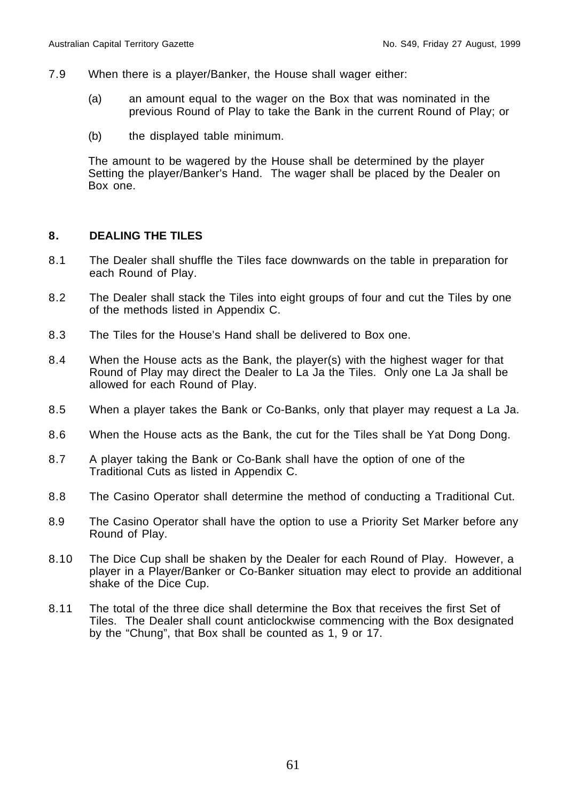- 7.9 When there is a player/Banker, the House shall wager either:
	- (a) an amount equal to the wager on the Box that was nominated in the previous Round of Play to take the Bank in the current Round of Play; or
	- (b) the displayed table minimum.

The amount to be wagered by the House shall be determined by the player Setting the player/Banker's Hand. The wager shall be placed by the Dealer on Box one.

## **8. DEALING THE TILES**

- 8.1 The Dealer shall shuffle the Tiles face downwards on the table in preparation for each Round of Play.
- 8.2 The Dealer shall stack the Tiles into eight groups of four and cut the Tiles by one of the methods listed in Appendix C.
- 8.3 The Tiles for the House's Hand shall be delivered to Box one.
- 8.4 When the House acts as the Bank, the player(s) with the highest wager for that Round of Play may direct the Dealer to La Ja the Tiles. Only one La Ja shall be allowed for each Round of Play.
- 8.5 When a player takes the Bank or Co-Banks, only that player may request a La Ja.
- 8.6 When the House acts as the Bank, the cut for the Tiles shall be Yat Dong Dong.
- 8.7 A player taking the Bank or Co-Bank shall have the option of one of the Traditional Cuts as listed in Appendix C.
- 8.8 The Casino Operator shall determine the method of conducting a Traditional Cut.
- 8.9 The Casino Operator shall have the option to use a Priority Set Marker before any Round of Play.
- 8.10 The Dice Cup shall be shaken by the Dealer for each Round of Play. However, a player in a Player/Banker or Co-Banker situation may elect to provide an additional shake of the Dice Cup.
- 8.11 The total of the three dice shall determine the Box that receives the first Set of Tiles. The Dealer shall count anticlockwise commencing with the Box designated by the "Chung", that Box shall be counted as 1, 9 or 17.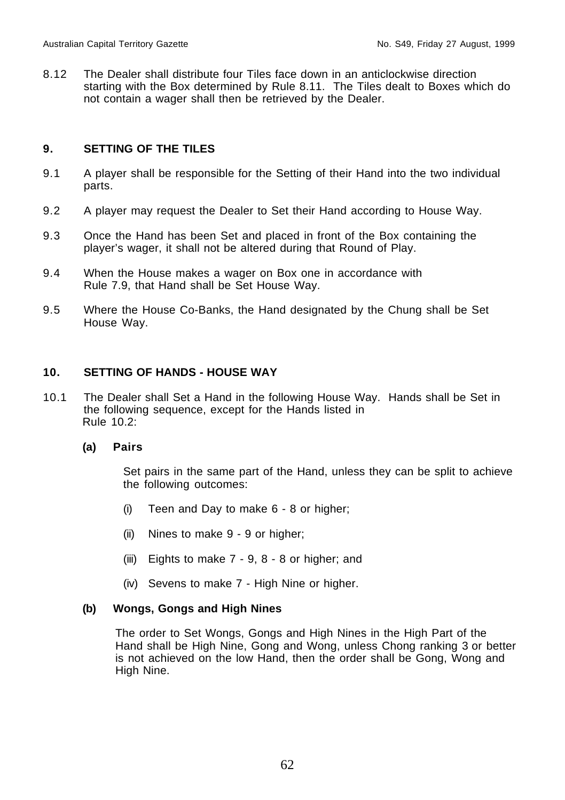8.12 The Dealer shall distribute four Tiles face down in an anticlockwise direction starting with the Box determined by Rule 8.11. The Tiles dealt to Boxes which do not contain a wager shall then be retrieved by the Dealer.

# **9. SETTING OF THE TILES**

- 9.1 A player shall be responsible for the Setting of their Hand into the two individual parts.
- 9.2 A player may request the Dealer to Set their Hand according to House Way.
- 9.3 Once the Hand has been Set and placed in front of the Box containing the player's wager, it shall not be altered during that Round of Play.
- 9.4 When the House makes a wager on Box one in accordance with Rule 7.9, that Hand shall be Set House Way.
- 9.5 Where the House Co-Banks, the Hand designated by the Chung shall be Set House Way.

# **10. SETTING OF HANDS - HOUSE WAY**

10.1 The Dealer shall Set a Hand in the following House Way. Hands shall be Set in the following sequence, except for the Hands listed in Rule 10.2:

## **(a) Pairs**

Set pairs in the same part of the Hand, unless they can be split to achieve the following outcomes:

- (i) Teen and Day to make 6 8 or higher;
- (ii) Nines to make 9 9 or higher;
- (iii) Eights to make 7 9, 8 8 or higher; and
- (iv) Sevens to make 7 High Nine or higher.

# **(b) Wongs, Gongs and High Nines**

The order to Set Wongs, Gongs and High Nines in the High Part of the Hand shall be High Nine, Gong and Wong, unless Chong ranking 3 or better is not achieved on the low Hand, then the order shall be Gong, Wong and High Nine.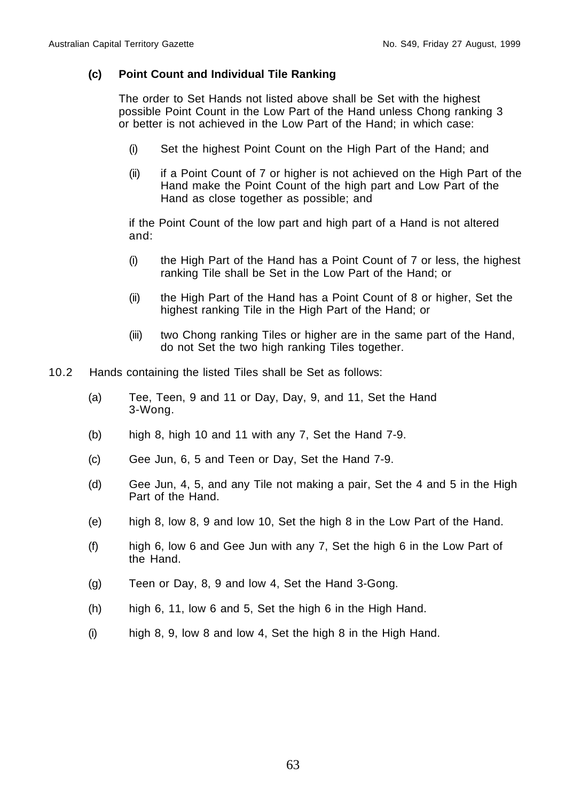## **(c) Point Count and Individual Tile Ranking**

The order to Set Hands not listed above shall be Set with the highest possible Point Count in the Low Part of the Hand unless Chong ranking 3 or better is not achieved in the Low Part of the Hand; in which case:

- (i) Set the highest Point Count on the High Part of the Hand; and
- (ii) if a Point Count of 7 or higher is not achieved on the High Part of the Hand make the Point Count of the high part and Low Part of the Hand as close together as possible; and

if the Point Count of the low part and high part of a Hand is not altered and:

- (i) the High Part of the Hand has a Point Count of 7 or less, the highest ranking Tile shall be Set in the Low Part of the Hand; or
- (ii) the High Part of the Hand has a Point Count of 8 or higher, Set the highest ranking Tile in the High Part of the Hand; or
- (iii) two Chong ranking Tiles or higher are in the same part of the Hand, do not Set the two high ranking Tiles together.
- 10.2 Hands containing the listed Tiles shall be Set as follows:
	- (a) Tee, Teen, 9 and 11 or Day, Day, 9, and 11, Set the Hand 3-Wong.
	- (b) high 8, high 10 and 11 with any 7, Set the Hand 7-9.
	- (c) Gee Jun, 6, 5 and Teen or Day, Set the Hand 7-9.
	- (d) Gee Jun, 4, 5, and any Tile not making a pair, Set the 4 and 5 in the High Part of the Hand.
	- (e) high 8, low 8, 9 and low 10, Set the high 8 in the Low Part of the Hand.
	- (f) high 6, low 6 and Gee Jun with any 7, Set the high 6 in the Low Part of the Hand.
	- (g) Teen or Day, 8, 9 and low 4, Set the Hand 3-Gong.
	- (h) high 6, 11, low 6 and 5, Set the high 6 in the High Hand.
	- $(i)$  high 8, 9, low 8 and low 4, Set the high 8 in the High Hand.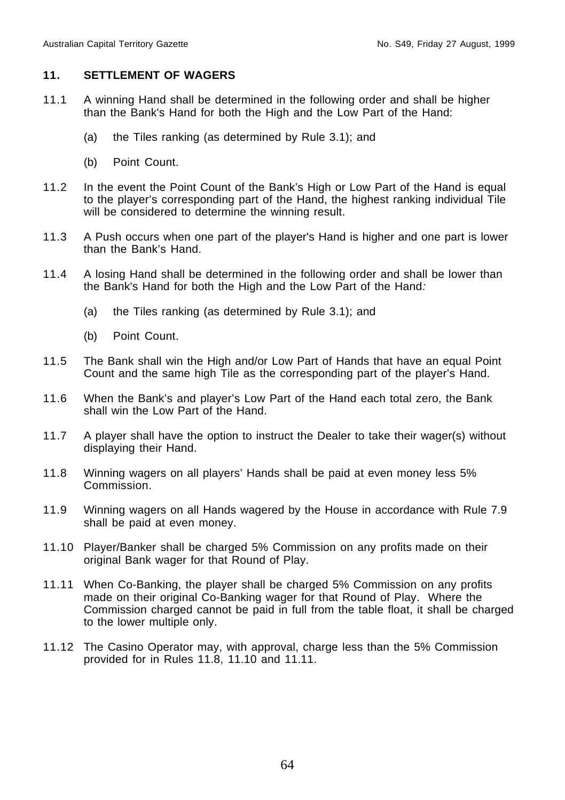# **11. SETTLEMENT OF WAGERS**

- 11.1 A winning Hand shall be determined in the following order and shall be higher than the Bank's Hand for both the High and the Low Part of the Hand:
	- (a) the Tiles ranking (as determined by Rule 3.1); and
	- (b) Point Count.
- 11.2 In the event the Point Count of the Bank's High or Low Part of the Hand is equal to the player's corresponding part of the Hand, the highest ranking individual Tile will be considered to determine the winning result.
- 11.3 A Push occurs when one part of the player's Hand is higher and one part is lower than the Bank's Hand.
- 11.4 A losing Hand shall be determined in the following order and shall be lower than the Bank's Hand for both the High and the Low Part of the Hand:
	- (a) the Tiles ranking (as determined by Rule 3.1); and
	- (b) Point Count.
- 11.5 The Bank shall win the High and/or Low Part of Hands that have an equal Point Count and the same high Tile as the corresponding part of the player's Hand.
- 11.6 When the Bank's and player's Low Part of the Hand each total zero, the Bank shall win the Low Part of the Hand.
- 11.7 A player shall have the option to instruct the Dealer to take their wager(s) without displaying their Hand.
- 11.8 Winning wagers on all players' Hands shall be paid at even money less 5% Commission.
- 11.9 Winning wagers on all Hands wagered by the House in accordance with Rule 7.9 shall be paid at even money.
- 11.10 Player/Banker shall be charged 5% Commission on any profits made on their original Bank wager for that Round of Play.
- 11.11 When Co-Banking, the player shall be charged 5% Commission on any profits made on their original Co-Banking wager for that Round of Play. Where the Commission charged cannot be paid in full from the table float, it shall be charged to the lower multiple only.
- 11.12 The Casino Operator may, with approval, charge less than the 5% Commission provided for in Rules 11.8, 11.10 and 11.11.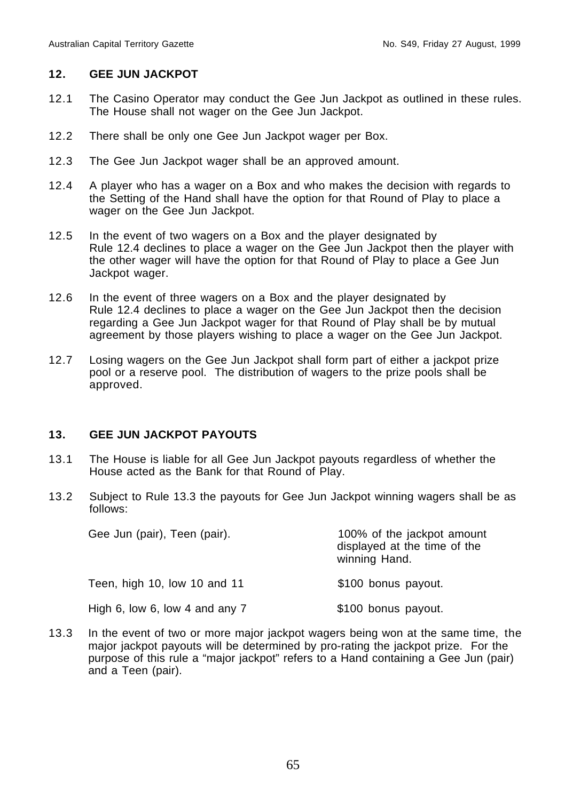# **12. GEE JUN JACKPOT**

- 12.1 The Casino Operator may conduct the Gee Jun Jackpot as outlined in these rules. The House shall not wager on the Gee Jun Jackpot.
- 12.2 There shall be only one Gee Jun Jackpot wager per Box.
- 12.3 The Gee Jun Jackpot wager shall be an approved amount.
- 12.4 A player who has a wager on a Box and who makes the decision with regards to the Setting of the Hand shall have the option for that Round of Play to place a wager on the Gee Jun Jackpot.
- 12.5 In the event of two wagers on a Box and the player designated by Rule 12.4 declines to place a wager on the Gee Jun Jackpot then the player with the other wager will have the option for that Round of Play to place a Gee Jun Jackpot wager.
- 12.6 In the event of three wagers on a Box and the player designated by Rule 12.4 declines to place a wager on the Gee Jun Jackpot then the decision regarding a Gee Jun Jackpot wager for that Round of Play shall be by mutual agreement by those players wishing to place a wager on the Gee Jun Jackpot.
- 12.7 Losing wagers on the Gee Jun Jackpot shall form part of either a jackpot prize pool or a reserve pool. The distribution of wagers to the prize pools shall be approved.

## **13. GEE JUN JACKPOT PAYOUTS**

- 13.1 The House is liable for all Gee Jun Jackpot payouts regardless of whether the House acted as the Bank for that Round of Play.
- 13.2 Subject to Rule 13.3 the payouts for Gee Jun Jackpot winning wagers shall be as follows:

| Gee Jun (pair), Teen (pair).   | 100% of the jackpot amount<br>displayed at the time of the<br>winning Hand. |  |  |  |  |  |
|--------------------------------|-----------------------------------------------------------------------------|--|--|--|--|--|
| Teen, high 10, low 10 and 11   | \$100 bonus payout.                                                         |  |  |  |  |  |
| High 6, low 6, low 4 and any 7 | \$100 bonus payout.                                                         |  |  |  |  |  |

13.3 In the event of two or more major jackpot wagers being won at the same time, the major jackpot payouts will be determined by pro-rating the jackpot prize. For the purpose of this rule a "major jackpot" refers to a Hand containing a Gee Jun (pair) and a Teen (pair).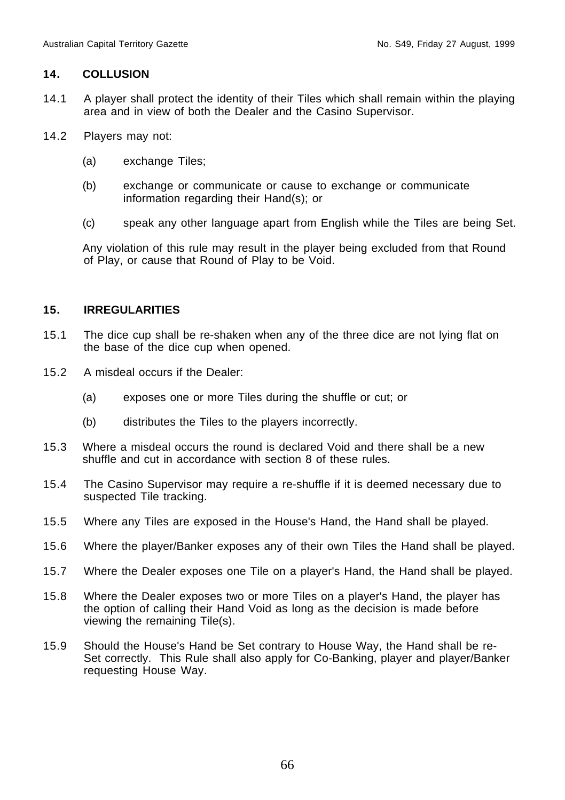## **14. COLLUSION**

- 14.1 A player shall protect the identity of their Tiles which shall remain within the playing area and in view of both the Dealer and the Casino Supervisor.
- 14.2 Players may not:
	- (a) exchange Tiles;
	- (b) exchange or communicate or cause to exchange or communicate information regarding their Hand(s); or
	- (c) speak any other language apart from English while the Tiles are being Set.

Any violation of this rule may result in the player being excluded from that Round of Play, or cause that Round of Play to be Void.

## **15. IRREGULARITIES**

- 15.1 The dice cup shall be re-shaken when any of the three dice are not lying flat on the base of the dice cup when opened.
- 15.2 A misdeal occurs if the Dealer:
	- (a) exposes one or more Tiles during the shuffle or cut; or
	- (b) distributes the Tiles to the players incorrectly.
- 15.3 Where a misdeal occurs the round is declared Void and there shall be a new shuffle and cut in accordance with section 8 of these rules.
- 15.4 The Casino Supervisor may require a re-shuffle if it is deemed necessary due to suspected Tile tracking.
- 15.5 Where any Tiles are exposed in the House's Hand, the Hand shall be played.
- 15.6 Where the player/Banker exposes any of their own Tiles the Hand shall be played.
- 15.7 Where the Dealer exposes one Tile on a player's Hand, the Hand shall be played.
- 15.8 Where the Dealer exposes two or more Tiles on a player's Hand, the player has the option of calling their Hand Void as long as the decision is made before viewing the remaining Tile(s).
- 15.9 Should the House's Hand be Set contrary to House Way, the Hand shall be re-Set correctly. This Rule shall also apply for Co-Banking, player and player/Banker requesting House Way.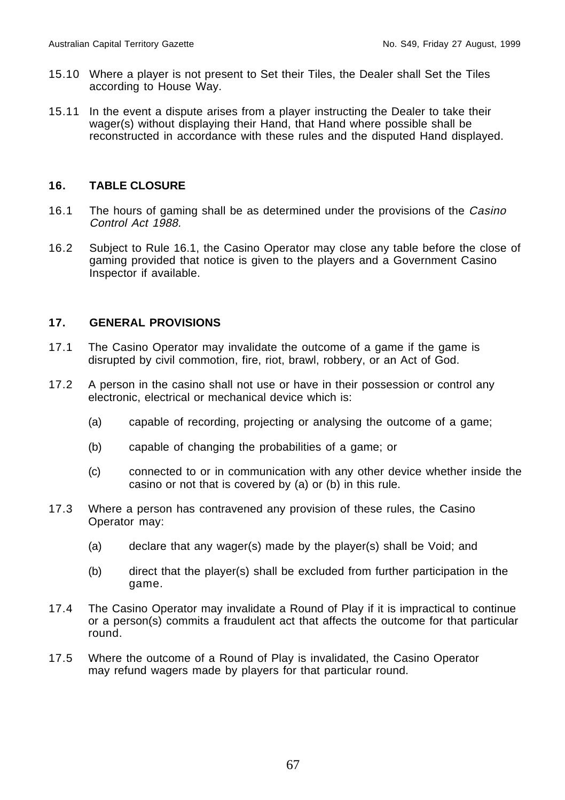- 15.10 Where a player is not present to Set their Tiles, the Dealer shall Set the Tiles according to House Way.
- 15.11 In the event a dispute arises from a player instructing the Dealer to take their wager(s) without displaying their Hand, that Hand where possible shall be reconstructed in accordance with these rules and the disputed Hand displayed.

# **16. TABLE CLOSURE**

- 16.1 The hours of gaming shall be as determined under the provisions of the Casino Control Act 1988.
- 16.2 Subject to Rule 16.1, the Casino Operator may close any table before the close of gaming provided that notice is given to the players and a Government Casino Inspector if available.

# **17. GENERAL PROVISIONS**

- 17.1 The Casino Operator may invalidate the outcome of a game if the game is disrupted by civil commotion, fire, riot, brawl, robbery, or an Act of God.
- 17.2 A person in the casino shall not use or have in their possession or control any electronic, electrical or mechanical device which is:
	- (a) capable of recording, projecting or analysing the outcome of a game;
	- (b) capable of changing the probabilities of a game; or
	- (c) connected to or in communication with any other device whether inside the casino or not that is covered by (a) or (b) in this rule.
- 17.3 Where a person has contravened any provision of these rules, the Casino Operator may:
	- (a) declare that any wager(s) made by the player(s) shall be Void; and
	- (b) direct that the player(s) shall be excluded from further participation in the game.
- 17.4 The Casino Operator may invalidate a Round of Play if it is impractical to continue or a person(s) commits a fraudulent act that affects the outcome for that particular round.
- 17.5 Where the outcome of a Round of Play is invalidated, the Casino Operator may refund wagers made by players for that particular round.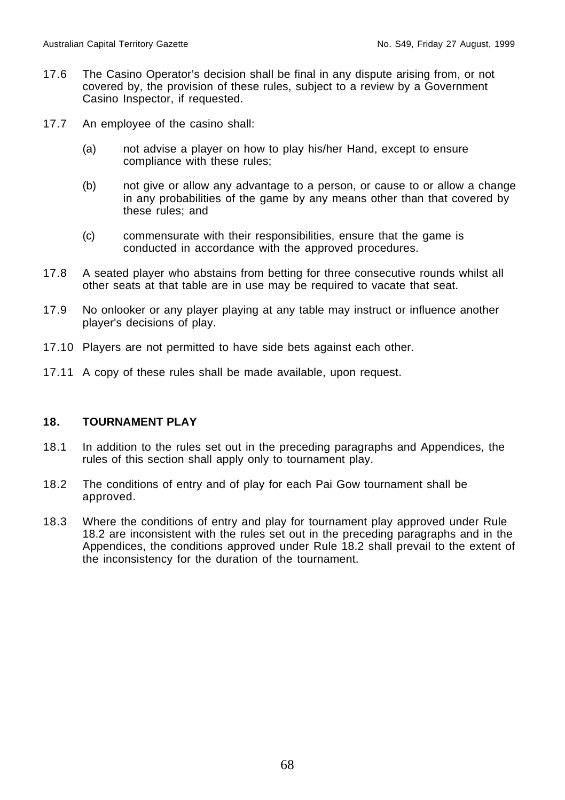- 17.6 The Casino Operator's decision shall be final in any dispute arising from, or not covered by, the provision of these rules, subject to a review by a Government Casino Inspector, if requested.
- 17.7 An employee of the casino shall:
	- (a) not advise a player on how to play his/her Hand, except to ensure compliance with these rules;
	- (b) not give or allow any advantage to a person, or cause to or allow a change in any probabilities of the game by any means other than that covered by these rules; and
	- (c) commensurate with their responsibilities, ensure that the game is conducted in accordance with the approved procedures.
- 17.8 A seated player who abstains from betting for three consecutive rounds whilst all other seats at that table are in use may be required to vacate that seat.
- 17.9 No onlooker or any player playing at any table may instruct or influence another player's decisions of play.
- 17.10 Players are not permitted to have side bets against each other.
- 17.11 A copy of these rules shall be made available, upon request.

## **18. TOURNAMENT PLAY**

- 18.1 In addition to the rules set out in the preceding paragraphs and Appendices, the rules of this section shall apply only to tournament play.
- 18.2 The conditions of entry and of play for each Pai Gow tournament shall be approved.
- 18.3 Where the conditions of entry and play for tournament play approved under Rule 18.2 are inconsistent with the rules set out in the preceding paragraphs and in the Appendices, the conditions approved under Rule 18.2 shall prevail to the extent of the inconsistency for the duration of the tournament.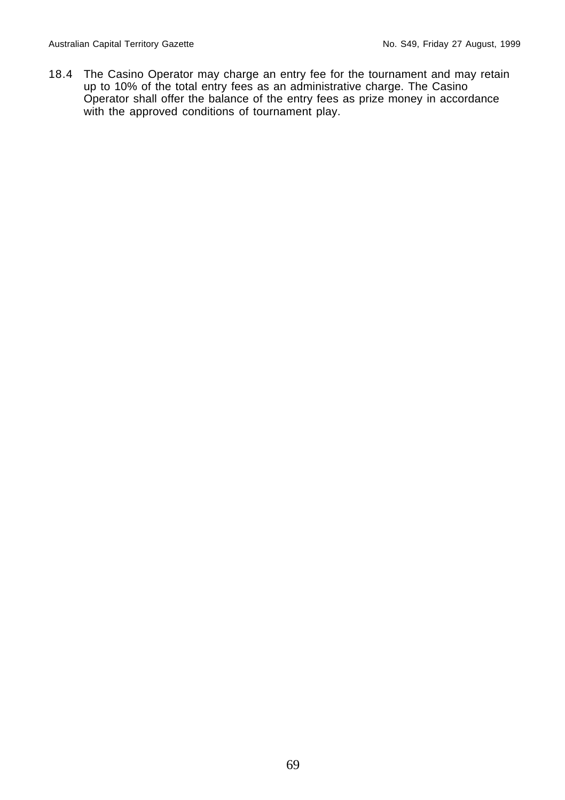18.4 The Casino Operator may charge an entry fee for the tournament and may retain up to 10% of the total entry fees as an administrative charge. The Casino Operator shall offer the balance of the entry fees as prize money in accordance with the approved conditions of tournament play.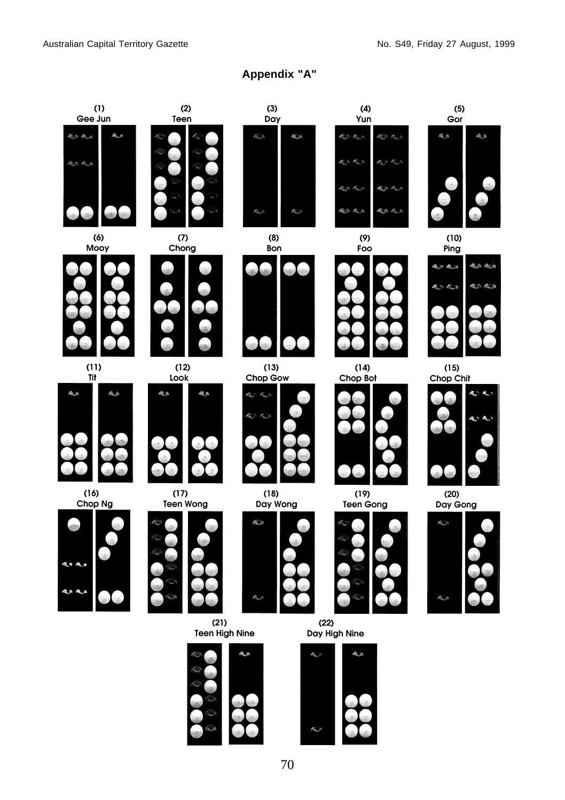**Appendix "A"**



n.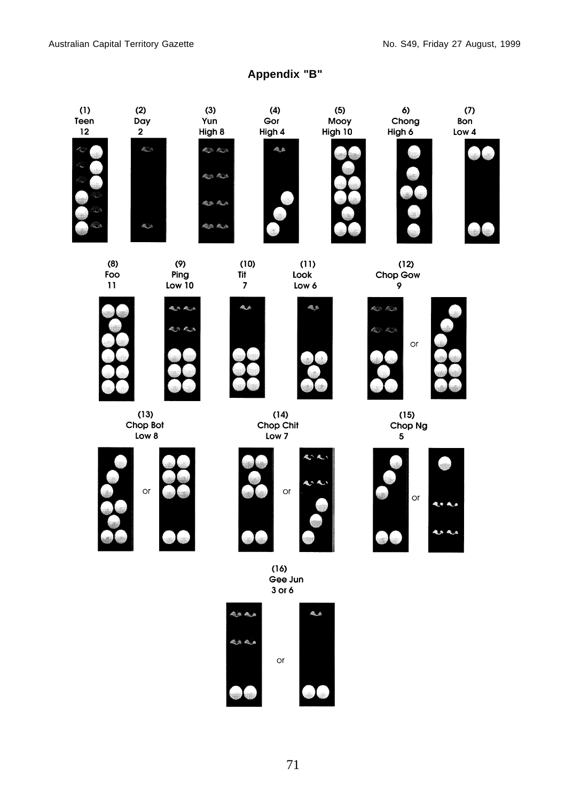# **Appendix "B"**

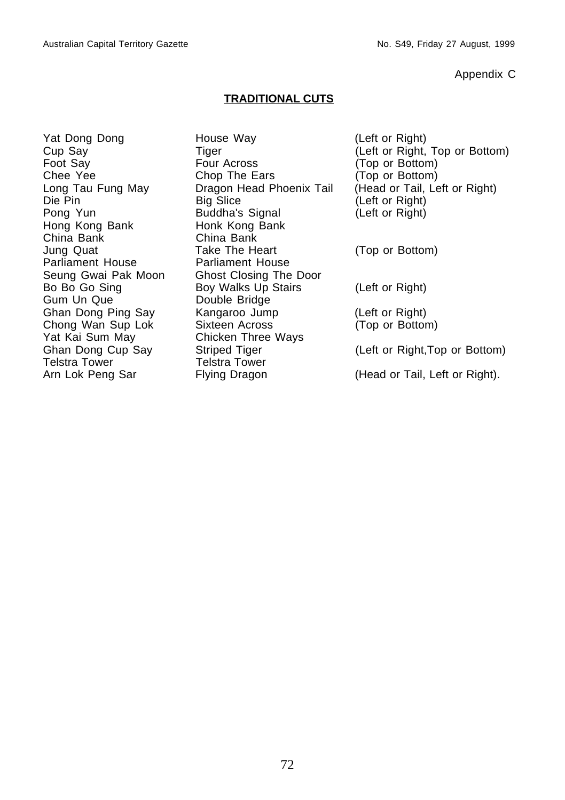Appendix C

# **TRADITIONAL CUTS**

Hong Kong Bank Honk Kong Bank China Bank China Bank Parliament House Parliament House Gum Un Que **Double Bridge** Yat Kai Sum May Chicken Three Ways<br>Ghan Dong Cup Say Striped Tiger Telstra Tower **Telstra Tower** 

Yat Dong Dong **House Way** (Left or Right) Foot Say **Four Across** (Top or Bottom) Chee Yee Chop The Ears (Top or Bottom)<br>
Long Tau Fung May Dragon Head Phoenix Tail (Head or Tail, Le Die Pin Big Slice (Left or Right) Pong Yun Buddha's Signal (Left or Right) Jung Quat Take The Heart (Top or Bottom) Seung Gwai Pak Moon Ghost Closing The Door Bo Bo Go Sing Boy Walks Up Stairs (Left or Right) Ghan Dong Ping Say Kangaroo Jump (Left or Right) Chong Wan Sup Lok Sixteen Across (Top or Bottom) Arn Lok Peng Sar Flying Dragon (Head or Tail, Left or Right).

Cup Say Tiger Tiger (Left or Right, Top or Bottom)<br>
Foot Say Four Across (Top or Bottom) Dragon Head Phoenix Tail (Head or Tail, Left or Right)

Striped Tiger (Left or Right,Top or Bottom)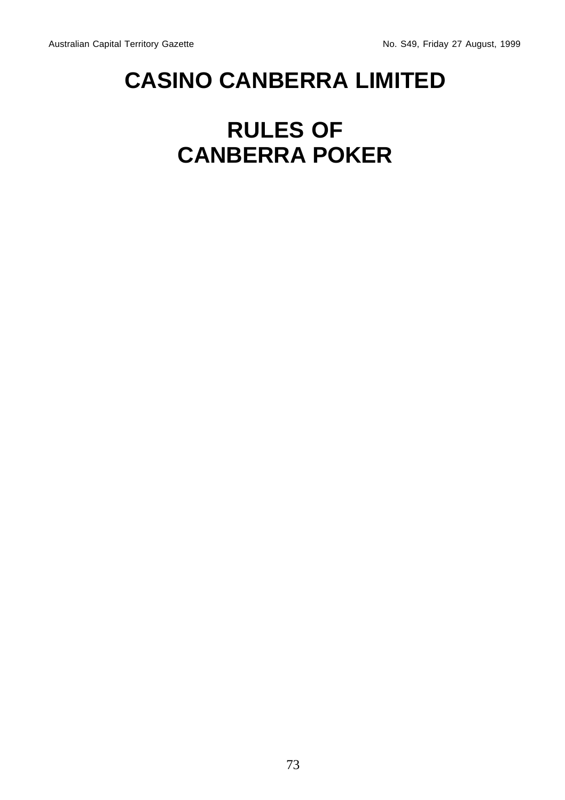## **CASINO CANBERRA LIMITED**

## **RULES OF CANBERRA POKER**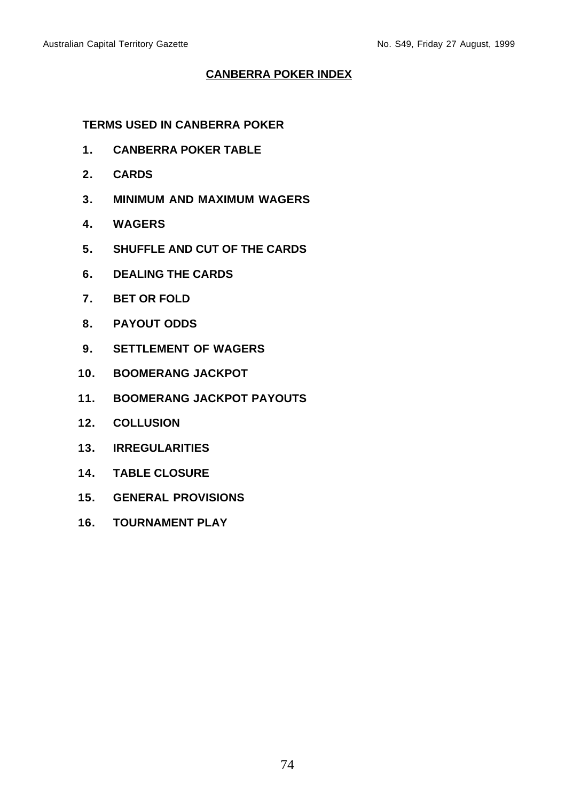#### **CANBERRA POKER INDEX**

**TERMS USED IN CANBERRA POKER**

- **1. CANBERRA POKER TABLE**
- **2. CARDS**
- **3. MINIMUM AND MAXIMUM WAGERS**
- **4. WAGERS**
- **5. SHUFFLE AND CUT OF THE CARDS**
- **6. DEALING THE CARDS**
- **7. BET OR FOLD**
- **8. PAYOUT ODDS**
- **9. SETTLEMENT OF WAGERS**
- **10. BOOMERANG JACKPOT**
- **11. BOOMERANG JACKPOT PAYOUTS**
- **12. COLLUSION**
- **13. IRREGULARITIES**
- **14. TABLE CLOSURE**
- **15. GENERAL PROVISIONS**
- **16. TOURNAMENT PLAY**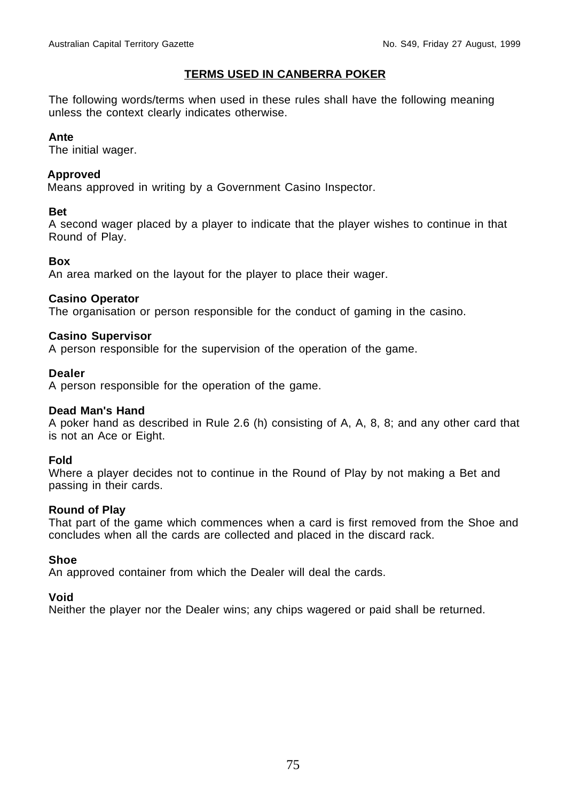#### **TERMS USED IN CANBERRA POKER**

The following words/terms when used in these rules shall have the following meaning unless the context clearly indicates otherwise.

#### **Ante**

The initial wager.

#### **Approved**

Means approved in writing by a Government Casino Inspector.

#### **Bet**

A second wager placed by a player to indicate that the player wishes to continue in that Round of Play.

#### **Box**

An area marked on the layout for the player to place their wager.

#### **Casino Operator**

The organisation or person responsible for the conduct of gaming in the casino.

#### **Casino Supervisor**

A person responsible for the supervision of the operation of the game.

#### **Dealer**

A person responsible for the operation of the game.

#### **Dead Man's Hand**

A poker hand as described in Rule 2.6 (h) consisting of A, A, 8, 8; and any other card that is not an Ace or Eight.

#### **Fold**

Where a player decides not to continue in the Round of Play by not making a Bet and passing in their cards.

#### **Round of Play**

That part of the game which commences when a card is first removed from the Shoe and concludes when all the cards are collected and placed in the discard rack.

#### **Shoe**

An approved container from which the Dealer will deal the cards.

#### **Void**

Neither the player nor the Dealer wins; any chips wagered or paid shall be returned.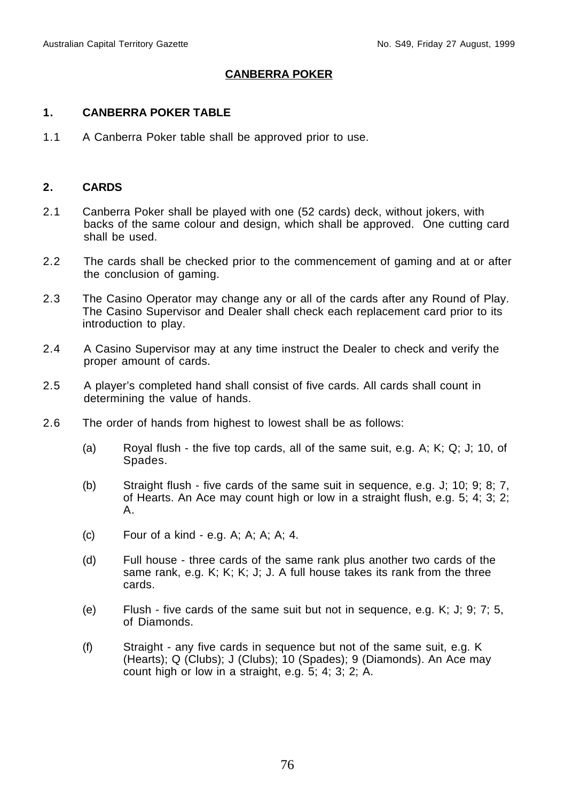### **CANBERRA POKER**

#### **1. CANBERRA POKER TABLE**

1.1 A Canberra Poker table shall be approved prior to use.

#### **2. CARDS**

- 2.1 Canberra Poker shall be played with one (52 cards) deck, without jokers, with backs of the same colour and design, which shall be approved. One cutting card shall be used.
- 2.2 The cards shall be checked prior to the commencement of gaming and at or after the conclusion of gaming.
- 2.3 The Casino Operator may change any or all of the cards after any Round of Play. The Casino Supervisor and Dealer shall check each replacement card prior to its introduction to play.
- 2.4 A Casino Supervisor may at any time instruct the Dealer to check and verify the proper amount of cards.
- 2.5 A player's completed hand shall consist of five cards. All cards shall count in determining the value of hands.
- 2.6 The order of hands from highest to lowest shall be as follows:
	- (a) Royal flush the five top cards, all of the same suit, e.g. A; K; Q; J; 10, of Spades.
	- (b) Straight flush five cards of the same suit in sequence, e.g. J; 10; 9; 8; 7, of Hearts. An Ace may count high or low in a straight flush, e.g. 5; 4; 3; 2; A.
	- $(c)$  Four of a kind e.g. A; A; A; A; 4.
	- (d) Full house three cards of the same rank plus another two cards of the same rank, e.g. K; K; K; J; J. A full house takes its rank from the three cards.
	- (e) Flush five cards of the same suit but not in sequence, e.g. K; J; 9; 7; 5, of Diamonds.
	- (f) Straight any five cards in sequence but not of the same suit, e.g. K (Hearts); Q (Clubs); J (Clubs); 10 (Spades); 9 (Diamonds). An Ace may count high or low in a straight, e.g. 5; 4; 3; 2; A.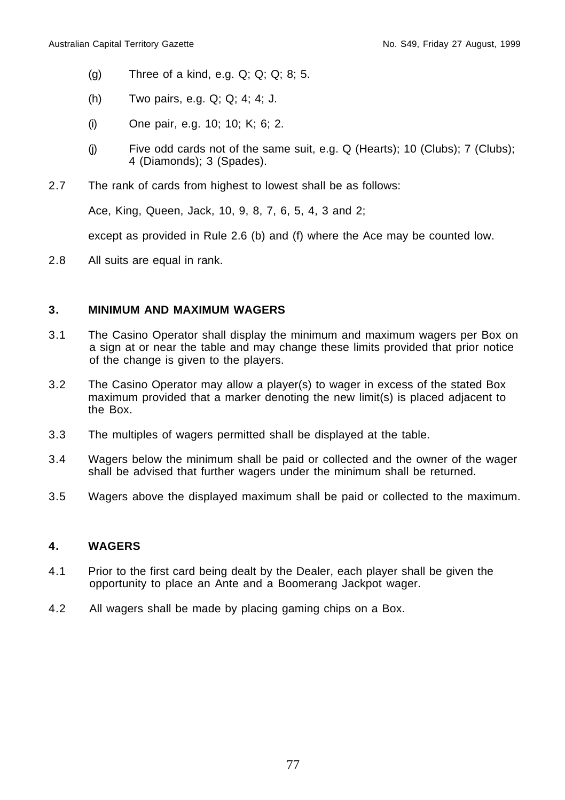- (g) Three of a kind, e.g. Q; Q; Q; 8; 5.
- (h) Two pairs, e.g. Q; Q; 4; 4; J.
- (i) One pair, e.g. 10; 10; K; 6; 2.
- (i) Five odd cards not of the same suit, e.g.  $Q$  (Hearts); 10 (Clubs); 7 (Clubs); 4 (Diamonds); 3 (Spades).
- 2.7 The rank of cards from highest to lowest shall be as follows:

Ace, King, Queen, Jack, 10, 9, 8, 7, 6, 5, 4, 3 and 2;

except as provided in Rule 2.6 (b) and (f) where the Ace may be counted low.

2.8 All suits are equal in rank.

#### **3. MINIMUM AND MAXIMUM WAGERS**

- 3.1 The Casino Operator shall display the minimum and maximum wagers per Box on a sign at or near the table and may change these limits provided that prior notice of the change is given to the players.
- 3.2 The Casino Operator may allow a player(s) to wager in excess of the stated Box maximum provided that a marker denoting the new limit(s) is placed adjacent to the Box.
- 3.3 The multiples of wagers permitted shall be displayed at the table.
- 3.4 Wagers below the minimum shall be paid or collected and the owner of the wager shall be advised that further wagers under the minimum shall be returned.
- 3.5 Wagers above the displayed maximum shall be paid or collected to the maximum.

#### **4. WAGERS**

- 4.1 Prior to the first card being dealt by the Dealer, each player shall be given the opportunity to place an Ante and a Boomerang Jackpot wager.
- 4.2 All wagers shall be made by placing gaming chips on a Box.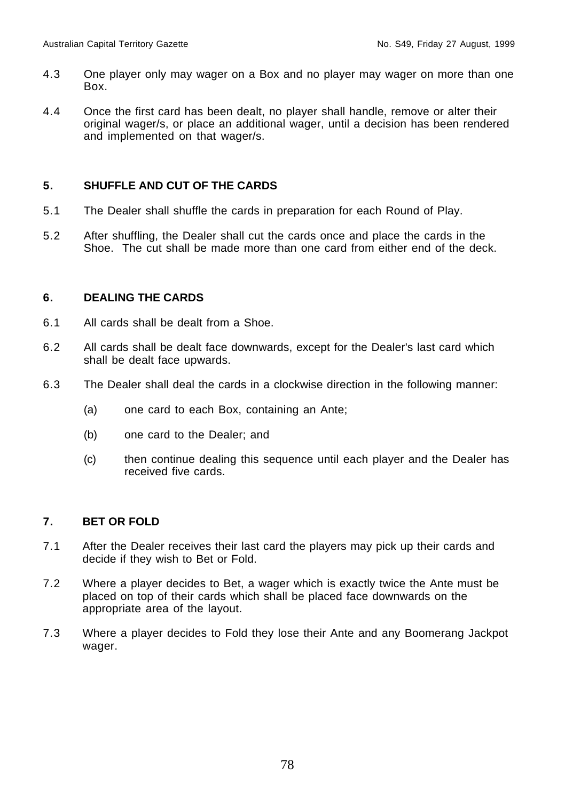- 4.3 One player only may wager on a Box and no player may wager on more than one Box.
- 4.4 Once the first card has been dealt, no player shall handle, remove or alter their original wager/s, or place an additional wager, until a decision has been rendered and implemented on that wager/s.

#### **5. SHUFFLE AND CUT OF THE CARDS**

- 5.1 The Dealer shall shuffle the cards in preparation for each Round of Play.
- 5.2 After shuffling, the Dealer shall cut the cards once and place the cards in the Shoe. The cut shall be made more than one card from either end of the deck.

#### **6. DEALING THE CARDS**

- 6.1 All cards shall be dealt from a Shoe.
- 6.2 All cards shall be dealt face downwards, except for the Dealer's last card which shall be dealt face upwards.
- 6.3 The Dealer shall deal the cards in a clockwise direction in the following manner:
	- (a) one card to each Box, containing an Ante;
	- (b) one card to the Dealer; and
	- (c) then continue dealing this sequence until each player and the Dealer has received five cards.

#### **7. BET OR FOLD**

- 7.1 After the Dealer receives their last card the players may pick up their cards and decide if they wish to Bet or Fold.
- 7.2 Where a player decides to Bet, a wager which is exactly twice the Ante must be placed on top of their cards which shall be placed face downwards on the appropriate area of the layout.
- 7.3 Where a player decides to Fold they lose their Ante and any Boomerang Jackpot wager.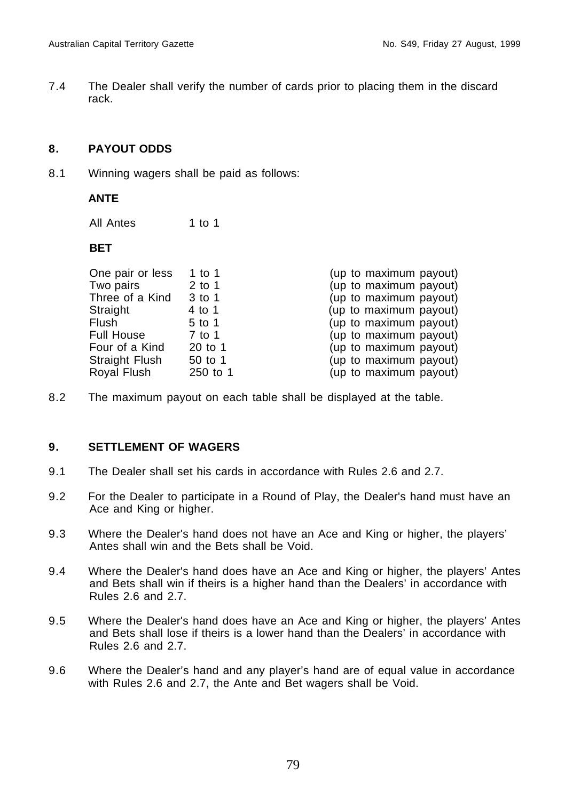7.4 The Dealer shall verify the number of cards prior to placing them in the discard rack.

#### **8. PAYOUT ODDS**

8.1 Winning wagers shall be paid as follows:

#### **ANTE**

All Antes 1 to 1

#### **BET**

| One pair or less  | 1 to 1   | (up to maximum payout) |
|-------------------|----------|------------------------|
| Two pairs         | 2 to 1   | (up to maximum payout) |
| Three of a Kind   | 3 to 1   | (up to maximum payout) |
| Straight          | 4 to 1   | (up to maximum payout) |
| Flush             | 5 to 1   | (up to maximum payout) |
| <b>Full House</b> | 7 to 1   | (up to maximum payout) |
| Four of a Kind    | 20 to 1  | (up to maximum payout) |
| Straight Flush    | 50 to 1  | (up to maximum payout) |
| Royal Flush       | 250 to 1 | (up to maximum payout) |

8.2 The maximum payout on each table shall be displayed at the table.

#### **9. SETTLEMENT OF WAGERS**

- 9.1 The Dealer shall set his cards in accordance with Rules 2.6 and 2.7.
- 9.2 For the Dealer to participate in a Round of Play, the Dealer's hand must have an Ace and King or higher.
- 9.3 Where the Dealer's hand does not have an Ace and King or higher, the players' Antes shall win and the Bets shall be Void.
- 9.4 Where the Dealer's hand does have an Ace and King or higher, the players' Antes and Bets shall win if theirs is a higher hand than the Dealers' in accordance with Rules 2.6 and 2.7.
- 9.5 Where the Dealer's hand does have an Ace and King or higher, the players' Antes and Bets shall lose if theirs is a lower hand than the Dealers' in accordance with Rules 2.6 and 2.7.
- 9.6 Where the Dealer's hand and any player's hand are of equal value in accordance with Rules 2.6 and 2.7, the Ante and Bet wagers shall be Void.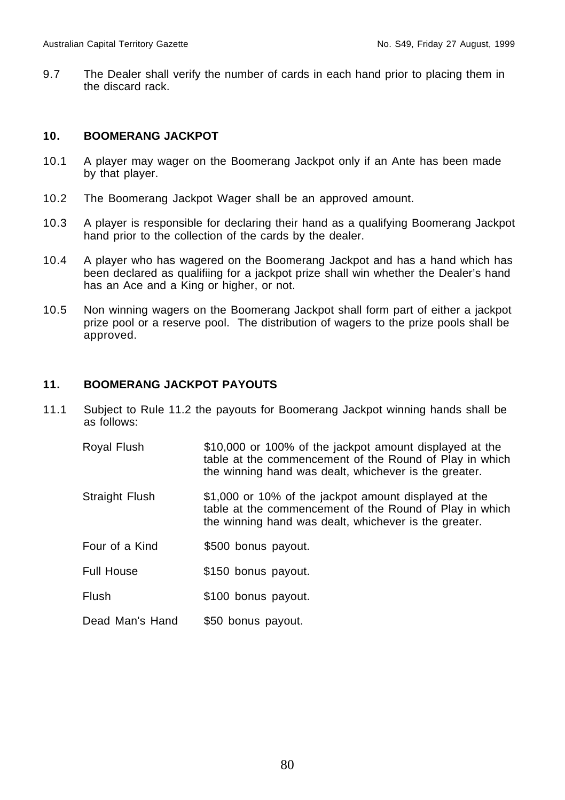9.7 The Dealer shall verify the number of cards in each hand prior to placing them in the discard rack.

#### **10. BOOMERANG JACKPOT**

- 10.1 A player may wager on the Boomerang Jackpot only if an Ante has been made by that player.
- 10.2 The Boomerang Jackpot Wager shall be an approved amount.
- 10.3 A player is responsible for declaring their hand as a qualifying Boomerang Jackpot hand prior to the collection of the cards by the dealer.
- 10.4 A player who has wagered on the Boomerang Jackpot and has a hand which has been declared as qualifiing for a jackpot prize shall win whether the Dealer's hand has an Ace and a King or higher, or not.
- 10.5 Non winning wagers on the Boomerang Jackpot shall form part of either a jackpot prize pool or a reserve pool. The distribution of wagers to the prize pools shall be approved.

#### **11. BOOMERANG JACKPOT PAYOUTS**

- 11.1 Subject to Rule 11.2 the payouts for Boomerang Jackpot winning hands shall be as follows:
	- Royal Flush \$10,000 or 100% of the jackpot amount displayed at the table at the commencement of the Round of Play in which the winning hand was dealt, whichever is the greater.
	- Straight Flush \$1,000 or 10% of the jackpot amount displayed at the table at the commencement of the Round of Play in which the winning hand was dealt, whichever is the greater.
	- Four of a Kind \$500 bonus payout.
	- Full House  $$150$  bonus payout.
	- Flush \$100 bonus payout.
	- Dead Man's Hand \$50 bonus payout.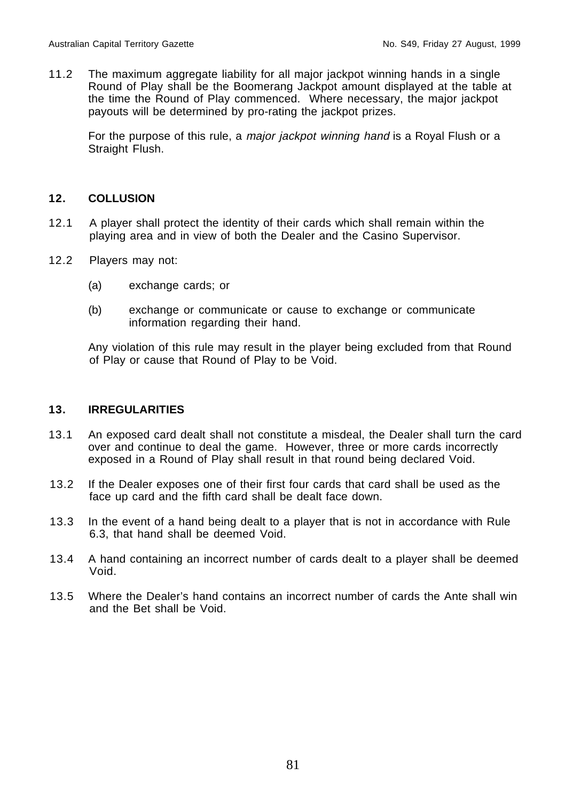11.2 The maximum aggregate liability for all major jackpot winning hands in a single Round of Play shall be the Boomerang Jackpot amount displayed at the table at the time the Round of Play commenced. Where necessary, the major jackpot payouts will be determined by pro-rating the jackpot prizes.

For the purpose of this rule, a *major jackpot winning hand* is a Royal Flush or a Straight Flush.

#### **12. COLLUSION**

- 12.1 A player shall protect the identity of their cards which shall remain within the playing area and in view of both the Dealer and the Casino Supervisor.
- 12.2 Players may not:
	- (a) exchange cards; or
	- (b) exchange or communicate or cause to exchange or communicate information regarding their hand.

Any violation of this rule may result in the player being excluded from that Round of Play or cause that Round of Play to be Void.

#### **13. IRREGULARITIES**

- 13.1 An exposed card dealt shall not constitute a misdeal, the Dealer shall turn the card over and continue to deal the game. However, three or more cards incorrectly exposed in a Round of Play shall result in that round being declared Void.
- 13.2 If the Dealer exposes one of their first four cards that card shall be used as the face up card and the fifth card shall be dealt face down.
- 13.3 In the event of a hand being dealt to a player that is not in accordance with Rule 6.3, that hand shall be deemed Void.
- 13.4 A hand containing an incorrect number of cards dealt to a player shall be deemed Void.
- 13.5 Where the Dealer's hand contains an incorrect number of cards the Ante shall win and the Bet shall be Void.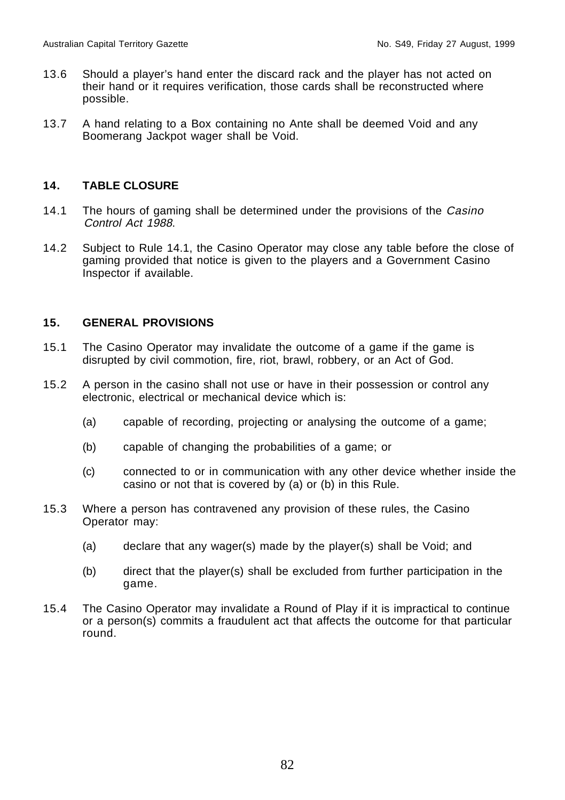- 13.6 Should a player's hand enter the discard rack and the player has not acted on their hand or it requires verification, those cards shall be reconstructed where possible.
- 13.7 A hand relating to a Box containing no Ante shall be deemed Void and any Boomerang Jackpot wager shall be Void.

#### **14. TABLE CLOSURE**

- 14.1 The hours of gaming shall be determined under the provisions of the Casino Control Act 1988.
- 14.2 Subject to Rule 14.1, the Casino Operator may close any table before the close of gaming provided that notice is given to the players and a Government Casino Inspector if available.

#### **15. GENERAL PROVISIONS**

- 15.1 The Casino Operator may invalidate the outcome of a game if the game is disrupted by civil commotion, fire, riot, brawl, robbery, or an Act of God.
- 15.2 A person in the casino shall not use or have in their possession or control any electronic, electrical or mechanical device which is:
	- (a) capable of recording, projecting or analysing the outcome of a game;
	- (b) capable of changing the probabilities of a game; or
	- (c) connected to or in communication with any other device whether inside the casino or not that is covered by (a) or (b) in this Rule.
- 15.3 Where a person has contravened any provision of these rules, the Casino Operator may:
	- (a) declare that any wager(s) made by the player(s) shall be Void; and
	- (b) direct that the player(s) shall be excluded from further participation in the game.
- 15.4 The Casino Operator may invalidate a Round of Play if it is impractical to continue or a person(s) commits a fraudulent act that affects the outcome for that particular round.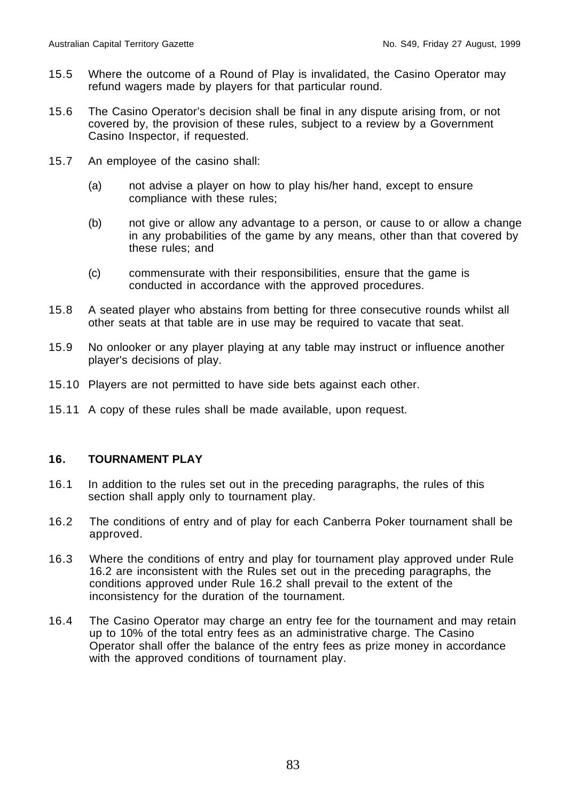- 15.5 Where the outcome of a Round of Play is invalidated, the Casino Operator may refund wagers made by players for that particular round.
- 15.6 The Casino Operator's decision shall be final in any dispute arising from, or not covered by, the provision of these rules, subject to a review by a Government Casino Inspector, if requested.
- 15.7 An employee of the casino shall:
	- (a) not advise a player on how to play his/her hand, except to ensure compliance with these rules;
	- (b) not give or allow any advantage to a person, or cause to or allow a change in any probabilities of the game by any means, other than that covered by these rules; and
	- (c) commensurate with their responsibilities, ensure that the game is conducted in accordance with the approved procedures.
- 15.8 A seated player who abstains from betting for three consecutive rounds whilst all other seats at that table are in use may be required to vacate that seat.
- 15.9 No onlooker or any player playing at any table may instruct or influence another player's decisions of play.
- 15.10 Players are not permitted to have side bets against each other.
- 15.11 A copy of these rules shall be made available, upon request.

#### **16. TOURNAMENT PLAY**

- 16.1 In addition to the rules set out in the preceding paragraphs, the rules of this section shall apply only to tournament play.
- 16.2 The conditions of entry and of play for each Canberra Poker tournament shall be approved.
- 16.3 Where the conditions of entry and play for tournament play approved under Rule 16.2 are inconsistent with the Rules set out in the preceding paragraphs, the conditions approved under Rule 16.2 shall prevail to the extent of the inconsistency for the duration of the tournament.
- 16.4 The Casino Operator may charge an entry fee for the tournament and may retain up to 10% of the total entry fees as an administrative charge. The Casino Operator shall offer the balance of the entry fees as prize money in accordance with the approved conditions of tournament play.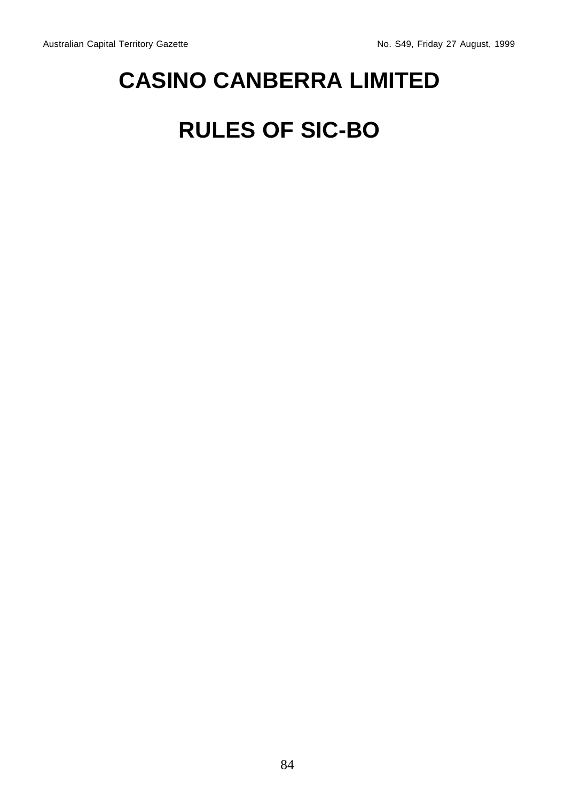## **CASINO CANBERRA LIMITED**

## **RULES OF SIC-BO**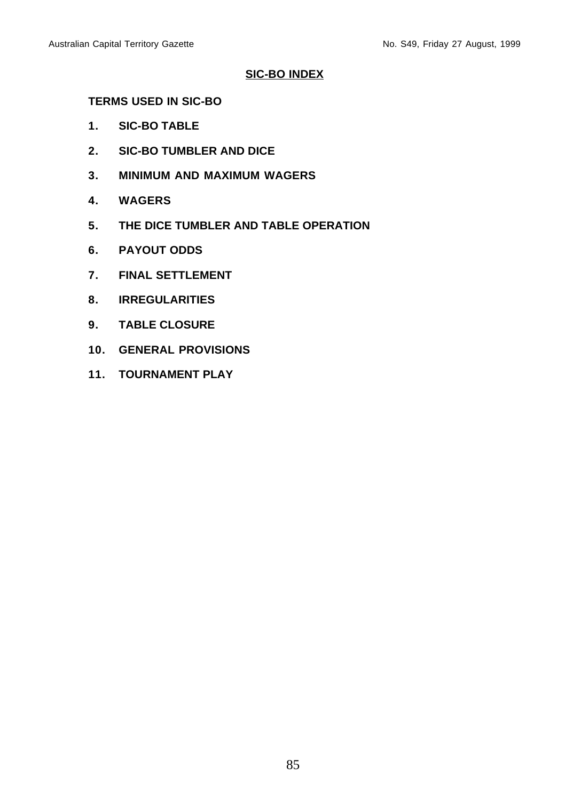#### **SIC-BO INDEX**

#### **TERMS USED IN SIC-BO**

- **1. SIC-BO TABLE**
- **2. SIC-BO TUMBLER AND DICE**
- **3. MINIMUM AND MAXIMUM WAGERS**
- **4. WAGERS**
- **5. THE DICE TUMBLER AND TABLE OPERATION**
- **6. PAYOUT ODDS**
- **7. FINAL SETTLEMENT**
- **8. IRREGULARITIES**
- **9. TABLE CLOSURE**
- **10. GENERAL PROVISIONS**
- **11. TOURNAMENT PLAY**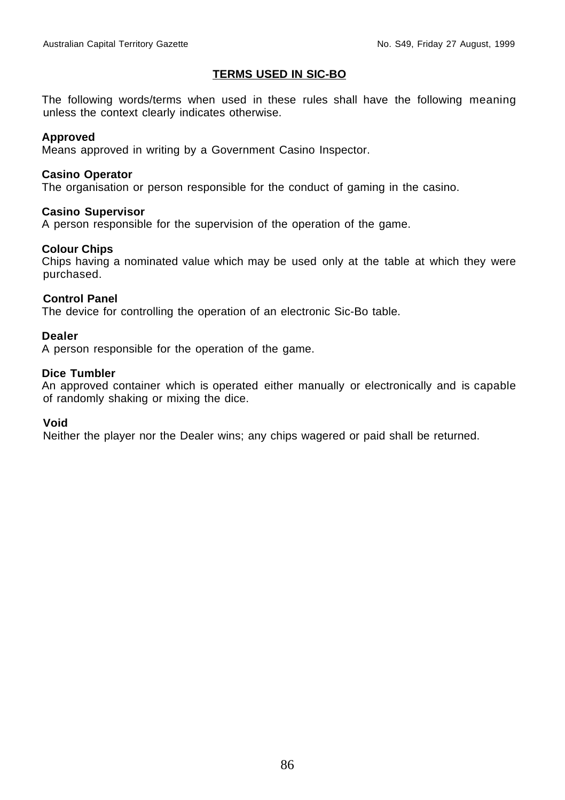#### **TERMS USED IN SIC-BO**

The following words/terms when used in these rules shall have the following meaning unless the context clearly indicates otherwise.

#### **Approved**

Means approved in writing by a Government Casino Inspector.

#### **Casino Operator**

The organisation or person responsible for the conduct of gaming in the casino.

#### **Casino Supervisor**

A person responsible for the supervision of the operation of the game.

#### **Colour Chips**

Chips having a nominated value which may be used only at the table at which they were purchased.

#### **Control Panel**

The device for controlling the operation of an electronic Sic-Bo table.

#### **Dealer**

A person responsible for the operation of the game.

#### **Dice Tumbler**

An approved container which is operated either manually or electronically and is capable of randomly shaking or mixing the dice.

#### **Void**

Neither the player nor the Dealer wins; any chips wagered or paid shall be returned.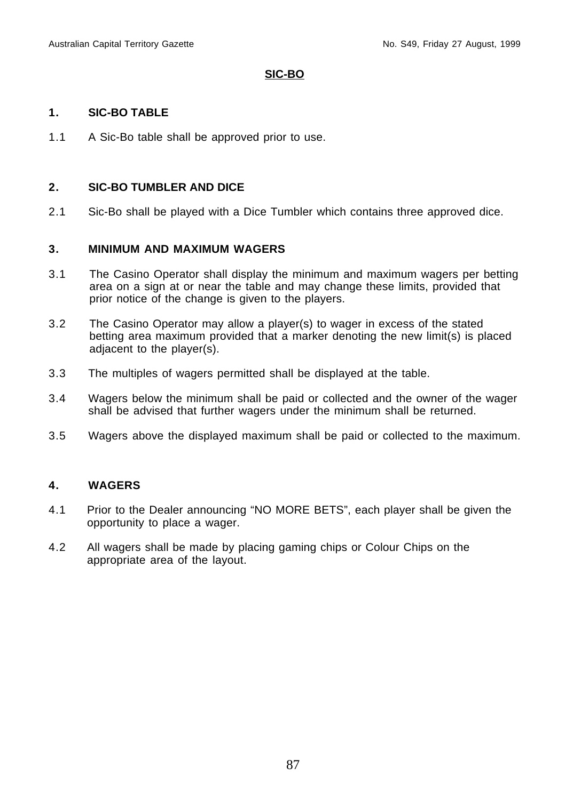#### **SIC-BO**

#### **1. SIC-BO TABLE**

1.1 A Sic-Bo table shall be approved prior to use.

#### **2. SIC-BO TUMBLER AND DICE**

2.1 Sic-Bo shall be played with a Dice Tumbler which contains three approved dice.

#### **3. MINIMUM AND MAXIMUM WAGERS**

- 3.1 The Casino Operator shall display the minimum and maximum wagers per betting area on a sign at or near the table and may change these limits, provided that prior notice of the change is given to the players.
- 3.2 The Casino Operator may allow a player(s) to wager in excess of the stated betting area maximum provided that a marker denoting the new limit(s) is placed adjacent to the player(s).
- 3.3 The multiples of wagers permitted shall be displayed at the table.
- 3.4 Wagers below the minimum shall be paid or collected and the owner of the wager shall be advised that further wagers under the minimum shall be returned.
- 3.5 Wagers above the displayed maximum shall be paid or collected to the maximum.

#### **4. WAGERS**

- 4.1 Prior to the Dealer announcing "NO MORE BETS", each player shall be given the opportunity to place a wager.
- 4.2 All wagers shall be made by placing gaming chips or Colour Chips on the appropriate area of the layout.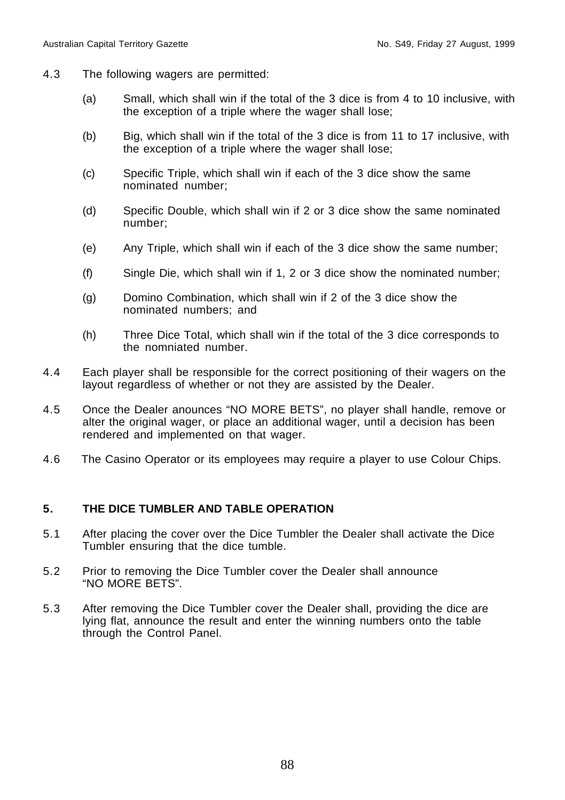- 4.3 The following wagers are permitted:
	- (a) Small, which shall win if the total of the 3 dice is from 4 to 10 inclusive, with the exception of a triple where the wager shall lose;
	- (b) Big, which shall win if the total of the 3 dice is from 11 to 17 inclusive, with the exception of a triple where the wager shall lose;
	- (c) Specific Triple, which shall win if each of the 3 dice show the same nominated number;
	- (d) Specific Double, which shall win if 2 or 3 dice show the same nominated number;
	- (e) Any Triple, which shall win if each of the 3 dice show the same number;
	- (f) Single Die, which shall win if 1, 2 or 3 dice show the nominated number;
	- (g) Domino Combination, which shall win if 2 of the 3 dice show the nominated numbers; and
	- (h) Three Dice Total, which shall win if the total of the 3 dice corresponds to the nomniated number.
- 4.4 Each player shall be responsible for the correct positioning of their wagers on the layout regardless of whether or not they are assisted by the Dealer.
- 4.5 Once the Dealer anounces "NO MORE BETS", no player shall handle, remove or alter the original wager, or place an additional wager, until a decision has been rendered and implemented on that wager.
- 4.6 The Casino Operator or its employees may require a player to use Colour Chips.

#### **5. THE DICE TUMBLER AND TABLE OPERATION**

- 5.1 After placing the cover over the Dice Tumbler the Dealer shall activate the Dice Tumbler ensuring that the dice tumble.
- 5.2 Prior to removing the Dice Tumbler cover the Dealer shall announce "NO MORE BETS".
- 5.3 After removing the Dice Tumbler cover the Dealer shall, providing the dice are lying flat, announce the result and enter the winning numbers onto the table through the Control Panel.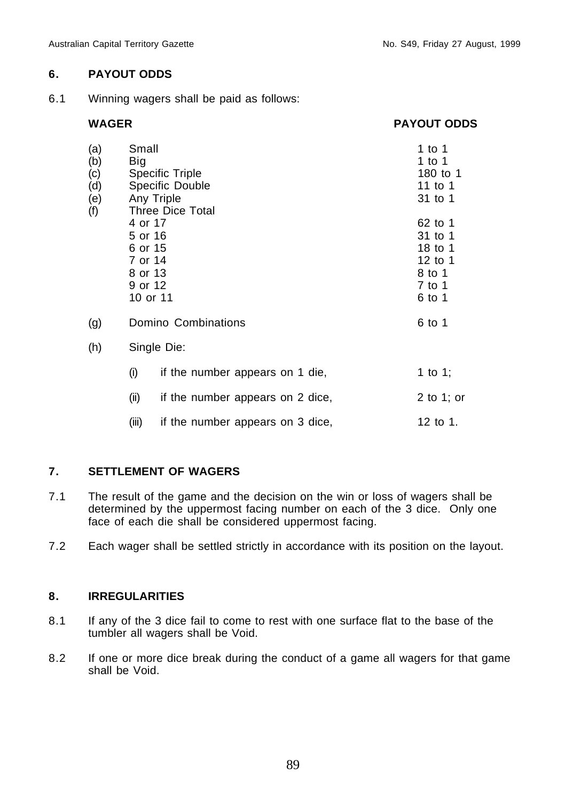#### **6. PAYOUT ODDS**

6.1 Winning wagers shall be paid as follows:

#### **WAGER PAYOUT ODDS**

| (a)<br>(b)<br>(c)<br>(d)<br>(e)<br>(f) | Small<br>Big<br><b>Specific Triple</b><br>Specific Double<br>Any Triple<br><b>Three Dice Total</b> | 1 to 1<br>1 to 1<br>180 to 1<br>11 to 1<br>31 to 1                     |            |  |  |
|----------------------------------------|----------------------------------------------------------------------------------------------------|------------------------------------------------------------------------|------------|--|--|
|                                        | 4 or 17<br>5 or 16<br>6 or 15<br>7 or 14<br>8 or 13<br>9 or 12<br>10 or 11                         | 62 to 1<br>31 to 1<br>18 to 1<br>12 to 1<br>8 to 1<br>7 to 1<br>6 to 1 |            |  |  |
| (g)                                    |                                                                                                    | Domino Combinations<br>6 to 1                                          |            |  |  |
| (h)                                    |                                                                                                    | Single Die:                                                            |            |  |  |
|                                        | (i)                                                                                                | if the number appears on 1 die,                                        | 1 to 1;    |  |  |
|                                        | (ii)                                                                                               | if the number appears on 2 dice,                                       | 2 to 1; or |  |  |
|                                        | (iii)                                                                                              | if the number appears on 3 dice,                                       | 12 to 1.   |  |  |

#### **7. SETTLEMENT OF WAGERS**

- 7.1 The result of the game and the decision on the win or loss of wagers shall be determined by the uppermost facing number on each of the 3 dice. Only one face of each die shall be considered uppermost facing.
- 7.2 Each wager shall be settled strictly in accordance with its position on the layout.

### **8. IRREGULARITIES**

- 8.1 If any of the 3 dice fail to come to rest with one surface flat to the base of the tumbler all wagers shall be Void.
- 8.2 If one or more dice break during the conduct of a game all wagers for that game shall be Void.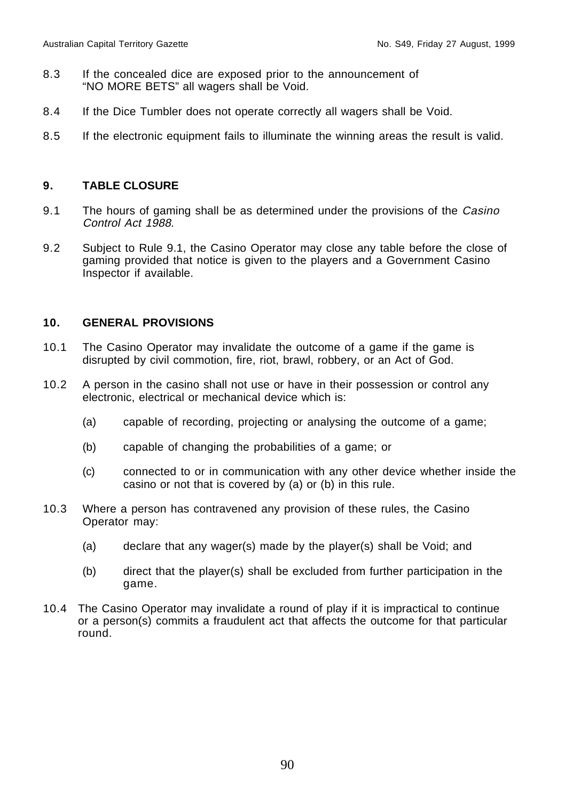- 8.3 If the concealed dice are exposed prior to the announcement of "NO MORE BETS" all wagers shall be Void.
- 8.4 If the Dice Tumbler does not operate correctly all wagers shall be Void.
- 8.5 If the electronic equipment fails to illuminate the winning areas the result is valid.

#### **9. TABLE CLOSURE**

- 9.1 The hours of gaming shall be as determined under the provisions of the Casino Control Act 1988.
- 9.2 Subject to Rule 9.1, the Casino Operator may close any table before the close of gaming provided that notice is given to the players and a Government Casino Inspector if available.

#### **10. GENERAL PROVISIONS**

- 10.1 The Casino Operator may invalidate the outcome of a game if the game is disrupted by civil commotion, fire, riot, brawl, robbery, or an Act of God.
- 10.2 A person in the casino shall not use or have in their possession or control any electronic, electrical or mechanical device which is:
	- (a) capable of recording, projecting or analysing the outcome of a game;
	- (b) capable of changing the probabilities of a game; or
	- (c) connected to or in communication with any other device whether inside the casino or not that is covered by (a) or (b) in this rule.
- 10.3 Where a person has contravened any provision of these rules, the Casino Operator may:
	- (a) declare that any wager(s) made by the player(s) shall be Void; and
	- (b) direct that the player(s) shall be excluded from further participation in the game.
- 10.4 The Casino Operator may invalidate a round of play if it is impractical to continue or a person(s) commits a fraudulent act that affects the outcome for that particular round.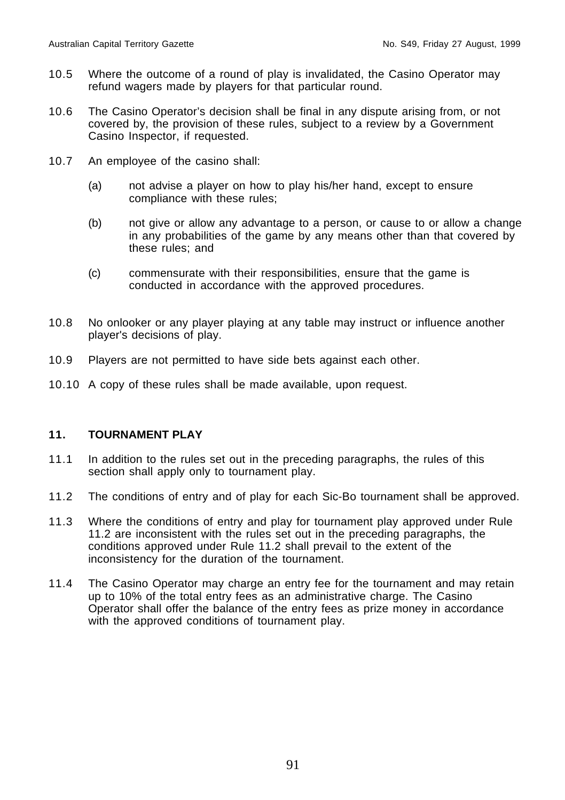- 10.5 Where the outcome of a round of play is invalidated, the Casino Operator may refund wagers made by players for that particular round.
- 10.6 The Casino Operator's decision shall be final in any dispute arising from, or not covered by, the provision of these rules, subject to a review by a Government Casino Inspector, if requested.
- 10.7 An employee of the casino shall:
	- (a) not advise a player on how to play his/her hand, except to ensure compliance with these rules;
	- (b) not give or allow any advantage to a person, or cause to or allow a change in any probabilities of the game by any means other than that covered by these rules; and
	- (c) commensurate with their responsibilities, ensure that the game is conducted in accordance with the approved procedures.
- 10.8 No onlooker or any player playing at any table may instruct or influence another player's decisions of play.
- 10.9 Players are not permitted to have side bets against each other.
- 10.10 A copy of these rules shall be made available, upon request.

#### **11. TOURNAMENT PLAY**

- 11.1 In addition to the rules set out in the preceding paragraphs, the rules of this section shall apply only to tournament play.
- 11.2 The conditions of entry and of play for each Sic-Bo tournament shall be approved.
- 11.3 Where the conditions of entry and play for tournament play approved under Rule 11.2 are inconsistent with the rules set out in the preceding paragraphs, the conditions approved under Rule 11.2 shall prevail to the extent of the inconsistency for the duration of the tournament.
- 11.4 The Casino Operator may charge an entry fee for the tournament and may retain up to 10% of the total entry fees as an administrative charge. The Casino Operator shall offer the balance of the entry fees as prize money in accordance with the approved conditions of tournament play.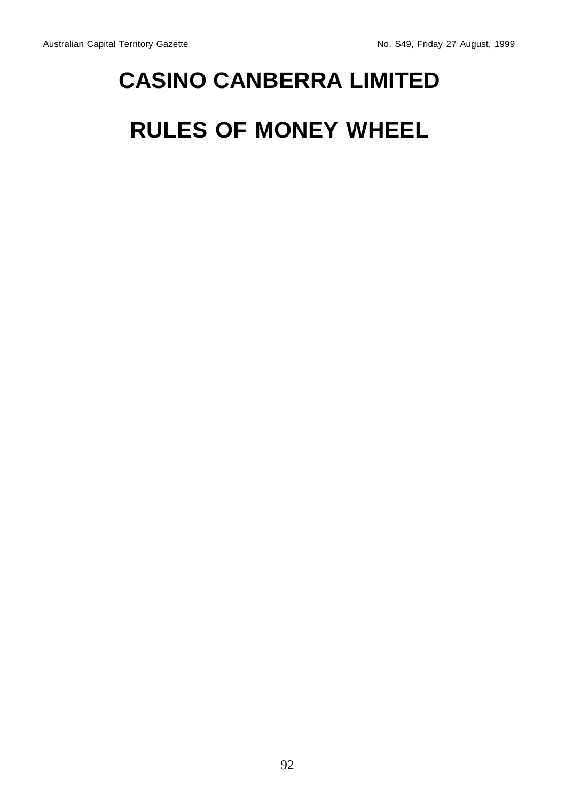# **CASINO CANBERRA LIMITED**

## **RULES OF MONEY WHEEL**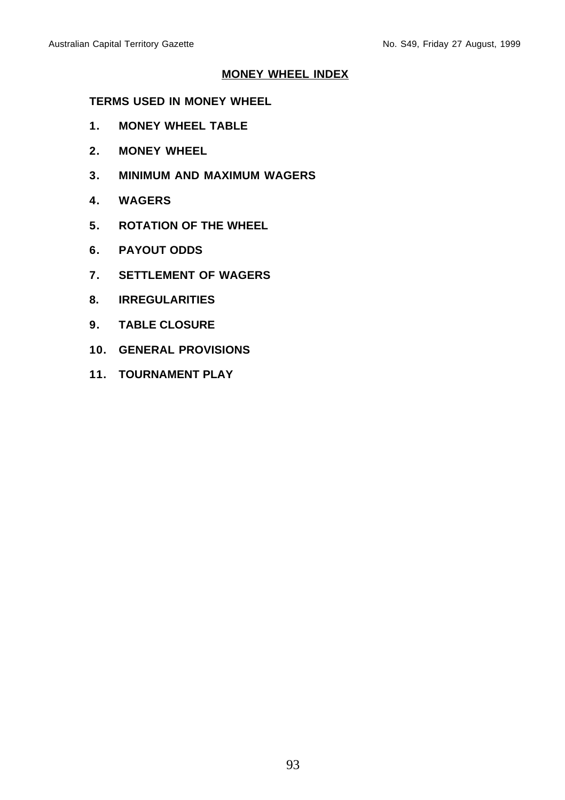#### **MONEY WHEEL INDEX**

#### **TERMS USED IN MONEY WHEEL**

- **1. MONEY WHEEL TABLE**
- **2. MONEY WHEEL**
- **3. MINIMUM AND MAXIMUM WAGERS**
- **4. WAGERS**
- **5. ROTATION OF THE WHEEL**
- **6. PAYOUT ODDS**
- **7. SETTLEMENT OF WAGERS**
- **8. IRREGULARITIES**
- **9. TABLE CLOSURE**
- **10. GENERAL PROVISIONS**
- **11. TOURNAMENT PLAY**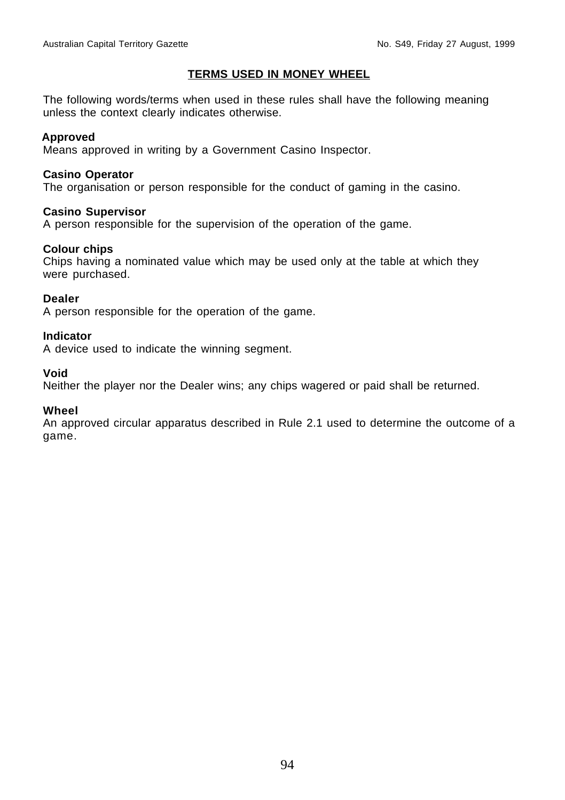#### **TERMS USED IN MONEY WHEEL**

The following words/terms when used in these rules shall have the following meaning unless the context clearly indicates otherwise.

#### **Approved**

Means approved in writing by a Government Casino Inspector.

#### **Casino Operator**

The organisation or person responsible for the conduct of gaming in the casino.

#### **Casino Supervisor**

A person responsible for the supervision of the operation of the game.

#### **Colour chips**

Chips having a nominated value which may be used only at the table at which they were purchased.

#### **Dealer**

A person responsible for the operation of the game.

#### **Indicator**

A device used to indicate the winning segment.

#### **Void**

Neither the player nor the Dealer wins; any chips wagered or paid shall be returned.

#### **Wheel**

An approved circular apparatus described in Rule 2.1 used to determine the outcome of a game.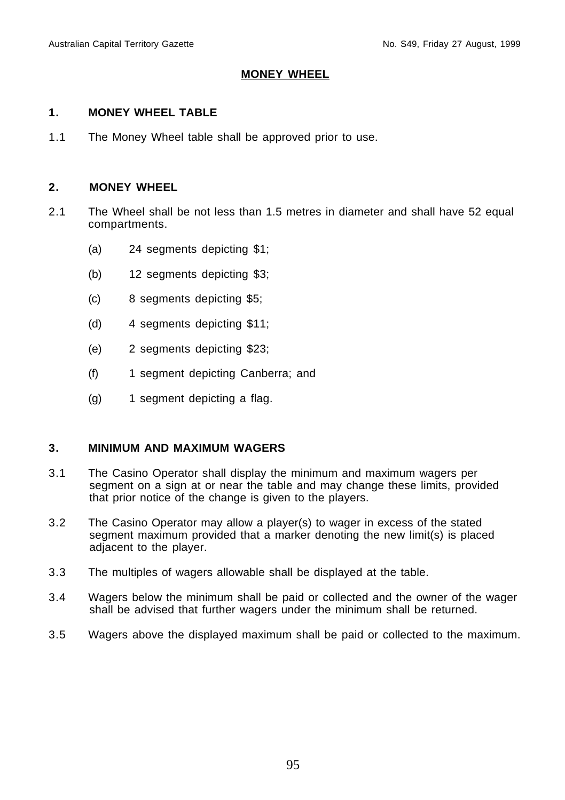#### **MONEY WHEEL**

#### **1. MONEY WHEEL TABLE**

1.1 The Money Wheel table shall be approved prior to use.

#### **2. MONEY WHEEL**

- 2.1 The Wheel shall be not less than 1.5 metres in diameter and shall have 52 equal compartments.
	- (a) 24 segments depicting \$1;
	- (b) 12 segments depicting \$3;
	- (c) 8 segments depicting \$5;
	- (d) 4 segments depicting \$11;
	- (e) 2 segments depicting \$23;
	- (f) 1 segment depicting Canberra; and
	- (g) 1 segment depicting a flag.

#### **3. MINIMUM AND MAXIMUM WAGERS**

- 3.1 The Casino Operator shall display the minimum and maximum wagers per segment on a sign at or near the table and may change these limits, provided that prior notice of the change is given to the players.
- 3.2 The Casino Operator may allow a player(s) to wager in excess of the stated segment maximum provided that a marker denoting the new limit(s) is placed adjacent to the player.
- 3.3 The multiples of wagers allowable shall be displayed at the table.
- 3.4 Wagers below the minimum shall be paid or collected and the owner of the wager shall be advised that further wagers under the minimum shall be returned.
- 3.5 Wagers above the displayed maximum shall be paid or collected to the maximum.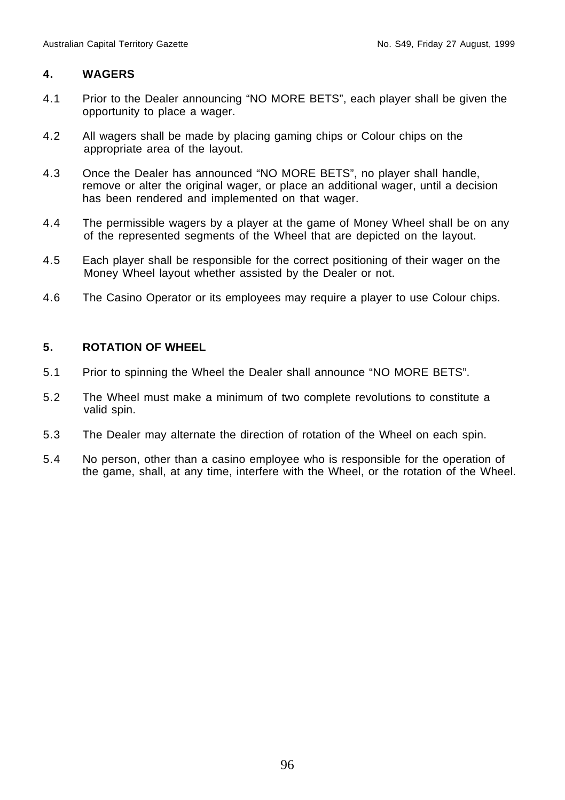#### **4. WAGERS**

- 4.1 Prior to the Dealer announcing "NO MORE BETS", each player shall be given the opportunity to place a wager.
- 4.2 All wagers shall be made by placing gaming chips or Colour chips on the appropriate area of the layout.
- 4.3 Once the Dealer has announced "NO MORE BETS", no player shall handle, remove or alter the original wager, or place an additional wager, until a decision has been rendered and implemented on that wager.
- 4.4 The permissible wagers by a player at the game of Money Wheel shall be on any of the represented segments of the Wheel that are depicted on the layout.
- 4.5 Each player shall be responsible for the correct positioning of their wager on the Money Wheel layout whether assisted by the Dealer or not.
- 4.6 The Casino Operator or its employees may require a player to use Colour chips.

#### **5. ROTATION OF WHEEL**

- 5.1 Prior to spinning the Wheel the Dealer shall announce "NO MORE BETS".
- 5.2 The Wheel must make a minimum of two complete revolutions to constitute a valid spin.
- 5.3 The Dealer may alternate the direction of rotation of the Wheel on each spin.
- 5.4 No person, other than a casino employee who is responsible for the operation of the game, shall, at any time, interfere with the Wheel, or the rotation of the Wheel.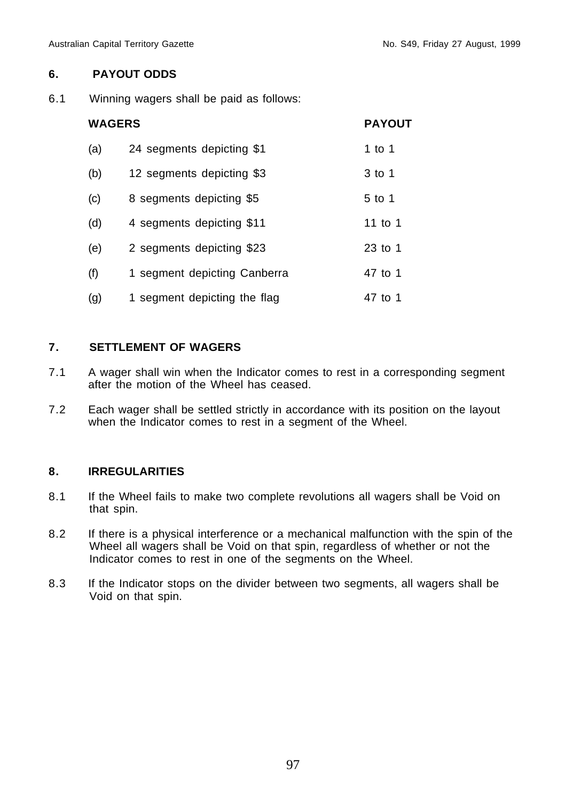#### **6. PAYOUT ODDS**

6.1 Winning wagers shall be paid as follows:

| <b>WAGERS</b> | <b>PAYOUT</b>                |         |
|---------------|------------------------------|---------|
| (a)           | 24 segments depicting \$1    | 1 to 1  |
| (b)           | 12 segments depicting \$3    | 3 to 1  |
| (c)           | 8 segments depicting \$5     | 5 to 1  |
| (d)           | 4 segments depicting \$11    | 11 to 1 |
| (e)           | 2 segments depicting \$23    | 23 to 1 |
| (f)           | 1 segment depicting Canberra | 47 to 1 |
| (g)           | 1 segment depicting the flag | 47 to 1 |

#### **7. SETTLEMENT OF WAGERS**

- 7.1 A wager shall win when the Indicator comes to rest in a corresponding segment after the motion of the Wheel has ceased.
- 7.2 Each wager shall be settled strictly in accordance with its position on the layout when the Indicator comes to rest in a segment of the Wheel.

#### **8. IRREGULARITIES**

- 8.1 If the Wheel fails to make two complete revolutions all wagers shall be Void on that spin.
- 8.2 If there is a physical interference or a mechanical malfunction with the spin of the Wheel all wagers shall be Void on that spin, regardless of whether or not the Indicator comes to rest in one of the segments on the Wheel.
- 8.3 If the Indicator stops on the divider between two segments, all wagers shall be Void on that spin.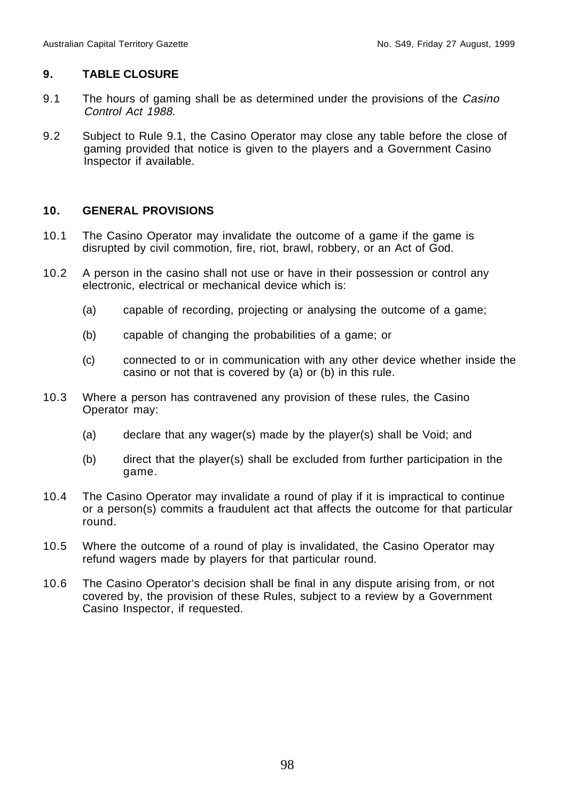#### **9. TABLE CLOSURE**

- 9.1 The hours of gaming shall be as determined under the provisions of the Casino Control Act 1988.
- 9.2 Subject to Rule 9.1, the Casino Operator may close any table before the close of gaming provided that notice is given to the players and a Government Casino Inspector if available.

#### **10. GENERAL PROVISIONS**

- 10.1 The Casino Operator may invalidate the outcome of a game if the game is disrupted by civil commotion, fire, riot, brawl, robbery, or an Act of God.
- 10.2 A person in the casino shall not use or have in their possession or control any electronic, electrical or mechanical device which is:
	- (a) capable of recording, projecting or analysing the outcome of a game;
	- (b) capable of changing the probabilities of a game; or
	- (c) connected to or in communication with any other device whether inside the casino or not that is covered by (a) or (b) in this rule.
- 10.3 Where a person has contravened any provision of these rules, the Casino Operator may:
	- (a) declare that any wager(s) made by the player(s) shall be Void; and
	- (b) direct that the player(s) shall be excluded from further participation in the game.
- 10.4 The Casino Operator may invalidate a round of play if it is impractical to continue or a person(s) commits a fraudulent act that affects the outcome for that particular round.
- 10.5 Where the outcome of a round of play is invalidated, the Casino Operator may refund wagers made by players for that particular round.
- 10.6 The Casino Operator's decision shall be final in any dispute arising from, or not covered by, the provision of these Rules, subject to a review by a Government Casino Inspector, if requested.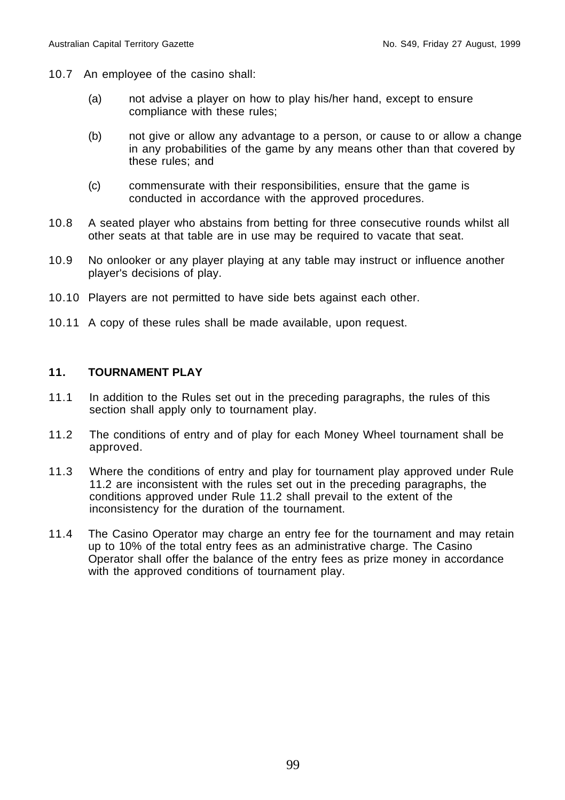- 10.7 An employee of the casino shall:
	- (a) not advise a player on how to play his/her hand, except to ensure compliance with these rules;
	- (b) not give or allow any advantage to a person, or cause to or allow a change in any probabilities of the game by any means other than that covered by these rules; and
	- (c) commensurate with their responsibilities, ensure that the game is conducted in accordance with the approved procedures.
- 10.8 A seated player who abstains from betting for three consecutive rounds whilst all other seats at that table are in use may be required to vacate that seat.
- 10.9 No onlooker or any player playing at any table may instruct or influence another player's decisions of play.
- 10.10 Players are not permitted to have side bets against each other.
- 10.11 A copy of these rules shall be made available, upon request.

#### **11. TOURNAMENT PLAY**

- 11.1 In addition to the Rules set out in the preceding paragraphs, the rules of this section shall apply only to tournament play.
- 11.2 The conditions of entry and of play for each Money Wheel tournament shall be approved.
- 11.3 Where the conditions of entry and play for tournament play approved under Rule 11.2 are inconsistent with the rules set out in the preceding paragraphs, the conditions approved under Rule 11.2 shall prevail to the extent of the inconsistency for the duration of the tournament.
- 11.4 The Casino Operator may charge an entry fee for the tournament and may retain up to 10% of the total entry fees as an administrative charge. The Casino Operator shall offer the balance of the entry fees as prize money in accordance with the approved conditions of tournament play.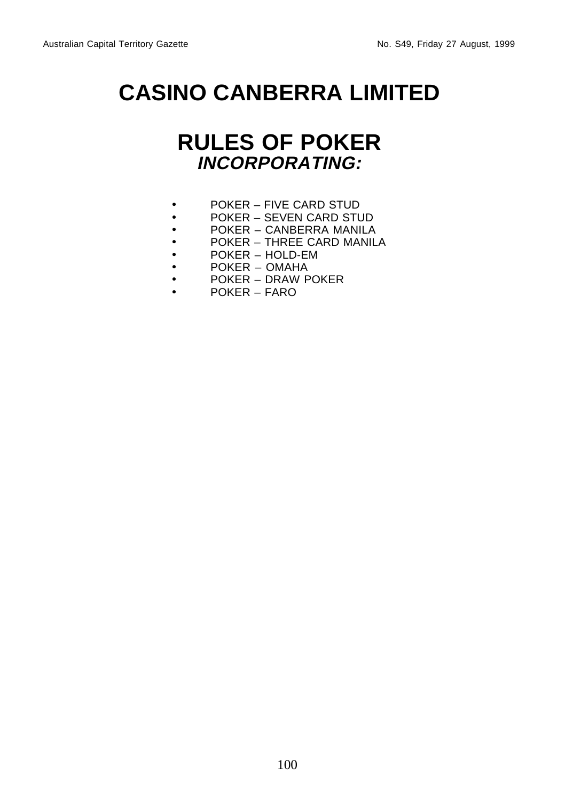## **CASINO CANBERRA LIMITED**

## **RULES OF POKER INCORPORATING:**

- POKER FIVE CARD STUD
- POKER SEVEN CARD STUD
- POKER CANBERRA MANILA
- POKER THREE CARD MANILA
- POKER HOLD-EM
- POKER OMAHA
- POKER DRAW POKER
- POKER FARO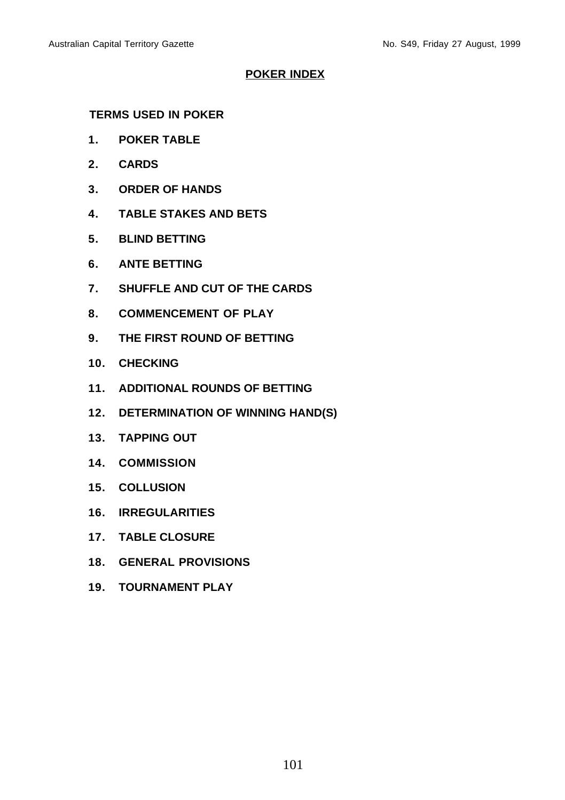#### **POKER INDEX**

#### **TERMS USED IN POKER**

- **1. POKER TABLE**
- **2. CARDS**
- **3. ORDER OF HANDS**
- **4. TABLE STAKES AND BETS**
- **5. BLIND BETTING**
- **6. ANTE BETTING**
- **7. SHUFFLE AND CUT OF THE CARDS**
- **8. COMMENCEMENT OF PLAY**
- **9. THE FIRST ROUND OF BETTING**
- **10. CHECKING**
- **11. ADDITIONAL ROUNDS OF BETTING**
- **12. DETERMINATION OF WINNING HAND(S)**
- **13. TAPPING OUT**
- **14. COMMISSION**
- **15. COLLUSION**
- **16. IRREGULARITIES**
- **17. TABLE CLOSURE**
- **18. GENERAL PROVISIONS**
- **19. TOURNAMENT PLAY**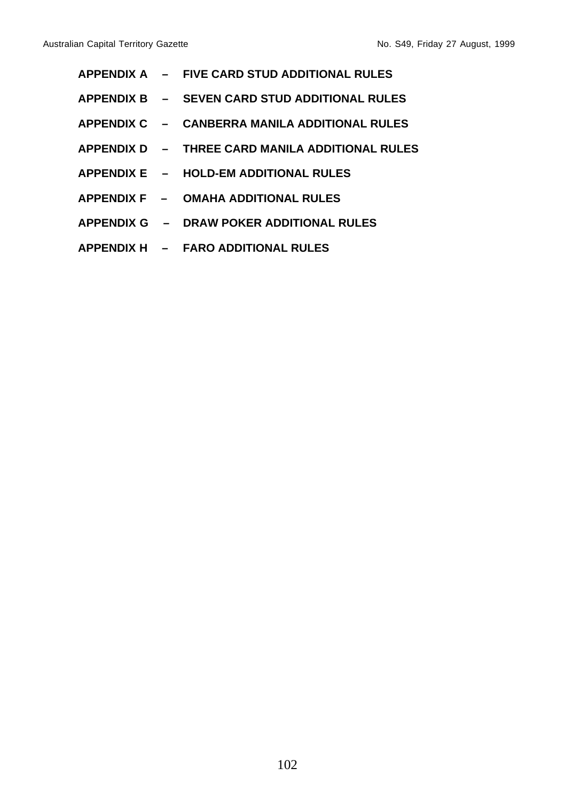|  | APPENDIX A - FIVE CARD STUD ADDITIONAL RULES    |
|--|-------------------------------------------------|
|  | APPENDIX B - SEVEN CARD STUD ADDITIONAL RULES   |
|  | APPENDIX C – CANBERRA MANILA ADDITIONAL RULES   |
|  | APPENDIX D - THREE CARD MANILA ADDITIONAL RULES |
|  | APPENDIX E - HOLD-EM ADDITIONAL RULES           |
|  | APPENDIX F - OMAHA ADDITIONAL RULES             |
|  | APPENDIX G – DRAW POKER ADDITIONAL RULES        |
|  | APPENDIX H - FARO ADDITIONAL RULES              |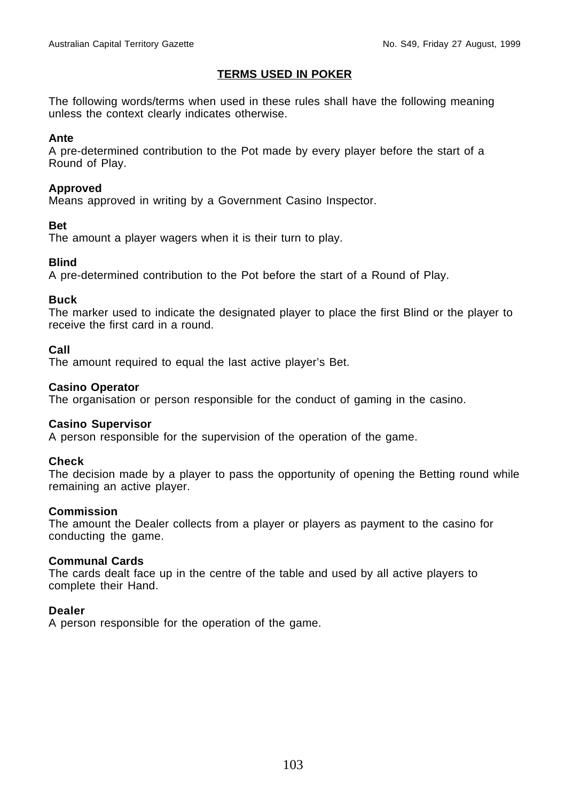#### **TERMS USED IN POKER**

The following words/terms when used in these rules shall have the following meaning unless the context clearly indicates otherwise.

#### **Ante**

A pre-determined contribution to the Pot made by every player before the start of a Round of Play.

#### **Approved**

Means approved in writing by a Government Casino Inspector.

#### **Bet**

The amount a player wagers when it is their turn to play.

#### **Blind**

A pre-determined contribution to the Pot before the start of a Round of Play.

#### **Buck**

The marker used to indicate the designated player to place the first Blind or the player to receive the first card in a round.

#### **Call**

The amount required to equal the last active player's Bet.

#### **Casino Operator**

The organisation or person responsible for the conduct of gaming in the casino.

#### **Casino Supervisor**

A person responsible for the supervision of the operation of the game.

#### **Check**

The decision made by a player to pass the opportunity of opening the Betting round while remaining an active player.

#### **Commission**

The amount the Dealer collects from a player or players as payment to the casino for conducting the game.

#### **Communal Cards**

The cards dealt face up in the centre of the table and used by all active players to complete their Hand.

#### **Dealer**

A person responsible for the operation of the game.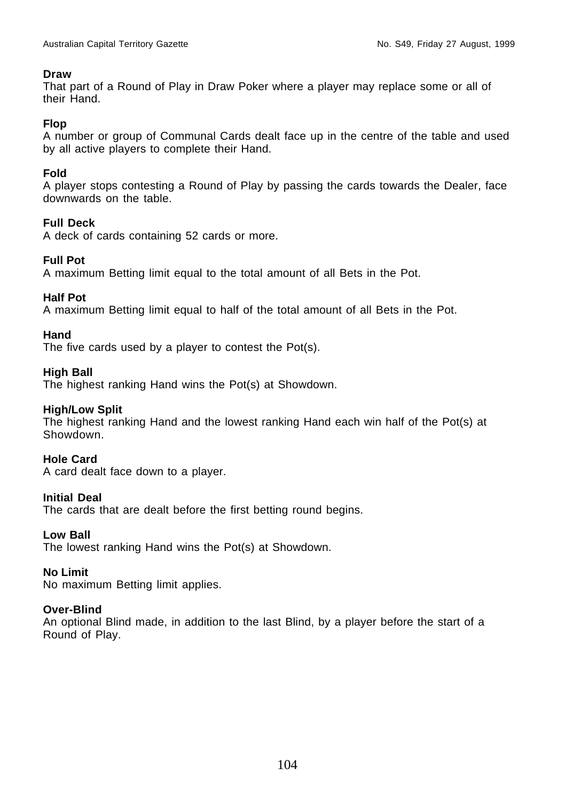#### **Draw**

That part of a Round of Play in Draw Poker where a player may replace some or all of their Hand.

#### **Flop**

A number or group of Communal Cards dealt face up in the centre of the table and used by all active players to complete their Hand.

#### **Fold**

A player stops contesting a Round of Play by passing the cards towards the Dealer, face downwards on the table.

#### **Full Deck**

A deck of cards containing 52 cards or more.

#### **Full Pot**

A maximum Betting limit equal to the total amount of all Bets in the Pot.

#### **Half Pot**

A maximum Betting limit equal to half of the total amount of all Bets in the Pot.

#### **Hand**

The five cards used by a player to contest the Pot(s).

#### **High Ball**

The highest ranking Hand wins the Pot(s) at Showdown.

#### **High/Low Split**

The highest ranking Hand and the lowest ranking Hand each win half of the Pot(s) at Showdown.

#### **Hole Card**

A card dealt face down to a player.

#### **Initial Deal**

The cards that are dealt before the first betting round begins.

#### **Low Ball**

The lowest ranking Hand wins the Pot(s) at Showdown.

#### **No Limit**

No maximum Betting limit applies.

#### **Over-Blind**

An optional Blind made, in addition to the last Blind, by a player before the start of a Round of Play.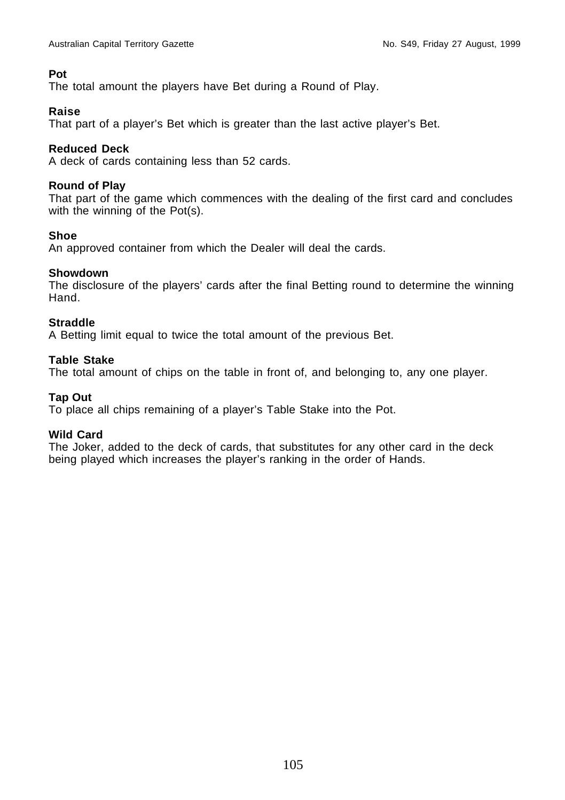#### **Pot**

The total amount the players have Bet during a Round of Play.

#### **Raise**

That part of a player's Bet which is greater than the last active player's Bet.

#### **Reduced Deck**

A deck of cards containing less than 52 cards.

#### **Round of Play**

That part of the game which commences with the dealing of the first card and concludes with the winning of the Pot(s).

#### **Shoe**

An approved container from which the Dealer will deal the cards.

#### **Showdown**

The disclosure of the players' cards after the final Betting round to determine the winning Hand.

#### **Straddle**

A Betting limit equal to twice the total amount of the previous Bet.

#### **Table Stake**

The total amount of chips on the table in front of, and belonging to, any one player.

#### **Tap Out**

To place all chips remaining of a player's Table Stake into the Pot.

#### **Wild Card**

The Joker, added to the deck of cards, that substitutes for any other card in the deck being played which increases the player's ranking in the order of Hands.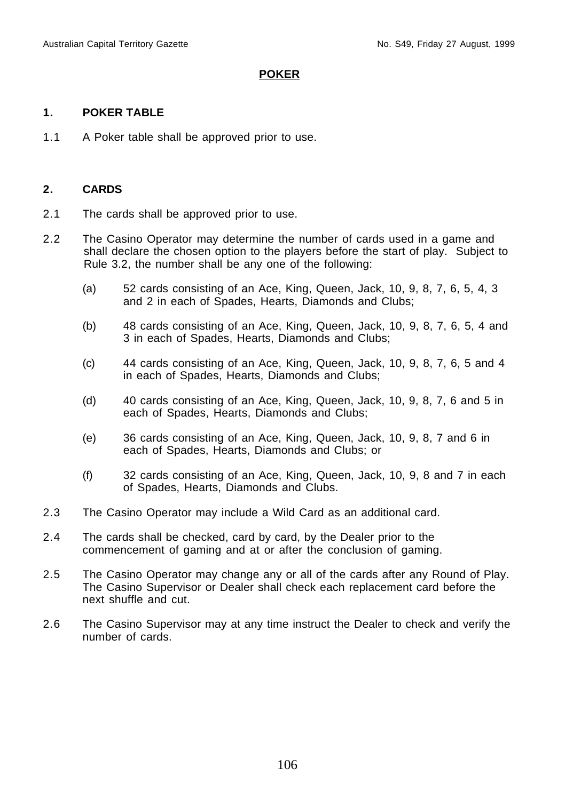#### **POKER**

#### **1. POKER TABLE**

1.1 A Poker table shall be approved prior to use.

#### **2. CARDS**

- 2.1 The cards shall be approved prior to use.
- 2.2 The Casino Operator may determine the number of cards used in a game and shall declare the chosen option to the players before the start of play. Subject to Rule 3.2, the number shall be any one of the following:
	- (a) 52 cards consisting of an Ace, King, Queen, Jack, 10, 9, 8, 7, 6, 5, 4, 3 and 2 in each of Spades, Hearts, Diamonds and Clubs;
	- (b) 48 cards consisting of an Ace, King, Queen, Jack, 10, 9, 8, 7, 6, 5, 4 and 3 in each of Spades, Hearts, Diamonds and Clubs;
	- $(c)$  44 cards consisting of an Ace, King, Queen, Jack, 10, 9, 8, 7, 6, 5 and 4 in each of Spades, Hearts, Diamonds and Clubs;
	- (d) 40 cards consisting of an Ace, King, Queen, Jack, 10, 9, 8, 7, 6 and 5 in each of Spades, Hearts, Diamonds and Clubs;
	- (e) 36 cards consisting of an Ace, King, Queen, Jack, 10, 9, 8, 7 and 6 in each of Spades, Hearts, Diamonds and Clubs; or
	- (f) 32 cards consisting of an Ace, King, Queen, Jack, 10, 9, 8 and 7 in each of Spades, Hearts, Diamonds and Clubs.
- 2.3 The Casino Operator may include a Wild Card as an additional card.
- 2.4 The cards shall be checked, card by card, by the Dealer prior to the commencement of gaming and at or after the conclusion of gaming.
- 2.5 The Casino Operator may change any or all of the cards after any Round of Play. The Casino Supervisor or Dealer shall check each replacement card before the next shuffle and cut.
- 2.6 The Casino Supervisor may at any time instruct the Dealer to check and verify the number of cards.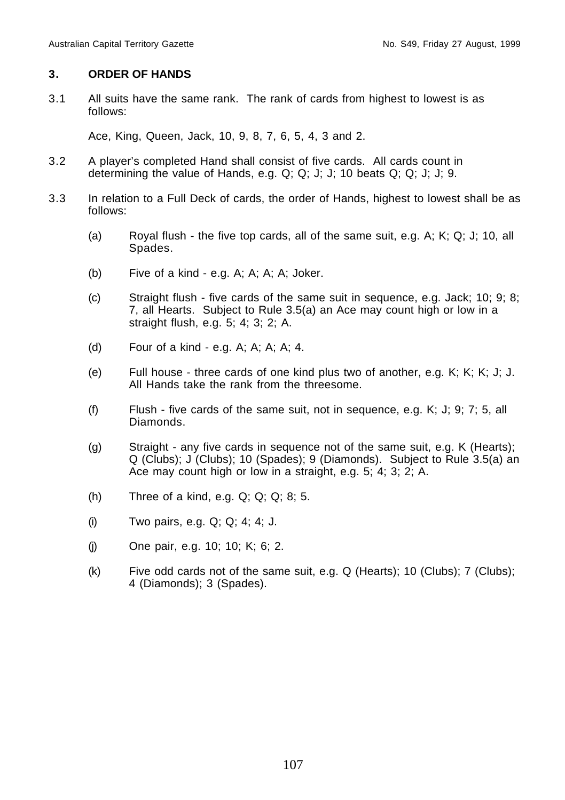#### **3. ORDER OF HANDS**

3.1 All suits have the same rank. The rank of cards from highest to lowest is as follows:

Ace, King, Queen, Jack, 10, 9, 8, 7, 6, 5, 4, 3 and 2.

- 3.2 A player's completed Hand shall consist of five cards. All cards count in determining the value of Hands, e.g. Q; Q; J; J; 10 beats Q; Q; J; J; 9.
- 3.3 In relation to a Full Deck of cards, the order of Hands, highest to lowest shall be as follows:
	- (a) Royal flush the five top cards, all of the same suit, e.g. A; K; Q; J; 10, all Spades.
	- (b) Five of a kind e.g. A; A; A; A; Joker.
	- (c) Straight flush five cards of the same suit in sequence, e.g. Jack; 10; 9; 8; 7, all Hearts. Subject to Rule 3.5(a) an Ace may count high or low in a straight flush, e.g. 5; 4; 3; 2; A.
	- (d) Four of a kind e.g. A; A; A; A; 4.
	- (e) Full house three cards of one kind plus two of another, e.g. K; K; K; J; J. All Hands take the rank from the threesome.
	- (f) Flush five cards of the same suit, not in sequence, e.g. K; J; 9; 7; 5, all Diamonds.
	- (g) Straight any five cards in sequence not of the same suit, e.g. K (Hearts); Q (Clubs); J (Clubs); 10 (Spades); 9 (Diamonds). Subject to Rule 3.5(a) an Ace may count high or low in a straight, e.g. 5; 4; 3; 2; A.
	- (h) Three of a kind, e.g. Q; Q; Q; 8; 5.
	- (i) Two pairs, e.g. Q; Q; 4; 4; J.
	- (j) One pair, e.g. 10; 10; K; 6; 2.
	- (k) Five odd cards not of the same suit, e.g. Q (Hearts); 10 (Clubs); 7 (Clubs); 4 (Diamonds); 3 (Spades).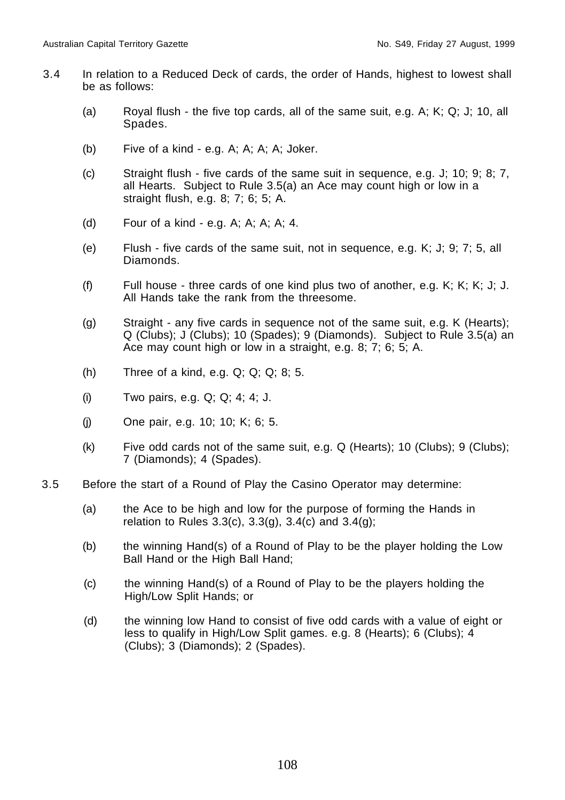- 3.4 In relation to a Reduced Deck of cards, the order of Hands, highest to lowest shall be as follows:
	- (a) Royal flush the five top cards, all of the same suit, e.g. A; K; Q; J; 10, all Spades.
	- (b) Five of a kind e.g. A; A; A; A; Joker.
	- (c) Straight flush five cards of the same suit in sequence, e.g. J; 10; 9; 8; 7, all Hearts. Subject to Rule 3.5(a) an Ace may count high or low in a straight flush, e.g. 8; 7; 6; 5; A.
	- (d) Four of a kind e.g. A; A; A; A; 4.
	- (e) Flush five cards of the same suit, not in sequence, e.g. K; J; 9; 7; 5, all Diamonds.
	- (f) Full house three cards of one kind plus two of another, e.g. K; K; K; J; J. All Hands take the rank from the threesome.
	- (g) Straight any five cards in sequence not of the same suit, e.g. K (Hearts); Q (Clubs); J (Clubs); 10 (Spades); 9 (Diamonds). Subject to Rule 3.5(a) an Ace may count high or low in a straight, e.g. 8; 7; 6; 5; A.
	- (h) Three of a kind, e.g. Q; Q; Q; 8; 5.
	- (i) Two pairs, e.g. Q; Q; 4; 4; J.
	- (j) One pair, e.g. 10; 10; K; 6; 5.
	- $(k)$  Five odd cards not of the same suit, e.g. Q (Hearts); 10 (Clubs); 9 (Clubs); 7 (Diamonds); 4 (Spades).
- 3.5 Before the start of a Round of Play the Casino Operator may determine:
	- (a) the Ace to be high and low for the purpose of forming the Hands in relation to Rules  $3.3(c)$ ,  $3.3(g)$ ,  $3.4(c)$  and  $3.4(g)$ ;
	- (b) the winning Hand(s) of a Round of Play to be the player holding the Low Ball Hand or the High Ball Hand;
	- (c) the winning Hand(s) of a Round of Play to be the players holding the High/Low Split Hands; or
	- (d) the winning low Hand to consist of five odd cards with a value of eight or less to qualify in High/Low Split games. e.g. 8 (Hearts); 6 (Clubs); 4 (Clubs); 3 (Diamonds); 2 (Spades).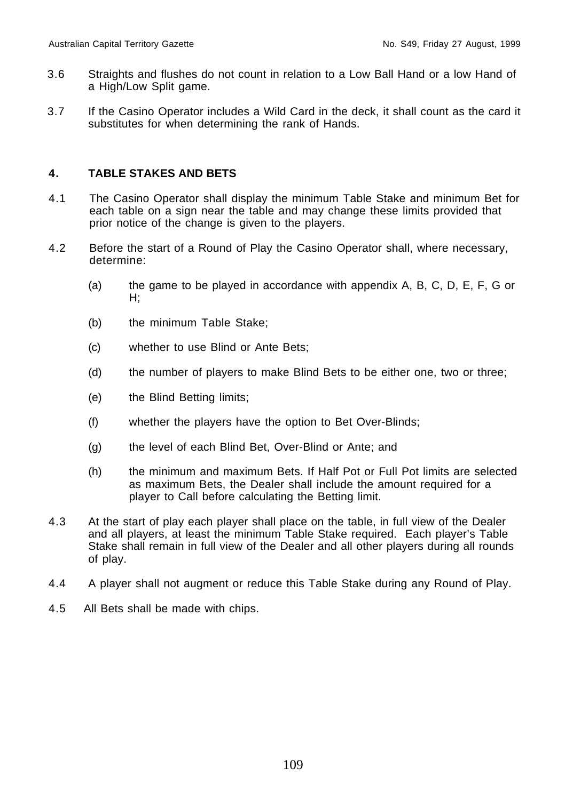- 3.6 Straights and flushes do not count in relation to a Low Ball Hand or a low Hand of a High/Low Split game.
- 3.7 If the Casino Operator includes a Wild Card in the deck, it shall count as the card it substitutes for when determining the rank of Hands.

## **4. TABLE STAKES AND BETS**

- 4.1 The Casino Operator shall display the minimum Table Stake and minimum Bet for each table on a sign near the table and may change these limits provided that prior notice of the change is given to the players.
- 4.2 Before the start of a Round of Play the Casino Operator shall, where necessary, determine:
	- (a) the game to be played in accordance with appendix A, B, C, D, E, F, G or H;
	- (b) the minimum Table Stake;
	- (c) whether to use Blind or Ante Bets;
	- (d) the number of players to make Blind Bets to be either one, two or three;
	- (e) the Blind Betting limits;
	- (f) whether the players have the option to Bet Over-Blinds;
	- (g) the level of each Blind Bet, Over-Blind or Ante; and
	- (h) the minimum and maximum Bets. If Half Pot or Full Pot limits are selected as maximum Bets, the Dealer shall include the amount required for a player to Call before calculating the Betting limit.
- 4.3 At the start of play each player shall place on the table, in full view of the Dealer and all players, at least the minimum Table Stake required. Each player's Table Stake shall remain in full view of the Dealer and all other players during all rounds of play.
- 4.4 A player shall not augment or reduce this Table Stake during any Round of Play.
- 4.5 All Bets shall be made with chips.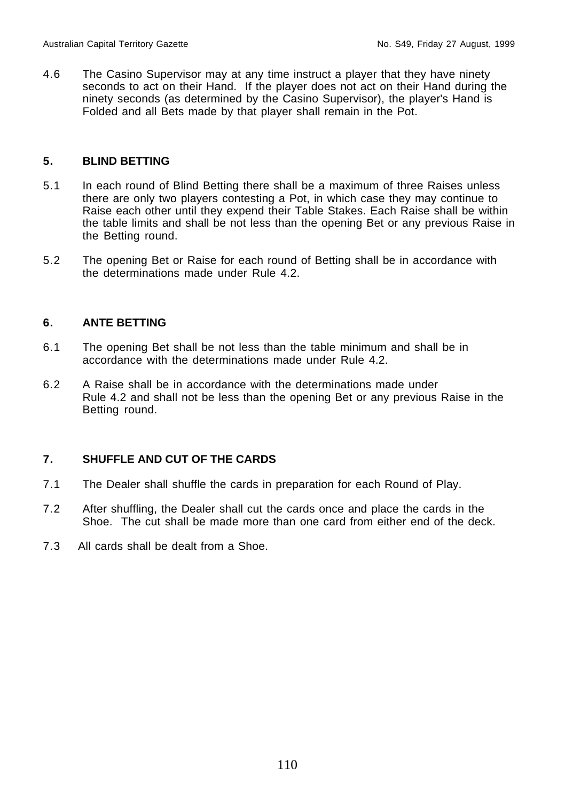4.6 The Casino Supervisor may at any time instruct a player that they have ninety seconds to act on their Hand. If the player does not act on their Hand during the ninety seconds (as determined by the Casino Supervisor), the player's Hand is Folded and all Bets made by that player shall remain in the Pot.

# **5. BLIND BETTING**

- 5.1 In each round of Blind Betting there shall be a maximum of three Raises unless there are only two players contesting a Pot, in which case they may continue to Raise each other until they expend their Table Stakes. Each Raise shall be within the table limits and shall be not less than the opening Bet or any previous Raise in the Betting round.
- 5.2 The opening Bet or Raise for each round of Betting shall be in accordance with the determinations made under Rule 4.2.

# **6. ANTE BETTING**

- 6.1 The opening Bet shall be not less than the table minimum and shall be in accordance with the determinations made under Rule 4.2.
- 6.2 A Raise shall be in accordance with the determinations made under Rule 4.2 and shall not be less than the opening Bet or any previous Raise in the Betting round.

# **7. SHUFFLE AND CUT OF THE CARDS**

- 7.1 The Dealer shall shuffle the cards in preparation for each Round of Play.
- 7.2 After shuffling, the Dealer shall cut the cards once and place the cards in the Shoe. The cut shall be made more than one card from either end of the deck.
- 7.3 All cards shall be dealt from a Shoe.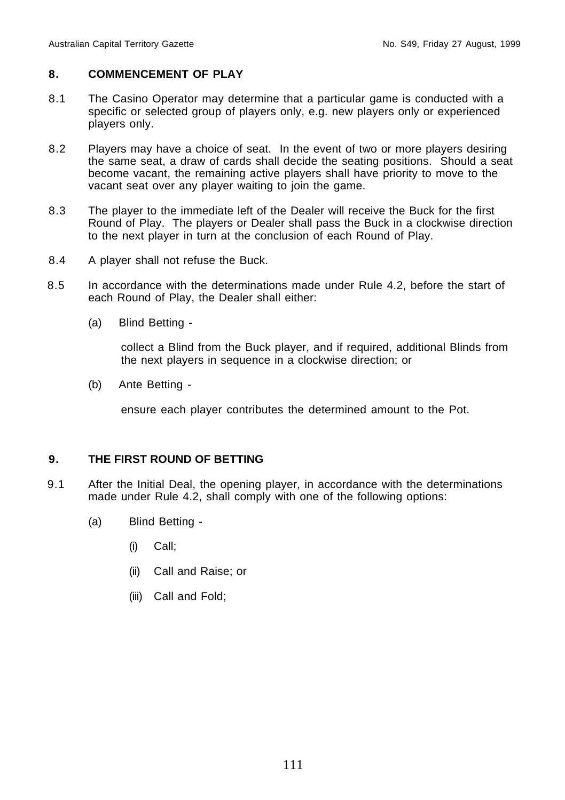# **8. COMMENCEMENT OF PLAY**

- 8.1 The Casino Operator may determine that a particular game is conducted with a specific or selected group of players only, e.g. new players only or experienced players only.
- 8.2 Players may have a choice of seat. In the event of two or more players desiring the same seat, a draw of cards shall decide the seating positions. Should a seat become vacant, the remaining active players shall have priority to move to the vacant seat over any player waiting to join the game.
- 8.3 The player to the immediate left of the Dealer will receive the Buck for the first Round of Play. The players or Dealer shall pass the Buck in a clockwise direction to the next player in turn at the conclusion of each Round of Play.
- 8.4 A player shall not refuse the Buck.
- 8.5 In accordance with the determinations made under Rule 4.2, before the start of each Round of Play, the Dealer shall either:
	- (a) Blind Betting -

collect a Blind from the Buck player, and if required, additional Blinds from the next players in sequence in a clockwise direction; or

(b) Ante Betting -

ensure each player contributes the determined amount to the Pot.

#### **9. THE FIRST ROUND OF BETTING**

- 9.1 After the Initial Deal, the opening player, in accordance with the determinations made under Rule 4.2, shall comply with one of the following options:
	- (a) Blind Betting
		- (i) Call;
		- (ii) Call and Raise; or
		- (iii) Call and Fold;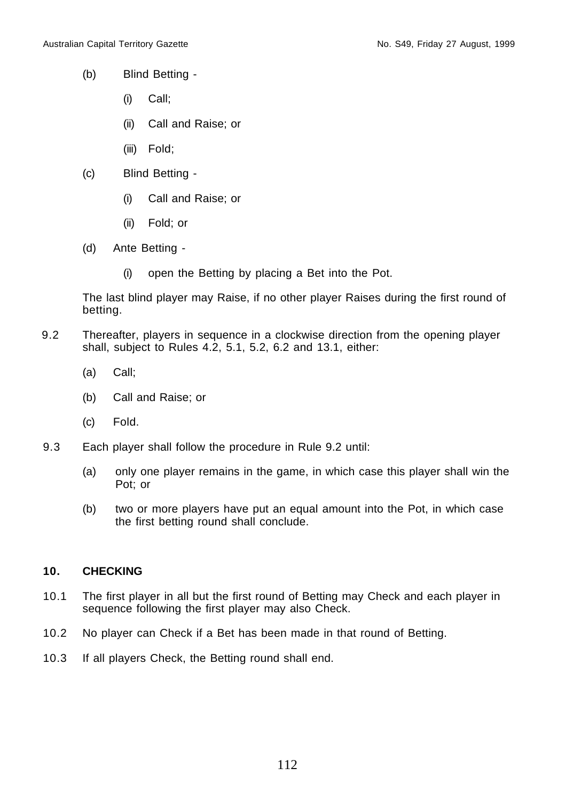- (b) Blind Betting
	- (i) Call;
	- (ii) Call and Raise; or
	- (iii) Fold;
- (c) Blind Betting
	- (i) Call and Raise; or
	- (ii) Fold; or
- (d) Ante Betting
	- (i) open the Betting by placing a Bet into the Pot.

The last blind player may Raise, if no other player Raises during the first round of betting.

- 9.2 Thereafter, players in sequence in a clockwise direction from the opening player shall, subject to Rules 4.2, 5.1, 5.2, 6.2 and 13.1, either:
	- (a) Call;
	- (b) Call and Raise; or
	- (c) Fold.
- 9.3 Each player shall follow the procedure in Rule 9.2 until:
	- (a) only one player remains in the game, in which case this player shall win the Pot; or
	- (b) two or more players have put an equal amount into the Pot, in which case the first betting round shall conclude.

# **10. CHECKING**

- 10.1 The first player in all but the first round of Betting may Check and each player in sequence following the first player may also Check.
- 10.2 No player can Check if a Bet has been made in that round of Betting.
- 10.3 If all players Check, the Betting round shall end.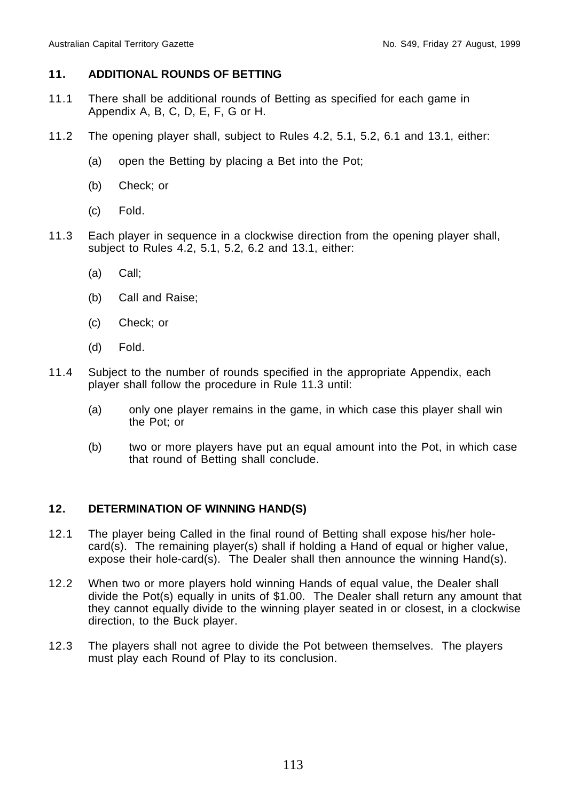### **11. ADDITIONAL ROUNDS OF BETTING**

- 11.1 There shall be additional rounds of Betting as specified for each game in Appendix A, B, C, D, E, F, G or H.
- 11.2 The opening player shall, subject to Rules 4.2, 5.1, 5.2, 6.1 and 13.1, either:
	- (a) open the Betting by placing a Bet into the Pot;
	- (b) Check; or
	- (c) Fold.
- 11.3 Each player in sequence in a clockwise direction from the opening player shall, subject to Rules 4.2, 5.1, 5.2, 6.2 and 13.1, either:
	- (a) Call;
	- (b) Call and Raise;
	- (c) Check; or
	- (d) Fold.
- 11.4 Subject to the number of rounds specified in the appropriate Appendix, each player shall follow the procedure in Rule 11.3 until:
	- (a) only one player remains in the game, in which case this player shall win the Pot; or
	- (b) two or more players have put an equal amount into the Pot, in which case that round of Betting shall conclude.

# **12. DETERMINATION OF WINNING HAND(S)**

- 12.1 The player being Called in the final round of Betting shall expose his/her holecard(s). The remaining player(s) shall if holding a Hand of equal or higher value, expose their hole-card(s). The Dealer shall then announce the winning Hand(s).
- 12.2 When two or more players hold winning Hands of equal value, the Dealer shall divide the Pot(s) equally in units of \$1.00. The Dealer shall return any amount that they cannot equally divide to the winning player seated in or closest, in a clockwise direction, to the Buck player.
- 12.3 The players shall not agree to divide the Pot between themselves. The players must play each Round of Play to its conclusion.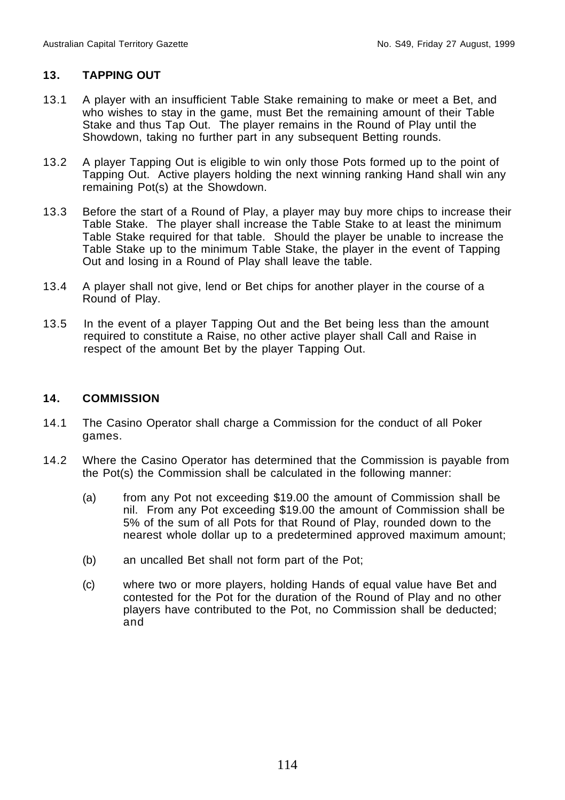# **13. TAPPING OUT**

- 13.1 A player with an insufficient Table Stake remaining to make or meet a Bet, and who wishes to stay in the game, must Bet the remaining amount of their Table Stake and thus Tap Out. The player remains in the Round of Play until the Showdown, taking no further part in any subsequent Betting rounds.
- 13.2 A player Tapping Out is eligible to win only those Pots formed up to the point of Tapping Out. Active players holding the next winning ranking Hand shall win any remaining Pot(s) at the Showdown.
- 13.3 Before the start of a Round of Play, a player may buy more chips to increase their Table Stake. The player shall increase the Table Stake to at least the minimum Table Stake required for that table. Should the player be unable to increase the Table Stake up to the minimum Table Stake, the player in the event of Tapping Out and losing in a Round of Play shall leave the table.
- 13.4 A player shall not give, lend or Bet chips for another player in the course of a Round of Play.
- 13.5 In the event of a player Tapping Out and the Bet being less than the amount required to constitute a Raise, no other active player shall Call and Raise in respect of the amount Bet by the player Tapping Out.

# **14. COMMISSION**

- 14.1 The Casino Operator shall charge a Commission for the conduct of all Poker games.
- 14.2 Where the Casino Operator has determined that the Commission is payable from the Pot(s) the Commission shall be calculated in the following manner:
	- (a) from any Pot not exceeding \$19.00 the amount of Commission shall be nil. From any Pot exceeding \$19.00 the amount of Commission shall be 5% of the sum of all Pots for that Round of Play, rounded down to the nearest whole dollar up to a predetermined approved maximum amount;
	- (b) an uncalled Bet shall not form part of the Pot;
	- (c) where two or more players, holding Hands of equal value have Bet and contested for the Pot for the duration of the Round of Play and no other players have contributed to the Pot, no Commission shall be deducted; and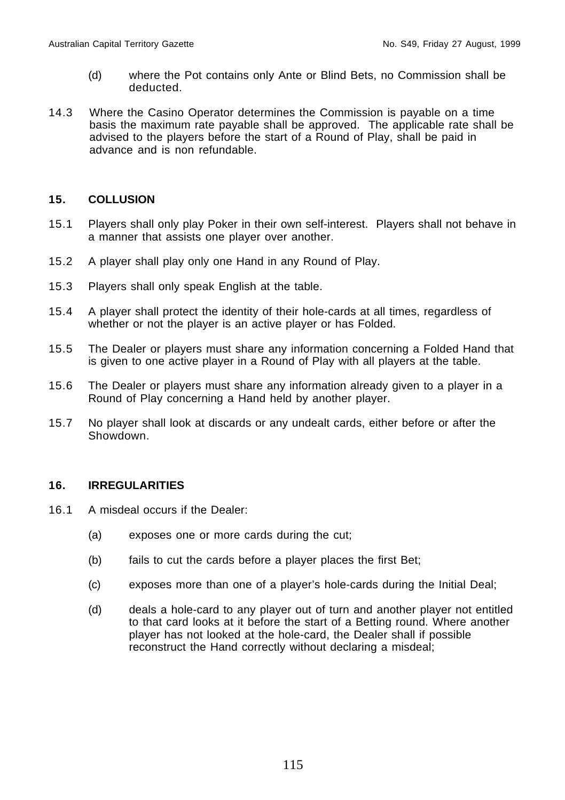- (d) where the Pot contains only Ante or Blind Bets, no Commission shall be deducted.
- 14.3 Where the Casino Operator determines the Commission is payable on a time basis the maximum rate payable shall be approved. The applicable rate shall be advised to the players before the start of a Round of Play, shall be paid in advance and is non refundable.

# **15. COLLUSION**

- 15.1 Players shall only play Poker in their own self-interest. Players shall not behave in a manner that assists one player over another.
- 15.2 A player shall play only one Hand in any Round of Play.
- 15.3 Players shall only speak English at the table.
- 15.4 A player shall protect the identity of their hole-cards at all times, regardless of whether or not the player is an active player or has Folded.
- 15.5 The Dealer or players must share any information concerning a Folded Hand that is given to one active player in a Round of Play with all players at the table.
- 15.6 The Dealer or players must share any information already given to a player in a Round of Play concerning a Hand held by another player.
- 15.7 No player shall look at discards or any undealt cards, either before or after the Showdown.

# **16. IRREGULARITIES**

- 16.1 A misdeal occurs if the Dealer:
	- (a) exposes one or more cards during the cut;
	- (b) fails to cut the cards before a player places the first Bet;
	- (c) exposes more than one of a player's hole-cards during the Initial Deal;
	- (d) deals a hole-card to any player out of turn and another player not entitled to that card looks at it before the start of a Betting round. Where another player has not looked at the hole-card, the Dealer shall if possible reconstruct the Hand correctly without declaring a misdeal;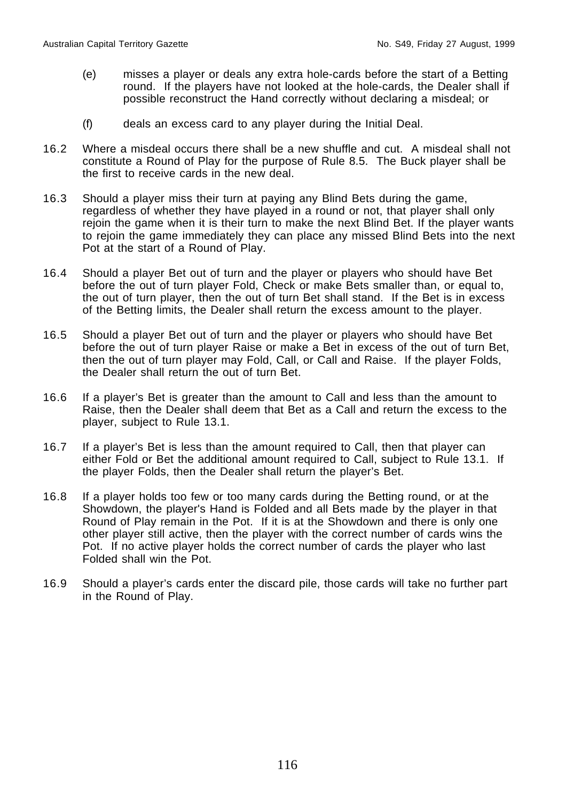- (e) misses a player or deals any extra hole-cards before the start of a Betting round. If the players have not looked at the hole-cards, the Dealer shall if possible reconstruct the Hand correctly without declaring a misdeal; or
- (f) deals an excess card to any player during the Initial Deal.
- 16.2 Where a misdeal occurs there shall be a new shuffle and cut. A misdeal shall not constitute a Round of Play for the purpose of Rule 8.5. The Buck player shall be the first to receive cards in the new deal.
- 16.3 Should a player miss their turn at paying any Blind Bets during the game, regardless of whether they have played in a round or not, that player shall only rejoin the game when it is their turn to make the next Blind Bet. If the player wants to rejoin the game immediately they can place any missed Blind Bets into the next Pot at the start of a Round of Play.
- 16.4 Should a player Bet out of turn and the player or players who should have Bet before the out of turn player Fold, Check or make Bets smaller than, or equal to, the out of turn player, then the out of turn Bet shall stand. If the Bet is in excess of the Betting limits, the Dealer shall return the excess amount to the player.
- 16.5 Should a player Bet out of turn and the player or players who should have Bet before the out of turn player Raise or make a Bet in excess of the out of turn Bet, then the out of turn player may Fold, Call, or Call and Raise. If the player Folds, the Dealer shall return the out of turn Bet.
- 16.6 If a player's Bet is greater than the amount to Call and less than the amount to Raise, then the Dealer shall deem that Bet as a Call and return the excess to the player, subject to Rule 13.1.
- 16.7 If a player's Bet is less than the amount required to Call, then that player can either Fold or Bet the additional amount required to Call, subject to Rule 13.1. If the player Folds, then the Dealer shall return the player's Bet.
- 16.8 If a player holds too few or too many cards during the Betting round, or at the Showdown, the player's Hand is Folded and all Bets made by the player in that Round of Play remain in the Pot. If it is at the Showdown and there is only one other player still active, then the player with the correct number of cards wins the Pot. If no active player holds the correct number of cards the player who last Folded shall win the Pot.
- 16.9 Should a player's cards enter the discard pile, those cards will take no further part in the Round of Play.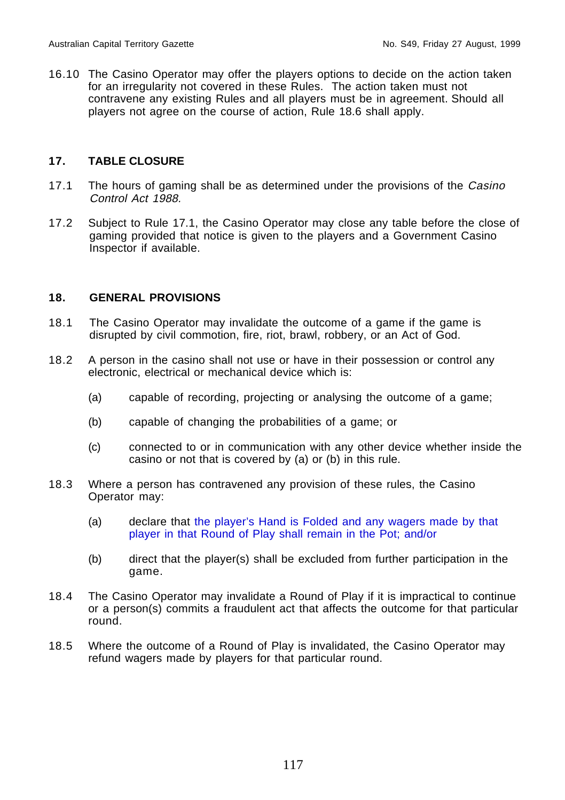16.10 The Casino Operator may offer the players options to decide on the action taken for an irregularity not covered in these Rules. The action taken must not contravene any existing Rules and all players must be in agreement. Should all players not agree on the course of action, Rule 18.6 shall apply.

#### **17. TABLE CLOSURE**

- 17.1 The hours of gaming shall be as determined under the provisions of the Casino Control Act 1988.
- 17.2 Subject to Rule 17.1, the Casino Operator may close any table before the close of gaming provided that notice is given to the players and a Government Casino Inspector if available.

#### **18. GENERAL PROVISIONS**

- 18.1 The Casino Operator may invalidate the outcome of a game if the game is disrupted by civil commotion, fire, riot, brawl, robbery, or an Act of God.
- 18.2 A person in the casino shall not use or have in their possession or control any electronic, electrical or mechanical device which is:
	- (a) capable of recording, projecting or analysing the outcome of a game;
	- (b) capable of changing the probabilities of a game; or
	- (c) connected to or in communication with any other device whether inside the casino or not that is covered by (a) or (b) in this rule.
- 18.3 Where a person has contravened any provision of these rules, the Casino Operator may:
	- (a) declare that the player's Hand is Folded and any wagers made by that player in that Round of Play shall remain in the Pot; and/or
	- (b) direct that the player(s) shall be excluded from further participation in the game.
- 18.4 The Casino Operator may invalidate a Round of Play if it is impractical to continue or a person(s) commits a fraudulent act that affects the outcome for that particular round.
- 18.5 Where the outcome of a Round of Play is invalidated, the Casino Operator may refund wagers made by players for that particular round.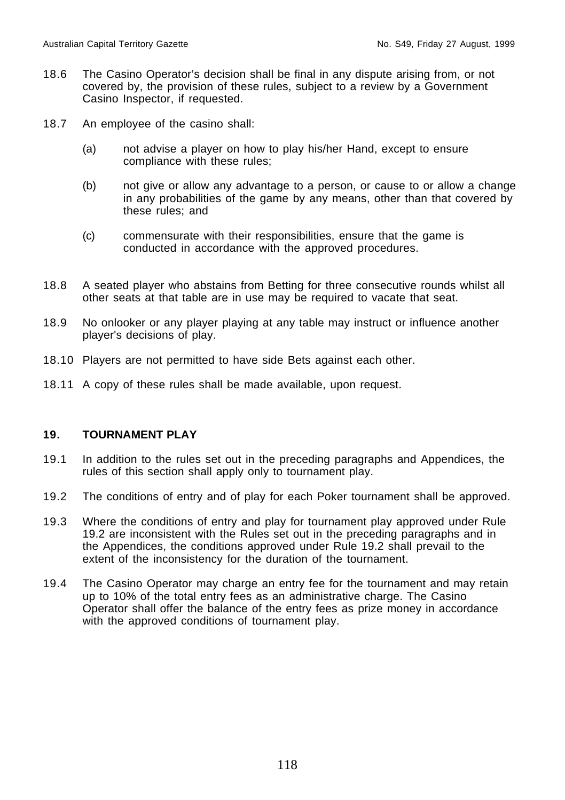- 18.6 The Casino Operator's decision shall be final in any dispute arising from, or not covered by, the provision of these rules, subject to a review by a Government Casino Inspector, if requested.
- 18.7 An employee of the casino shall:
	- (a) not advise a player on how to play his/her Hand, except to ensure compliance with these rules;
	- (b) not give or allow any advantage to a person, or cause to or allow a change in any probabilities of the game by any means, other than that covered by these rules; and
	- (c) commensurate with their responsibilities, ensure that the game is conducted in accordance with the approved procedures.
- 18.8 A seated player who abstains from Betting for three consecutive rounds whilst all other seats at that table are in use may be required to vacate that seat.
- 18.9 No onlooker or any player playing at any table may instruct or influence another player's decisions of play.
- 18.10 Players are not permitted to have side Bets against each other.
- 18.11 A copy of these rules shall be made available, upon request.

## **19. TOURNAMENT PLAY**

- 19.1 In addition to the rules set out in the preceding paragraphs and Appendices, the rules of this section shall apply only to tournament play.
- 19.2 The conditions of entry and of play for each Poker tournament shall be approved.
- 19.3 Where the conditions of entry and play for tournament play approved under Rule 19.2 are inconsistent with the Rules set out in the preceding paragraphs and in the Appendices, the conditions approved under Rule 19.2 shall prevail to the extent of the inconsistency for the duration of the tournament.
- 19.4 The Casino Operator may charge an entry fee for the tournament and may retain up to 10% of the total entry fees as an administrative charge. The Casino Operator shall offer the balance of the entry fees as prize money in accordance with the approved conditions of tournament play.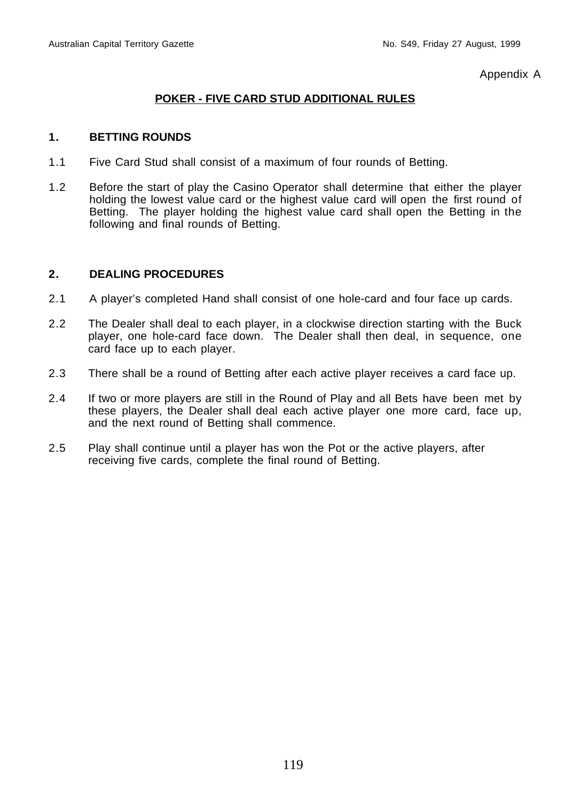Appendix A

# **POKER - FIVE CARD STUD ADDITIONAL RULES**

### **1. BETTING ROUNDS**

- 1.1 Five Card Stud shall consist of a maximum of four rounds of Betting.
- 1.2 Before the start of play the Casino Operator shall determine that either the player holding the lowest value card or the highest value card will open the first round of Betting. The player holding the highest value card shall open the Betting in the following and final rounds of Betting.

- 2.1 A player's completed Hand shall consist of one hole-card and four face up cards.
- 2.2 The Dealer shall deal to each player, in a clockwise direction starting with the Buck player, one hole-card face down. The Dealer shall then deal, in sequence, one card face up to each player.
- 2.3 There shall be a round of Betting after each active player receives a card face up.
- 2.4 If two or more players are still in the Round of Play and all Bets have been met by these players, the Dealer shall deal each active player one more card, face up, and the next round of Betting shall commence.
- 2.5 Play shall continue until a player has won the Pot or the active players, after receiving five cards, complete the final round of Betting.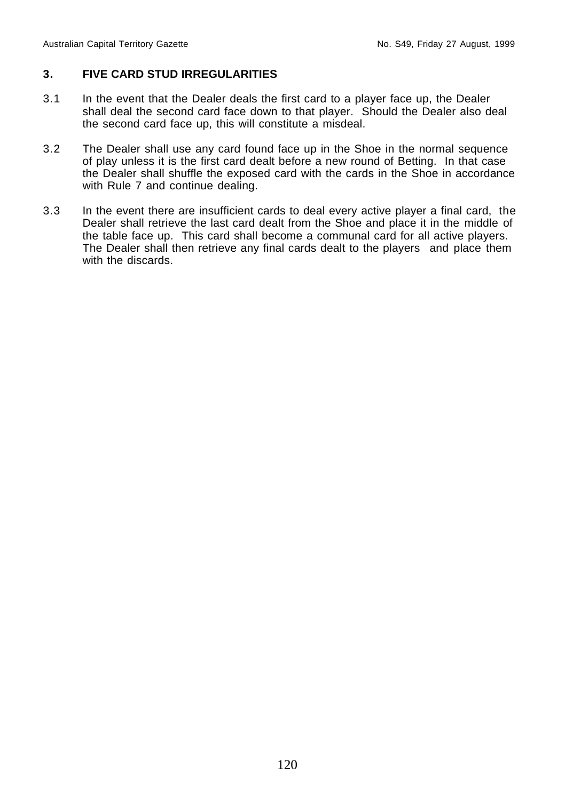# **3. FIVE CARD STUD IRREGULARITIES**

- 3.1 In the event that the Dealer deals the first card to a player face up, the Dealer shall deal the second card face down to that player. Should the Dealer also deal the second card face up, this will constitute a misdeal.
- 3.2 The Dealer shall use any card found face up in the Shoe in the normal sequence of play unless it is the first card dealt before a new round of Betting. In that case the Dealer shall shuffle the exposed card with the cards in the Shoe in accordance with Rule 7 and continue dealing.
- 3.3 In the event there are insufficient cards to deal every active player a final card, the Dealer shall retrieve the last card dealt from the Shoe and place it in the middle of the table face up. This card shall become a communal card for all active players. The Dealer shall then retrieve any final cards dealt to the players and place them with the discards.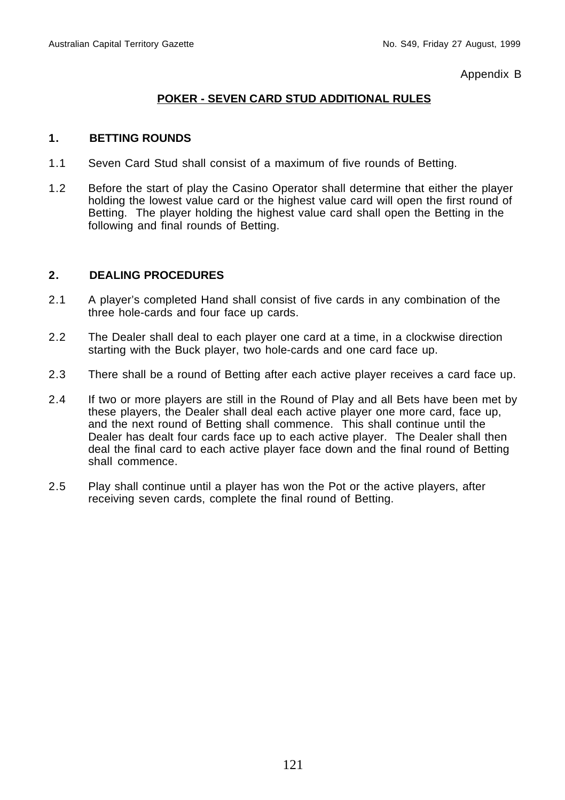Appendix B

# **POKER - SEVEN CARD STUD ADDITIONAL RULES**

### **1. BETTING ROUNDS**

- 1.1 Seven Card Stud shall consist of a maximum of five rounds of Betting.
- 1.2 Before the start of play the Casino Operator shall determine that either the player holding the lowest value card or the highest value card will open the first round of Betting. The player holding the highest value card shall open the Betting in the following and final rounds of Betting.

- 2.1 A player's completed Hand shall consist of five cards in any combination of the three hole-cards and four face up cards.
- 2.2 The Dealer shall deal to each player one card at a time, in a clockwise direction starting with the Buck player, two hole-cards and one card face up.
- 2.3 There shall be a round of Betting after each active player receives a card face up.
- 2.4 If two or more players are still in the Round of Play and all Bets have been met by these players, the Dealer shall deal each active player one more card, face up, and the next round of Betting shall commence. This shall continue until the Dealer has dealt four cards face up to each active player. The Dealer shall then deal the final card to each active player face down and the final round of Betting shall commence.
- 2.5 Play shall continue until a player has won the Pot or the active players, after receiving seven cards, complete the final round of Betting.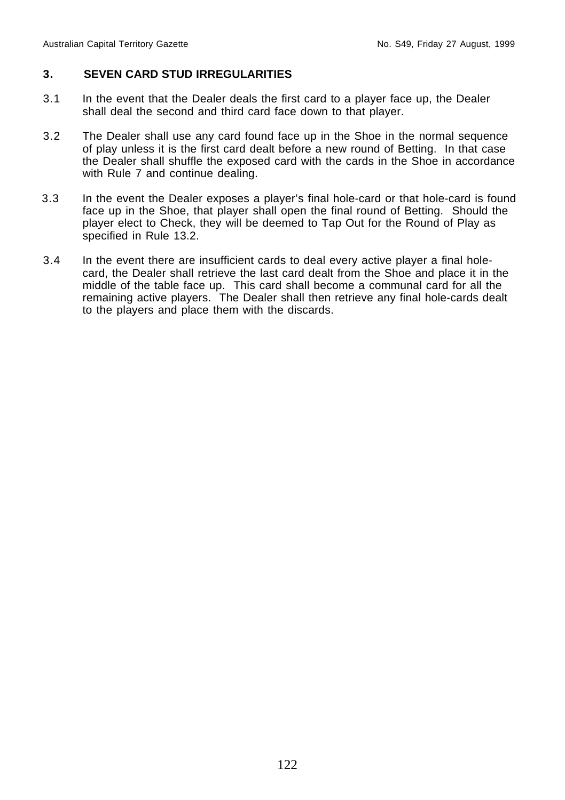## **3. SEVEN CARD STUD IRREGULARITIES**

- 3.1 In the event that the Dealer deals the first card to a player face up, the Dealer shall deal the second and third card face down to that player.
- 3.2 The Dealer shall use any card found face up in the Shoe in the normal sequence of play unless it is the first card dealt before a new round of Betting. In that case the Dealer shall shuffle the exposed card with the cards in the Shoe in accordance with Rule 7 and continue dealing.
- 3.3 In the event the Dealer exposes a player's final hole-card or that hole-card is found face up in the Shoe, that player shall open the final round of Betting. Should the player elect to Check, they will be deemed to Tap Out for the Round of Play as specified in Rule 13.2.
- 3.4 In the event there are insufficient cards to deal every active player a final holecard, the Dealer shall retrieve the last card dealt from the Shoe and place it in the middle of the table face up. This card shall become a communal card for all the remaining active players. The Dealer shall then retrieve any final hole-cards dealt to the players and place them with the discards.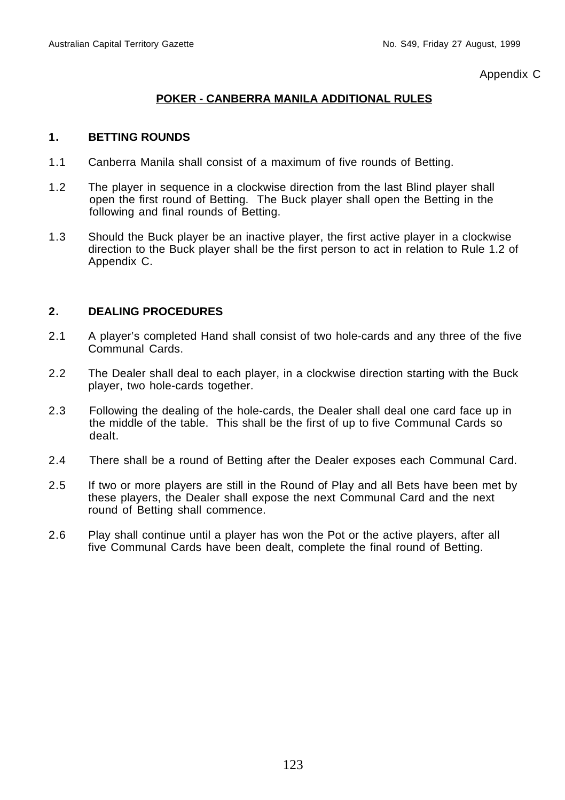Appendix C

# **POKER - CANBERRA MANILA ADDITIONAL RULES**

#### **1. BETTING ROUNDS**

- 1.1 Canberra Manila shall consist of a maximum of five rounds of Betting.
- 1.2 The player in sequence in a clockwise direction from the last Blind player shall open the first round of Betting. The Buck player shall open the Betting in the following and final rounds of Betting.
- 1.3 Should the Buck player be an inactive player, the first active player in a clockwise direction to the Buck player shall be the first person to act in relation to Rule 1.2 of Appendix C.

- 2.1 A player's completed Hand shall consist of two hole-cards and any three of the five Communal Cards.
- 2.2 The Dealer shall deal to each player, in a clockwise direction starting with the Buck player, two hole-cards together.
- 2.3 Following the dealing of the hole-cards, the Dealer shall deal one card face up in the middle of the table. This shall be the first of up to five Communal Cards so dealt.
- 2.4 There shall be a round of Betting after the Dealer exposes each Communal Card.
- 2.5 If two or more players are still in the Round of Play and all Bets have been met by these players, the Dealer shall expose the next Communal Card and the next round of Betting shall commence.
- 2.6 Play shall continue until a player has won the Pot or the active players, after all five Communal Cards have been dealt, complete the final round of Betting.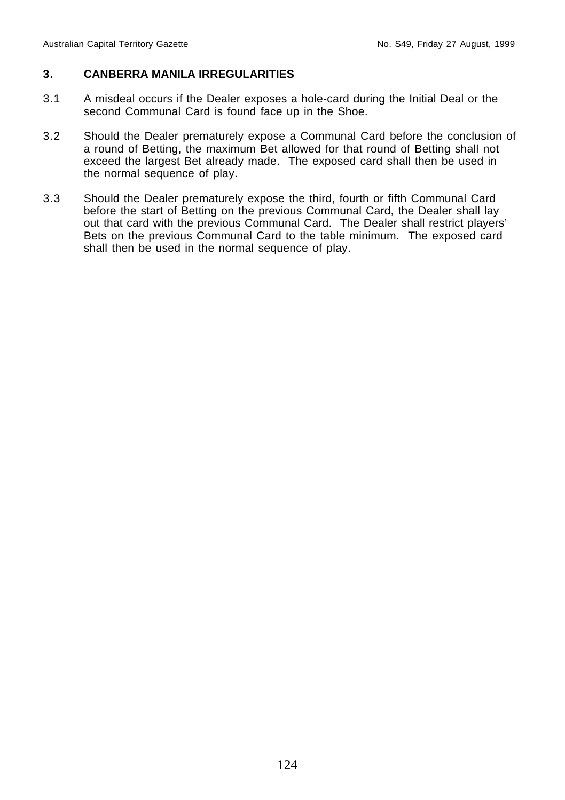## **3. CANBERRA MANILA IRREGULARITIES**

- 3.1 A misdeal occurs if the Dealer exposes a hole-card during the Initial Deal or the second Communal Card is found face up in the Shoe.
- 3.2 Should the Dealer prematurely expose a Communal Card before the conclusion of a round of Betting, the maximum Bet allowed for that round of Betting shall not exceed the largest Bet already made. The exposed card shall then be used in the normal sequence of play.
- 3.3 Should the Dealer prematurely expose the third, fourth or fifth Communal Card before the start of Betting on the previous Communal Card, the Dealer shall lay out that card with the previous Communal Card. The Dealer shall restrict players' Bets on the previous Communal Card to the table minimum. The exposed card shall then be used in the normal sequence of play.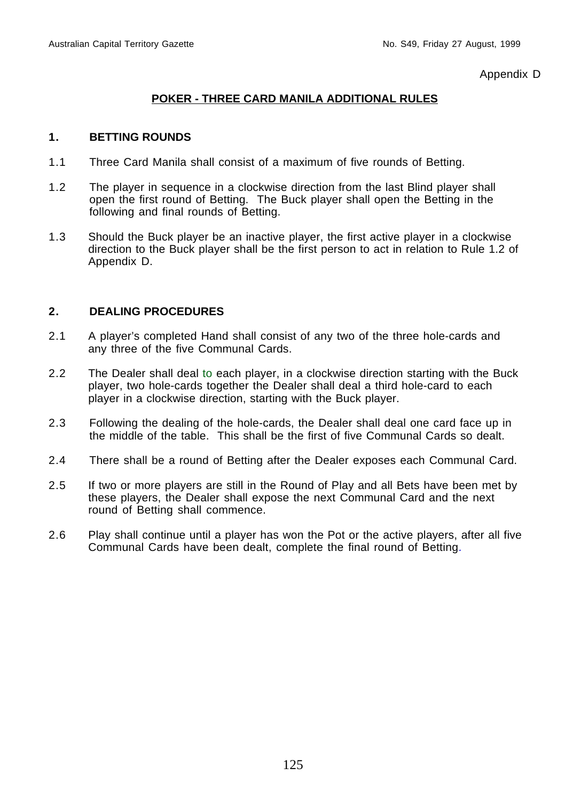Appendix D

# **POKER - THREE CARD MANILA ADDITIONAL RULES**

# **1. BETTING ROUNDS**

- 1.1 Three Card Manila shall consist of a maximum of five rounds of Betting.
- 1.2 The player in sequence in a clockwise direction from the last Blind player shall open the first round of Betting. The Buck player shall open the Betting in the following and final rounds of Betting.
- 1.3 Should the Buck player be an inactive player, the first active player in a clockwise direction to the Buck player shall be the first person to act in relation to Rule 1.2 of Appendix D.

- 2.1 A player's completed Hand shall consist of any two of the three hole-cards and any three of the five Communal Cards.
- 2.2 The Dealer shall deal to each player, in a clockwise direction starting with the Buck player, two hole-cards together the Dealer shall deal a third hole-card to each player in a clockwise direction, starting with the Buck player.
- 2.3 Following the dealing of the hole-cards, the Dealer shall deal one card face up in the middle of the table. This shall be the first of five Communal Cards so dealt.
- 2.4 There shall be a round of Betting after the Dealer exposes each Communal Card.
- 2.5 If two or more players are still in the Round of Play and all Bets have been met by these players, the Dealer shall expose the next Communal Card and the next round of Betting shall commence.
- 2.6 Play shall continue until a player has won the Pot or the active players, after all five Communal Cards have been dealt, complete the final round of Betting.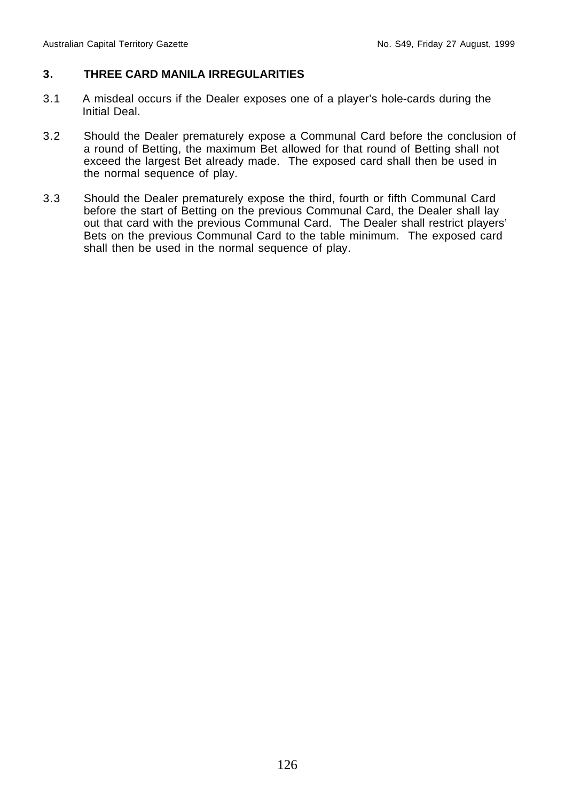# **3. THREE CARD MANILA IRREGULARITIES**

- 3.1 A misdeal occurs if the Dealer exposes one of a player's hole-cards during the Initial Deal.
- 3.2 Should the Dealer prematurely expose a Communal Card before the conclusion of a round of Betting, the maximum Bet allowed for that round of Betting shall not exceed the largest Bet already made. The exposed card shall then be used in the normal sequence of play.
- 3.3 Should the Dealer prematurely expose the third, fourth or fifth Communal Card before the start of Betting on the previous Communal Card, the Dealer shall lay out that card with the previous Communal Card. The Dealer shall restrict players' Bets on the previous Communal Card to the table minimum. The exposed card shall then be used in the normal sequence of play.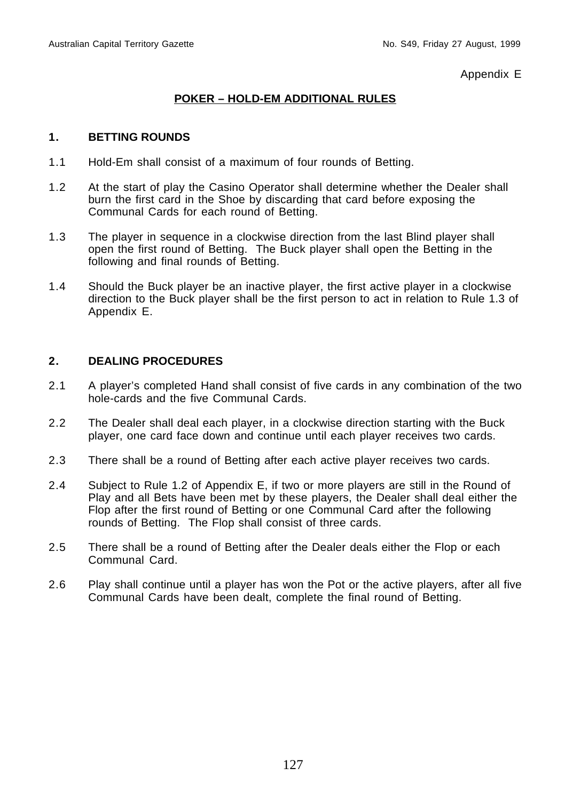Appendix E

# **POKER – HOLD-EM ADDITIONAL RULES**

#### **1. BETTING ROUNDS**

- 1.1 Hold-Em shall consist of a maximum of four rounds of Betting.
- 1.2 At the start of play the Casino Operator shall determine whether the Dealer shall burn the first card in the Shoe by discarding that card before exposing the Communal Cards for each round of Betting.
- 1.3 The player in sequence in a clockwise direction from the last Blind player shall open the first round of Betting. The Buck player shall open the Betting in the following and final rounds of Betting.
- 1.4 Should the Buck player be an inactive player, the first active player in a clockwise direction to the Buck player shall be the first person to act in relation to Rule 1.3 of Appendix E.

- 2.1 A player's completed Hand shall consist of five cards in any combination of the two hole-cards and the five Communal Cards.
- 2.2 The Dealer shall deal each player, in a clockwise direction starting with the Buck player, one card face down and continue until each player receives two cards.
- 2.3 There shall be a round of Betting after each active player receives two cards.
- 2.4 Subject to Rule 1.2 of Appendix E, if two or more players are still in the Round of Play and all Bets have been met by these players, the Dealer shall deal either the Flop after the first round of Betting or one Communal Card after the following rounds of Betting. The Flop shall consist of three cards.
- 2.5 There shall be a round of Betting after the Dealer deals either the Flop or each Communal Card.
- 2.6 Play shall continue until a player has won the Pot or the active players, after all five Communal Cards have been dealt, complete the final round of Betting.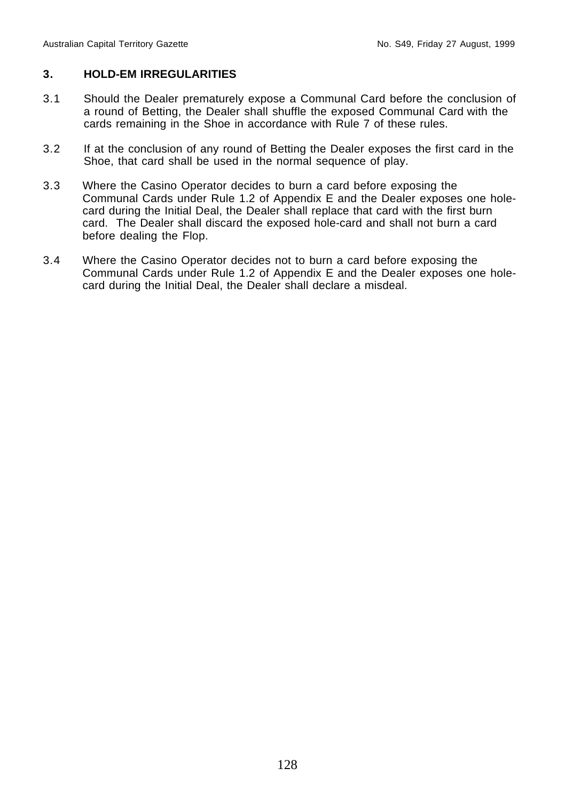## **3. HOLD-EM IRREGULARITIES**

- 3.1 Should the Dealer prematurely expose a Communal Card before the conclusion of a round of Betting, the Dealer shall shuffle the exposed Communal Card with the cards remaining in the Shoe in accordance with Rule 7 of these rules.
- 3.2 If at the conclusion of any round of Betting the Dealer exposes the first card in the Shoe, that card shall be used in the normal sequence of play.
- 3.3 Where the Casino Operator decides to burn a card before exposing the Communal Cards under Rule 1.2 of Appendix E and the Dealer exposes one holecard during the Initial Deal, the Dealer shall replace that card with the first burn card. The Dealer shall discard the exposed hole-card and shall not burn a card before dealing the Flop.
- 3.4 Where the Casino Operator decides not to burn a card before exposing the Communal Cards under Rule 1.2 of Appendix E and the Dealer exposes one holecard during the Initial Deal, the Dealer shall declare a misdeal.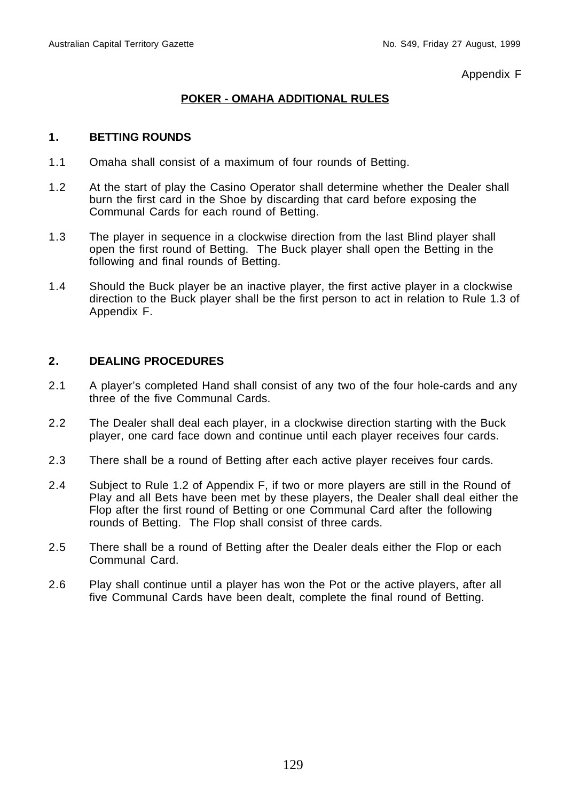Appendix F

# **POKER - OMAHA ADDITIONAL RULES**

### **1. BETTING ROUNDS**

- 1.1 Omaha shall consist of a maximum of four rounds of Betting.
- 1.2 At the start of play the Casino Operator shall determine whether the Dealer shall burn the first card in the Shoe by discarding that card before exposing the Communal Cards for each round of Betting.
- 1.3 The player in sequence in a clockwise direction from the last Blind player shall open the first round of Betting. The Buck player shall open the Betting in the following and final rounds of Betting.
- 1.4 Should the Buck player be an inactive player, the first active player in a clockwise direction to the Buck player shall be the first person to act in relation to Rule 1.3 of Appendix F.

- 2.1 A player's completed Hand shall consist of any two of the four hole-cards and any three of the five Communal Cards.
- 2.2 The Dealer shall deal each player, in a clockwise direction starting with the Buck player, one card face down and continue until each player receives four cards.
- 2.3 There shall be a round of Betting after each active player receives four cards.
- 2.4 Subject to Rule 1.2 of Appendix F, if two or more players are still in the Round of Play and all Bets have been met by these players, the Dealer shall deal either the Flop after the first round of Betting or one Communal Card after the following rounds of Betting. The Flop shall consist of three cards.
- 2.5 There shall be a round of Betting after the Dealer deals either the Flop or each Communal Card.
- 2.6 Play shall continue until a player has won the Pot or the active players, after all five Communal Cards have been dealt, complete the final round of Betting.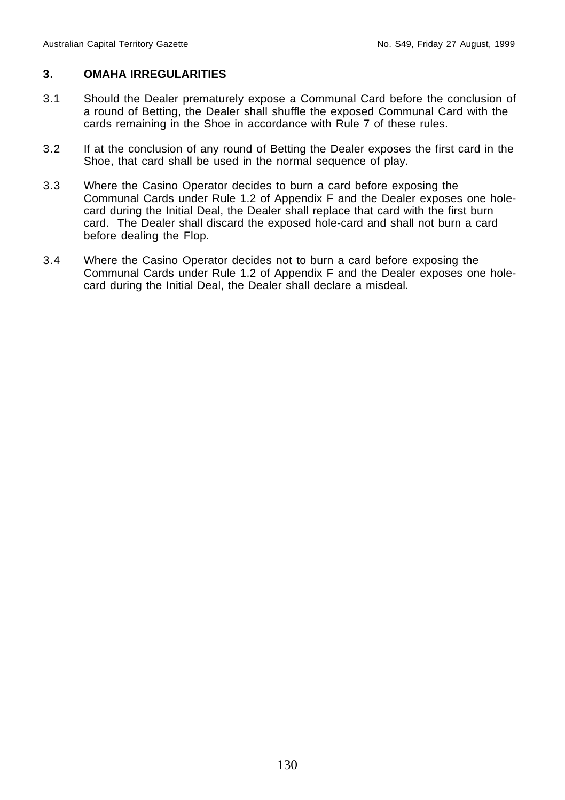## **3. OMAHA IRREGULARITIES**

- 3.1 Should the Dealer prematurely expose a Communal Card before the conclusion of a round of Betting, the Dealer shall shuffle the exposed Communal Card with the cards remaining in the Shoe in accordance with Rule 7 of these rules.
- 3.2 If at the conclusion of any round of Betting the Dealer exposes the first card in the Shoe, that card shall be used in the normal sequence of play.
- 3.3 Where the Casino Operator decides to burn a card before exposing the Communal Cards under Rule 1.2 of Appendix F and the Dealer exposes one holecard during the Initial Deal, the Dealer shall replace that card with the first burn card. The Dealer shall discard the exposed hole-card and shall not burn a card before dealing the Flop.
- 3.4 Where the Casino Operator decides not to burn a card before exposing the Communal Cards under Rule 1.2 of Appendix F and the Dealer exposes one holecard during the Initial Deal, the Dealer shall declare a misdeal.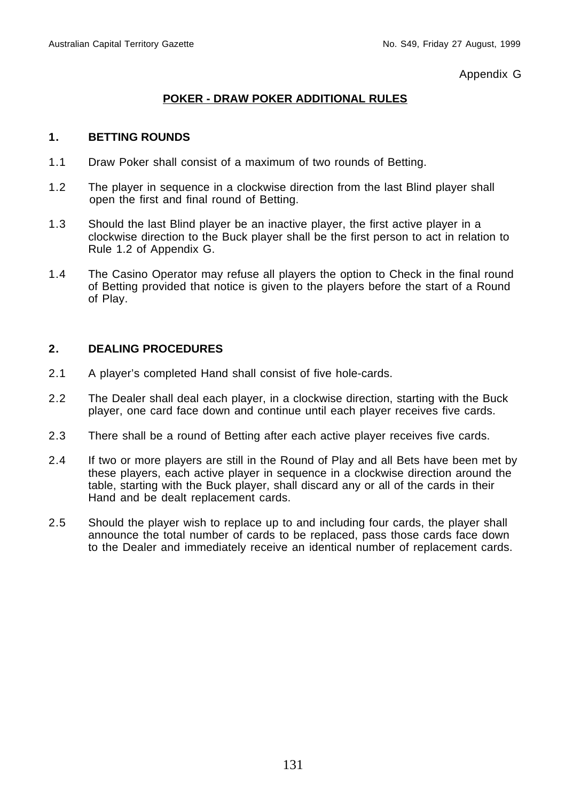Appendix G

# **POKER - DRAW POKER ADDITIONAL RULES**

#### **1. BETTING ROUNDS**

- 1.1 Draw Poker shall consist of a maximum of two rounds of Betting.
- 1.2 The player in sequence in a clockwise direction from the last Blind player shall open the first and final round of Betting.
- 1.3 Should the last Blind player be an inactive player, the first active player in a clockwise direction to the Buck player shall be the first person to act in relation to Rule 1.2 of Appendix G.
- 1.4 The Casino Operator may refuse all players the option to Check in the final round of Betting provided that notice is given to the players before the start of a Round of Play.

- 2.1 A player's completed Hand shall consist of five hole-cards.
- 2.2 The Dealer shall deal each player, in a clockwise direction, starting with the Buck player, one card face down and continue until each player receives five cards.
- 2.3 There shall be a round of Betting after each active player receives five cards.
- 2.4 If two or more players are still in the Round of Play and all Bets have been met by these players, each active player in sequence in a clockwise direction around the table, starting with the Buck player, shall discard any or all of the cards in their Hand and be dealt replacement cards.
- 2.5 Should the player wish to replace up to and including four cards, the player shall announce the total number of cards to be replaced, pass those cards face down to the Dealer and immediately receive an identical number of replacement cards.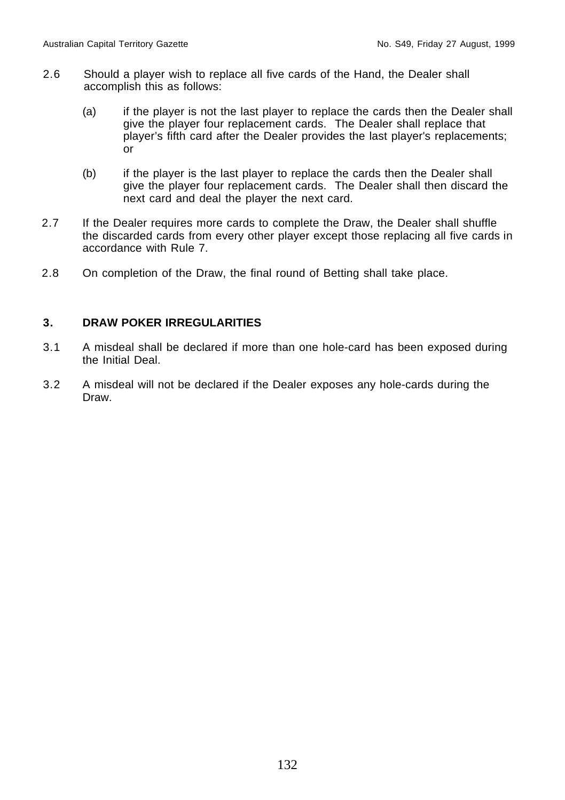- 2.6 Should a player wish to replace all five cards of the Hand, the Dealer shall accomplish this as follows:
	- (a) if the player is not the last player to replace the cards then the Dealer shall give the player four replacement cards. The Dealer shall replace that player's fifth card after the Dealer provides the last player's replacements; or
	- (b) if the player is the last player to replace the cards then the Dealer shall give the player four replacement cards. The Dealer shall then discard the next card and deal the player the next card.
- 2.7 If the Dealer requires more cards to complete the Draw, the Dealer shall shuffle the discarded cards from every other player except those replacing all five cards in accordance with Rule 7.
- 2.8 On completion of the Draw, the final round of Betting shall take place.

# **3. DRAW POKER IRREGULARITIES**

- 3.1 A misdeal shall be declared if more than one hole-card has been exposed during the Initial Deal.
- 3.2 A misdeal will not be declared if the Dealer exposes any hole-cards during the Draw.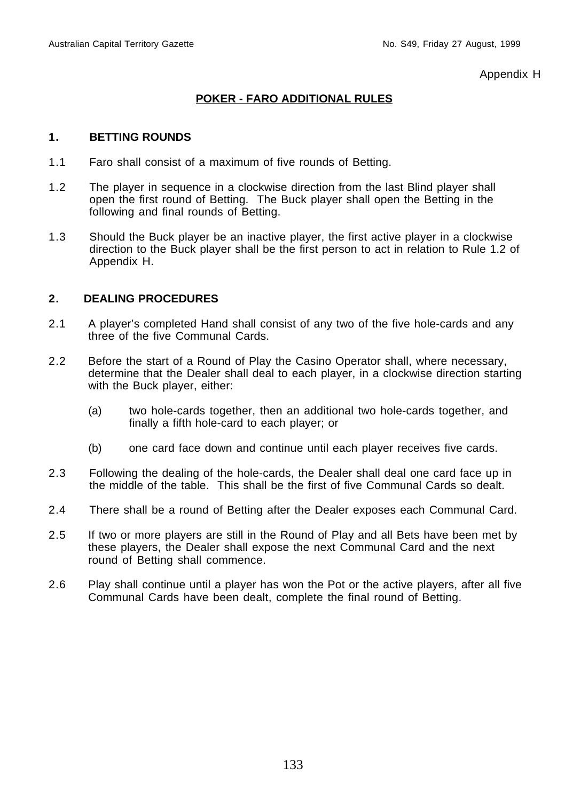Appendix H

# **POKER - FARO ADDITIONAL RULES**

### **1. BETTING ROUNDS**

- 1.1 Faro shall consist of a maximum of five rounds of Betting.
- 1.2 The player in sequence in a clockwise direction from the last Blind player shall open the first round of Betting. The Buck player shall open the Betting in the following and final rounds of Betting.
- 1.3 Should the Buck player be an inactive player, the first active player in a clockwise direction to the Buck player shall be the first person to act in relation to Rule 1.2 of Appendix H.

- 2.1 A player's completed Hand shall consist of any two of the five hole-cards and any three of the five Communal Cards.
- 2.2 Before the start of a Round of Play the Casino Operator shall, where necessary, determine that the Dealer shall deal to each player, in a clockwise direction starting with the Buck player, either:
	- (a) two hole-cards together, then an additional two hole-cards together, and finally a fifth hole-card to each player; or
	- (b) one card face down and continue until each player receives five cards.
- 2.3 Following the dealing of the hole-cards, the Dealer shall deal one card face up in the middle of the table. This shall be the first of five Communal Cards so dealt.
- 2.4 There shall be a round of Betting after the Dealer exposes each Communal Card.
- 2.5 If two or more players are still in the Round of Play and all Bets have been met by these players, the Dealer shall expose the next Communal Card and the next round of Betting shall commence.
- 2.6 Play shall continue until a player has won the Pot or the active players, after all five Communal Cards have been dealt, complete the final round of Betting.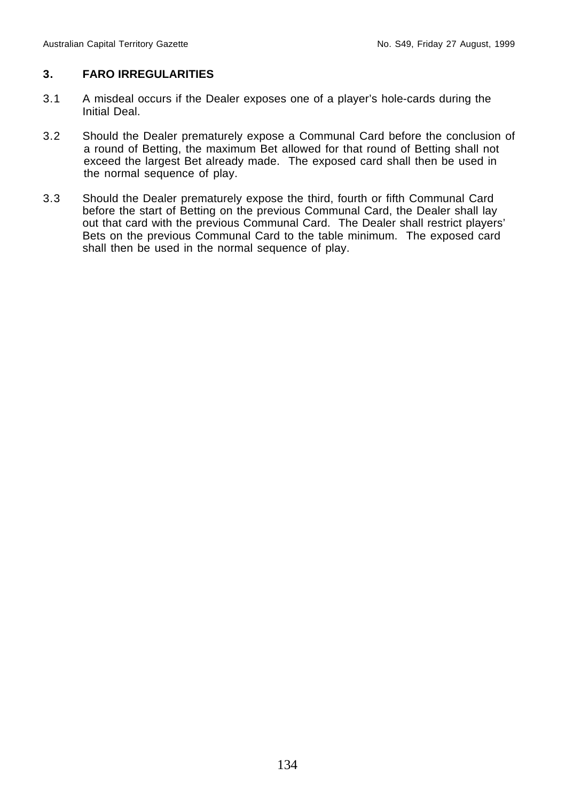# **3. FARO IRREGULARITIES**

- 3.1 A misdeal occurs if the Dealer exposes one of a player's hole-cards during the Initial Deal.
- 3.2 Should the Dealer prematurely expose a Communal Card before the conclusion of a round of Betting, the maximum Bet allowed for that round of Betting shall not exceed the largest Bet already made. The exposed card shall then be used in the normal sequence of play.
- 3.3 Should the Dealer prematurely expose the third, fourth or fifth Communal Card before the start of Betting on the previous Communal Card, the Dealer shall lay out that card with the previous Communal Card. The Dealer shall restrict players' Bets on the previous Communal Card to the table minimum. The exposed card shall then be used in the normal sequence of play.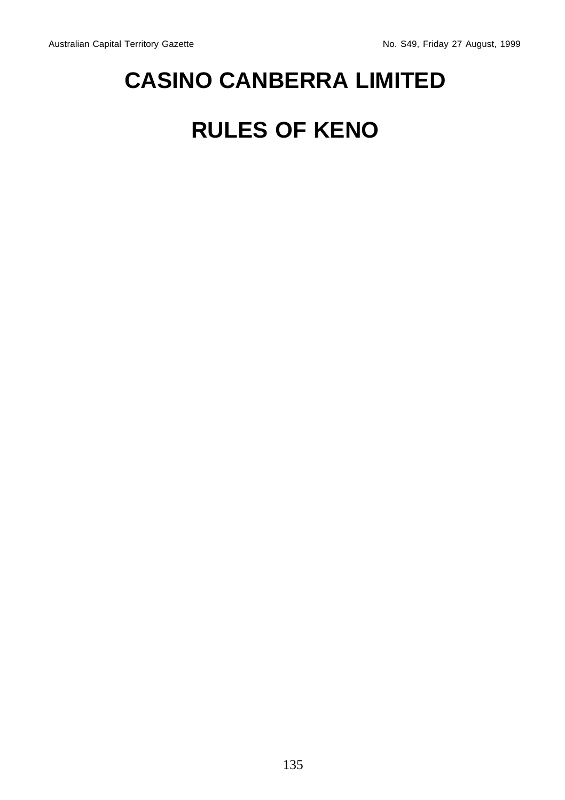# **CASINO CANBERRA LIMITED**

# **RULES OF KENO**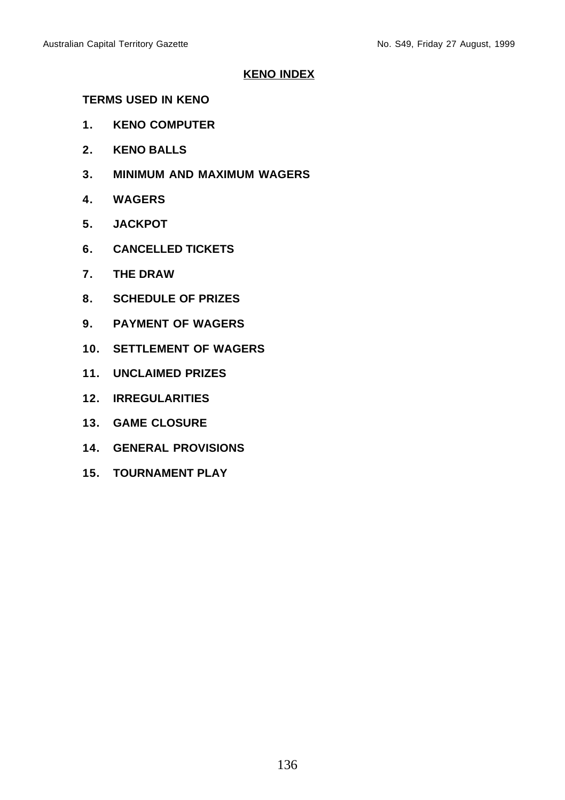# **KENO INDEX**

# **TERMS USED IN KENO**

- **1. KENO COMPUTER**
- **2. KENO BALLS**
- **3. MINIMUM AND MAXIMUM WAGERS**
- **4. WAGERS**
- **5. JACKPOT**
- **6. CANCELLED TICKETS**
- **7. THE DRAW**
- **8. SCHEDULE OF PRIZES**
- **9. PAYMENT OF WAGERS**
- **10. SETTLEMENT OF WAGERS**
- **11. UNCLAIMED PRIZES**
- **12. IRREGULARITIES**
- **13. GAME CLOSURE**
- **14. GENERAL PROVISIONS**
- **15. TOURNAMENT PLAY**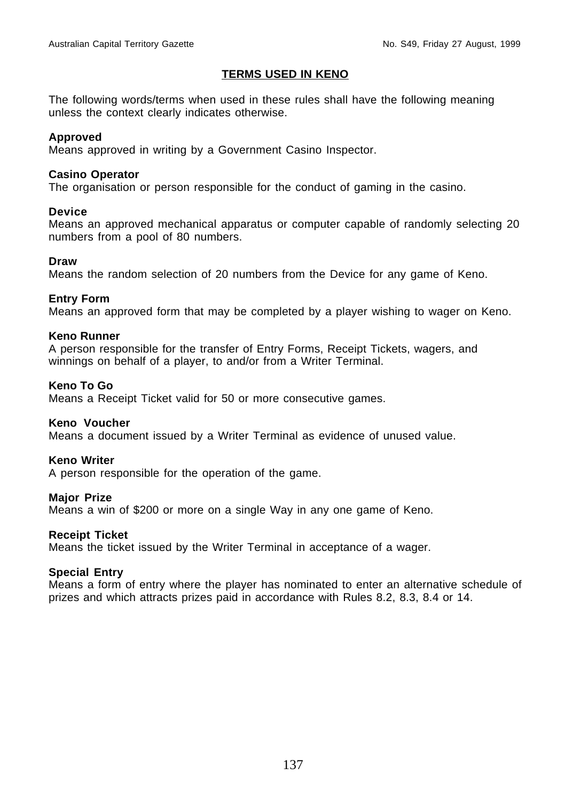#### **TERMS USED IN KENO**

The following words/terms when used in these rules shall have the following meaning unless the context clearly indicates otherwise.

#### **Approved**

Means approved in writing by a Government Casino Inspector.

#### **Casino Operator**

The organisation or person responsible for the conduct of gaming in the casino.

#### **Device**

Means an approved mechanical apparatus or computer capable of randomly selecting 20 numbers from a pool of 80 numbers.

#### **Draw**

Means the random selection of 20 numbers from the Device for any game of Keno.

#### **Entry Form**

Means an approved form that may be completed by a player wishing to wager on Keno.

#### **Keno Runner**

A person responsible for the transfer of Entry Forms, Receipt Tickets, wagers, and winnings on behalf of a player, to and/or from a Writer Terminal.

#### **Keno To Go**

Means a Receipt Ticket valid for 50 or more consecutive games.

#### **Keno Voucher**

Means a document issued by a Writer Terminal as evidence of unused value.

#### **Keno Writer**

A person responsible for the operation of the game.

#### **Major Prize**

Means a win of \$200 or more on a single Way in any one game of Keno.

#### **Receipt Ticket**

Means the ticket issued by the Writer Terminal in acceptance of a wager.

#### **Special Entry**

Means a form of entry where the player has nominated to enter an alternative schedule of prizes and which attracts prizes paid in accordance with Rules 8.2, 8.3, 8.4 or 14.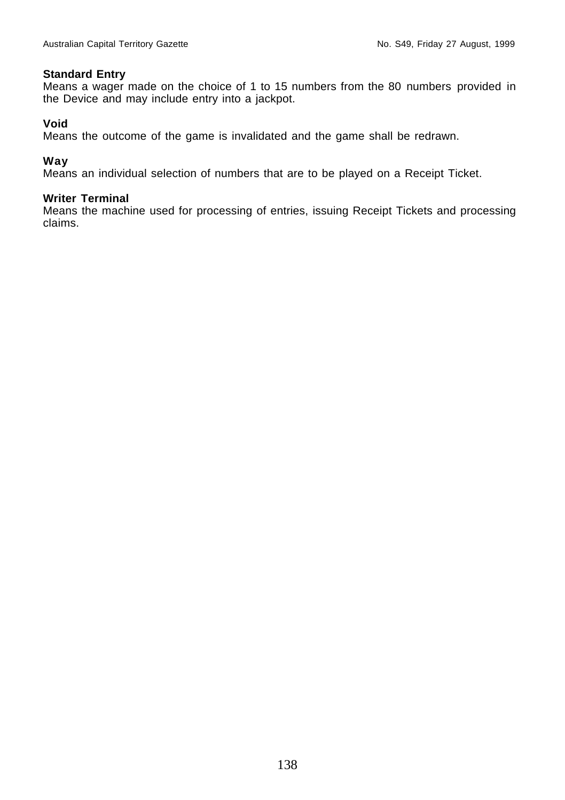#### **Standard Entry**

Means a wager made on the choice of 1 to 15 numbers from the 80 numbers provided in the Device and may include entry into a jackpot.

#### **Void**

Means the outcome of the game is invalidated and the game shall be redrawn.

#### **Way**

Means an individual selection of numbers that are to be played on a Receipt Ticket.

#### **Writer Terminal**

Means the machine used for processing of entries, issuing Receipt Tickets and processing claims.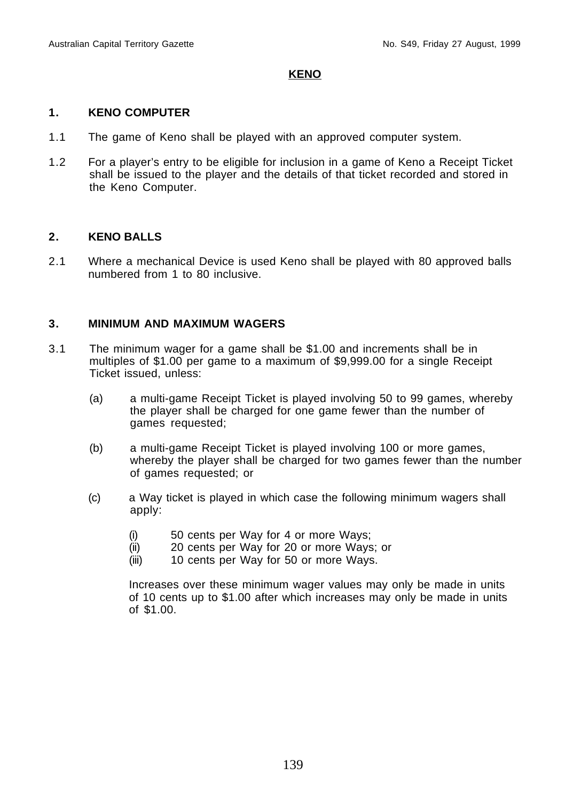## **KENO**

#### **1. KENO COMPUTER**

- 1.1 The game of Keno shall be played with an approved computer system.
- 1.2 For a player's entry to be eligible for inclusion in a game of Keno a Receipt Ticket shall be issued to the player and the details of that ticket recorded and stored in the Keno Computer.

# **2. KENO BALLS**

2.1 Where a mechanical Device is used Keno shall be played with 80 approved balls numbered from 1 to 80 inclusive.

### **3. MINIMUM AND MAXIMUM WAGERS**

- 3.1 The minimum wager for a game shall be \$1.00 and increments shall be in multiples of \$1.00 per game to a maximum of \$9,999.00 for a single Receipt Ticket issued, unless:
	- (a) a multi-game Receipt Ticket is played involving 50 to 99 games, whereby the player shall be charged for one game fewer than the number of games requested;
	- (b) a multi-game Receipt Ticket is played involving 100 or more games, whereby the player shall be charged for two games fewer than the number of games requested; or
	- (c) a Way ticket is played in which case the following minimum wagers shall apply:
		- (i) 50 cents per Way for 4 or more Ways;
		- (ii) 20 cents per Way for 20 or more Ways; or
		- (iii) 10 cents per Way for 50 or more Ways.

Increases over these minimum wager values may only be made in units of 10 cents up to \$1.00 after which increases may only be made in units of \$1.00.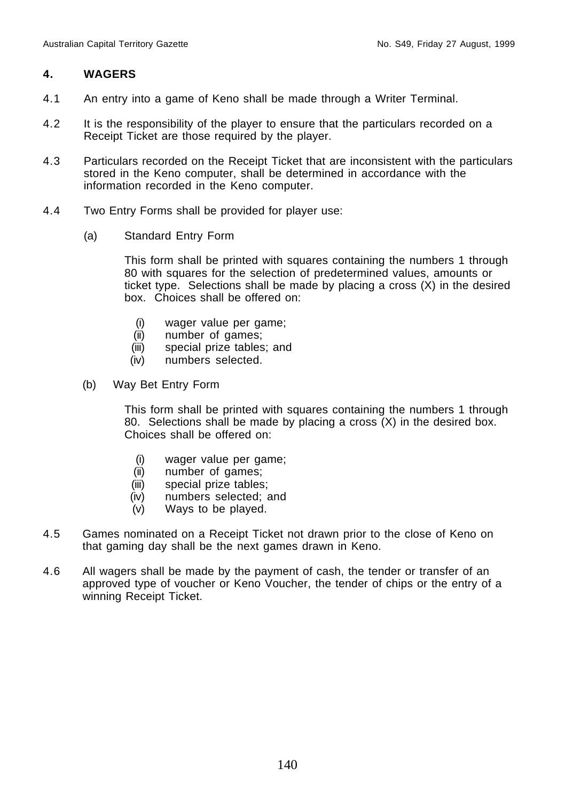# **4. WAGERS**

- 4.1 An entry into a game of Keno shall be made through a Writer Terminal.
- 4.2 It is the responsibility of the player to ensure that the particulars recorded on a Receipt Ticket are those required by the player.
- 4.3 Particulars recorded on the Receipt Ticket that are inconsistent with the particulars stored in the Keno computer, shall be determined in accordance with the information recorded in the Keno computer.
- 4.4 Two Entry Forms shall be provided for player use:
	- (a) Standard Entry Form

This form shall be printed with squares containing the numbers 1 through 80 with squares for the selection of predetermined values, amounts or ticket type. Selections shall be made by placing a cross (X) in the desired box. Choices shall be offered on:

- (i) wager value per game;
- (ii) number of games;
- (iii) special prize tables; and
- (iv) numbers selected.
- (b) Way Bet Entry Form

This form shall be printed with squares containing the numbers 1 through 80. Selections shall be made by placing a cross (X) in the desired box. Choices shall be offered on:

- (i) wager value per game;
- (ii) number of games;
- (iii) special prize tables;
- (iv) numbers selected; and
- (v) Ways to be played.
- 4.5 Games nominated on a Receipt Ticket not drawn prior to the close of Keno on that gaming day shall be the next games drawn in Keno.
- 4.6 All wagers shall be made by the payment of cash, the tender or transfer of an approved type of voucher or Keno Voucher, the tender of chips or the entry of a winning Receipt Ticket.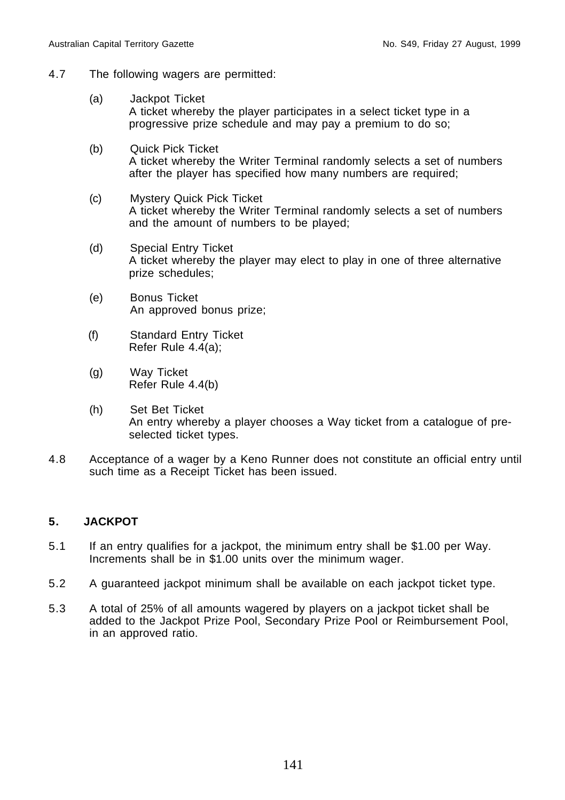- 4.7 The following wagers are permitted:
	- (a) Jackpot Ticket A ticket whereby the player participates in a select ticket type in a progressive prize schedule and may pay a premium to do so;
	- (b) Quick Pick Ticket A ticket whereby the Writer Terminal randomly selects a set of numbers after the player has specified how many numbers are required;
	- (c) Mystery Quick Pick Ticket A ticket whereby the Writer Terminal randomly selects a set of numbers and the amount of numbers to be played;
	- (d) Special Entry Ticket A ticket whereby the player may elect to play in one of three alternative prize schedules;
	- (e) Bonus Ticket An approved bonus prize;
	- (f) Standard Entry Ticket Refer Rule 4.4(a);
	- (g) Way Ticket Refer Rule 4.4(b)
	- (h) Set Bet Ticket An entry whereby a player chooses a Way ticket from a catalogue of preselected ticket types.
- 4.8 Acceptance of a wager by a Keno Runner does not constitute an official entry until such time as a Receipt Ticket has been issued.

# **5. JACKPOT**

- 5.1 If an entry qualifies for a jackpot, the minimum entry shall be \$1.00 per Way. Increments shall be in \$1.00 units over the minimum wager.
- 5.2 A guaranteed jackpot minimum shall be available on each jackpot ticket type.
- 5.3 A total of 25% of all amounts wagered by players on a jackpot ticket shall be added to the Jackpot Prize Pool, Secondary Prize Pool or Reimbursement Pool, in an approved ratio.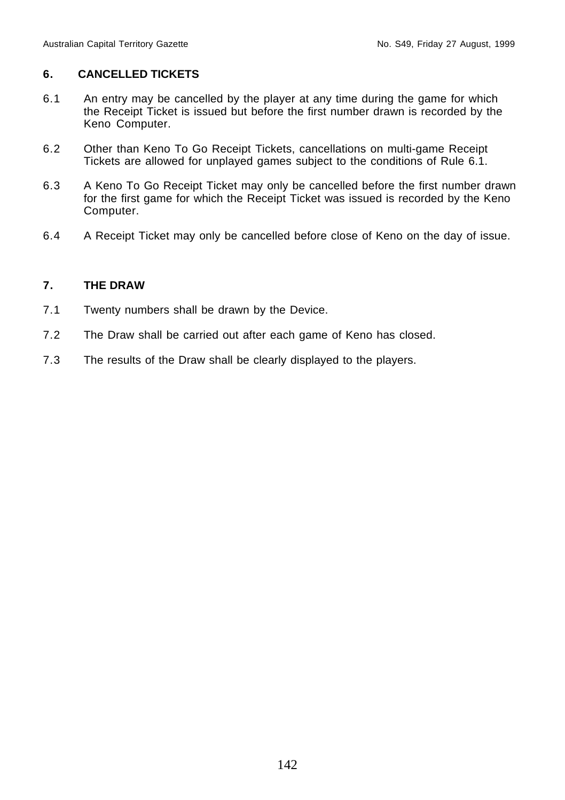# **6. CANCELLED TICKETS**

- 6.1 An entry may be cancelled by the player at any time during the game for which the Receipt Ticket is issued but before the first number drawn is recorded by the Keno Computer.
- 6.2 Other than Keno To Go Receipt Tickets, cancellations on multi-game Receipt Tickets are allowed for unplayed games subject to the conditions of Rule 6.1.
- 6.3 A Keno To Go Receipt Ticket may only be cancelled before the first number drawn for the first game for which the Receipt Ticket was issued is recorded by the Keno Computer.
- 6.4 A Receipt Ticket may only be cancelled before close of Keno on the day of issue.

# **7. THE DRAW**

- 7.1 Twenty numbers shall be drawn by the Device.
- 7.2 The Draw shall be carried out after each game of Keno has closed.
- 7.3 The results of the Draw shall be clearly displayed to the players.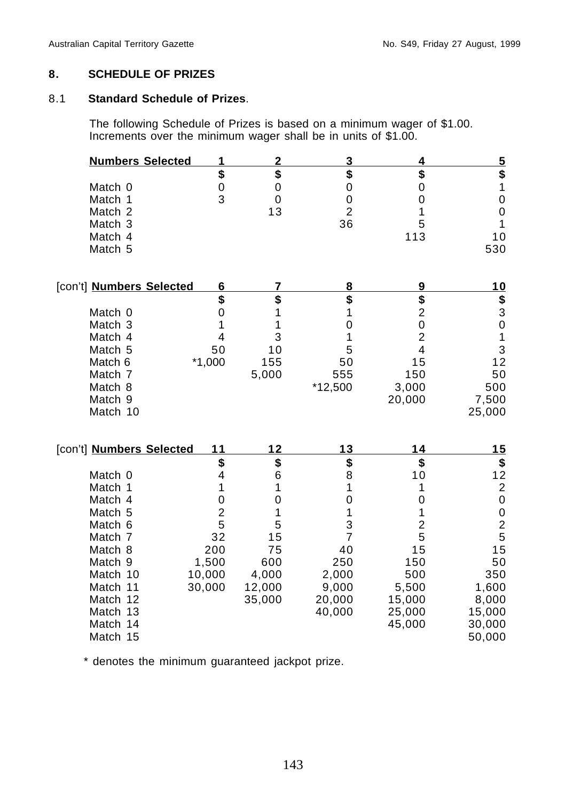## **8. SCHEDULE OF PRIZES**

## 8.1 **Standard Schedule of Prizes**.

The following Schedule of Prizes is based on a minimum wager of \$1.00. Increments over the minimum wager shall be in units of \$1.00.

| <b>Numbers Selected</b>  | 1                       | $\overline{2}$   | <u>3</u>         | $\overline{4}$ |                                            |
|--------------------------|-------------------------|------------------|------------------|----------------|--------------------------------------------|
|                          | \$                      | \$               | \$               | \$             | <u>5</u><br>\$                             |
| Match 0                  | $\pmb{0}$               | $\boldsymbol{0}$ | $\boldsymbol{0}$ | 0              | $\mathbf{1}$                               |
| Match 1                  | 3                       | $\mathbf 0$      | $\boldsymbol{0}$ | 0              | $\pmb{0}$                                  |
| Match 2                  |                         | 13               | $\overline{2}$   | 1              | $\mathbf 0$                                |
| Match 3                  |                         |                  | 36               | 5              | $\mathbf{1}$                               |
| Match 4                  |                         |                  |                  | 113            | 10                                         |
| Match 5                  |                         |                  |                  |                | 530                                        |
| [con't] Numbers Selected | 6                       | 7                | 8                | 9              | <u> 10</u>                                 |
|                          | \$                      | \$               | \$               | \$             | \$                                         |
| Match 0                  | 0                       | 1                | 1                | $\overline{2}$ | 3                                          |
| Match 3                  | 1                       | 1                | 0                | $\mathbf 0$    | $\mathbf 0$                                |
| Match 4                  | 4                       | 3                | 1                | $\overline{2}$ | $\mathbf 1$                                |
| Match 5                  | 50                      | 10               | 5                | 4              | 3                                          |
| Match 6                  | $*1,000$                | 155              | 50               | 15             | 12                                         |
| Match 7                  |                         | 5,000            | 555              | 150            | 50                                         |
| Match 8                  |                         |                  | $*12,500$        | 3,000          | 500                                        |
| Match 9                  |                         |                  |                  | 20,000         | 7,500                                      |
| Match 10                 |                         |                  |                  |                | 25,000                                     |
| [con't] Numbers Selected | 11                      | 12               | 13               | 14             | 15                                         |
|                          | \$                      | \$               | \$               | \$             | \$                                         |
| Match 0                  | $\overline{\mathbf{4}}$ | 6                | 8                | 10             | 12                                         |
| Match 1                  | 1                       | 1                | 1                | 1              |                                            |
| Match 4                  | 0                       | 0                | 0                | 0              | $\begin{array}{c} 2 \\ 0 \end{array}$      |
| Match 5                  | $\overline{2}$          | 1                | 1                | 1              |                                            |
| Match 6                  | 5                       | 5                | 3                | $\overline{c}$ | $\begin{array}{c} 0 \\ 2 \\ 5 \end{array}$ |
| Match 7                  | 32                      | 15               | 7                | 5              |                                            |
| Match 8                  | 200                     | 75               | 40               | 15             | 15                                         |
| Match 9                  | 1,500                   | 600              | 250              | 150            | 50                                         |
| Match 10                 | 10,000                  | 4,000            | 2,000            | 500            | 350                                        |
| Match 11                 | 30,000                  | 12,000           | 9,000            | 5,500          | 1,600                                      |
| Match 12                 |                         | 35,000           | 20,000           | 15,000         | 8,000                                      |
| Match 13                 |                         |                  | 40,000           | 25,000         | 15,000                                     |
| Match 14                 |                         |                  |                  | 45,000         | 30,000                                     |
| Match 15                 |                         |                  |                  |                | 50,000                                     |

\* denotes the minimum guaranteed jackpot prize.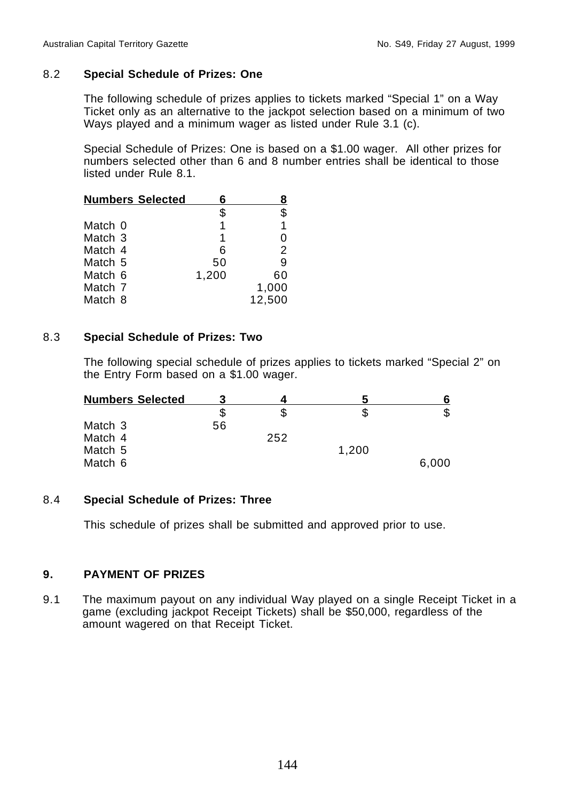# 8.2 **Special Schedule of Prizes: One**

The following schedule of prizes applies to tickets marked "Special 1" on a Way Ticket only as an alternative to the jackpot selection based on a minimum of two Ways played and a minimum wager as listed under Rule 3.1 (c).

Special Schedule of Prizes: One is based on a \$1.00 wager. All other prizes for numbers selected other than 6 and 8 number entries shall be identical to those listed under Rule 8.1.

| <b>Numbers Selected</b> | Ⴌ     |        |
|-------------------------|-------|--------|
|                         | \$    | \$     |
| Match 0                 | 1     | 1      |
| Match <sub>3</sub>      | 1     | 0      |
| Match 4                 | 6     | 2      |
| Match 5                 | 50    | 9      |
| Match 6                 | 1.200 | 60     |
| Match 7                 |       | 1,000  |
| Match 8                 |       | 12,500 |

# 8.3 **Special Schedule of Prizes: Two**

The following special schedule of prizes applies to tickets marked "Special 2" on the Entry Form based on a \$1.00 wager.

| <b>Numbers Selected</b> |    |     |       |       |
|-------------------------|----|-----|-------|-------|
|                         | \$ |     |       |       |
| Match 3                 | 56 |     |       |       |
| Match 4                 |    | 252 |       |       |
| Match 5                 |    |     | 1,200 |       |
| Match 6                 |    |     |       | 6,000 |

# 8.4 **Special Schedule of Prizes: Three**

This schedule of prizes shall be submitted and approved prior to use.

# **9. PAYMENT OF PRIZES**

9.1 The maximum payout on any individual Way played on a single Receipt Ticket in a game (excluding jackpot Receipt Tickets) shall be \$50,000, regardless of the amount wagered on that Receipt Ticket.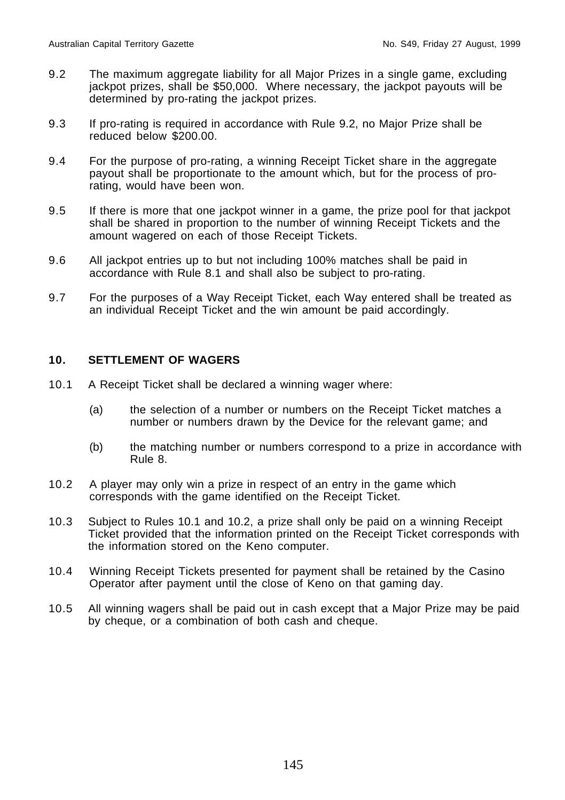- 9.2 The maximum aggregate liability for all Major Prizes in a single game, excluding jackpot prizes, shall be \$50,000. Where necessary, the jackpot payouts will be determined by pro-rating the jackpot prizes.
- 9.3 If pro-rating is required in accordance with Rule 9.2, no Major Prize shall be reduced below \$200.00.
- 9.4 For the purpose of pro-rating, a winning Receipt Ticket share in the aggregate payout shall be proportionate to the amount which, but for the process of prorating, would have been won.
- 9.5 If there is more that one jackpot winner in a game, the prize pool for that jackpot shall be shared in proportion to the number of winning Receipt Tickets and the amount wagered on each of those Receipt Tickets.
- 9.6 All jackpot entries up to but not including 100% matches shall be paid in accordance with Rule 8.1 and shall also be subject to pro-rating.
- 9.7 For the purposes of a Way Receipt Ticket, each Way entered shall be treated as an individual Receipt Ticket and the win amount be paid accordingly.

### **10. SETTLEMENT OF WAGERS**

- 10.1 A Receipt Ticket shall be declared a winning wager where:
	- (a) the selection of a number or numbers on the Receipt Ticket matches a number or numbers drawn by the Device for the relevant game; and
	- (b) the matching number or numbers correspond to a prize in accordance with Rule 8.
- 10.2 A player may only win a prize in respect of an entry in the game which corresponds with the game identified on the Receipt Ticket.
- 10.3 Subject to Rules 10.1 and 10.2, a prize shall only be paid on a winning Receipt Ticket provided that the information printed on the Receipt Ticket corresponds with the information stored on the Keno computer.
- 10.4 Winning Receipt Tickets presented for payment shall be retained by the Casino Operator after payment until the close of Keno on that gaming day.
- 10.5 All winning wagers shall be paid out in cash except that a Major Prize may be paid by cheque, or a combination of both cash and cheque.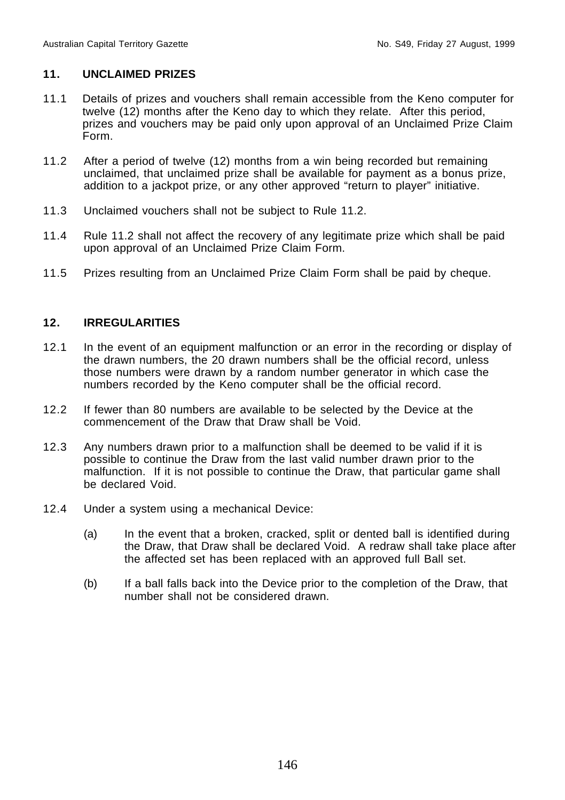## **11. UNCLAIMED PRIZES**

- 11.1 Details of prizes and vouchers shall remain accessible from the Keno computer for twelve (12) months after the Keno day to which they relate. After this period, prizes and vouchers may be paid only upon approval of an Unclaimed Prize Claim Form.
- 11.2 After a period of twelve (12) months from a win being recorded but remaining unclaimed, that unclaimed prize shall be available for payment as a bonus prize, addition to a jackpot prize, or any other approved "return to player" initiative.
- 11.3 Unclaimed vouchers shall not be subject to Rule 11.2.
- 11.4 Rule 11.2 shall not affect the recovery of any legitimate prize which shall be paid upon approval of an Unclaimed Prize Claim Form.
- 11.5 Prizes resulting from an Unclaimed Prize Claim Form shall be paid by cheque.

### **12. IRREGULARITIES**

- 12.1 In the event of an equipment malfunction or an error in the recording or display of the drawn numbers, the 20 drawn numbers shall be the official record, unless those numbers were drawn by a random number generator in which case the numbers recorded by the Keno computer shall be the official record.
- 12.2 If fewer than 80 numbers are available to be selected by the Device at the commencement of the Draw that Draw shall be Void.
- 12.3 Any numbers drawn prior to a malfunction shall be deemed to be valid if it is possible to continue the Draw from the last valid number drawn prior to the malfunction. If it is not possible to continue the Draw, that particular game shall be declared Void.
- 12.4 Under a system using a mechanical Device:
	- (a) In the event that a broken, cracked, split or dented ball is identified during the Draw, that Draw shall be declared Void. A redraw shall take place after the affected set has been replaced with an approved full Ball set.
	- (b) If a ball falls back into the Device prior to the completion of the Draw, that number shall not be considered drawn.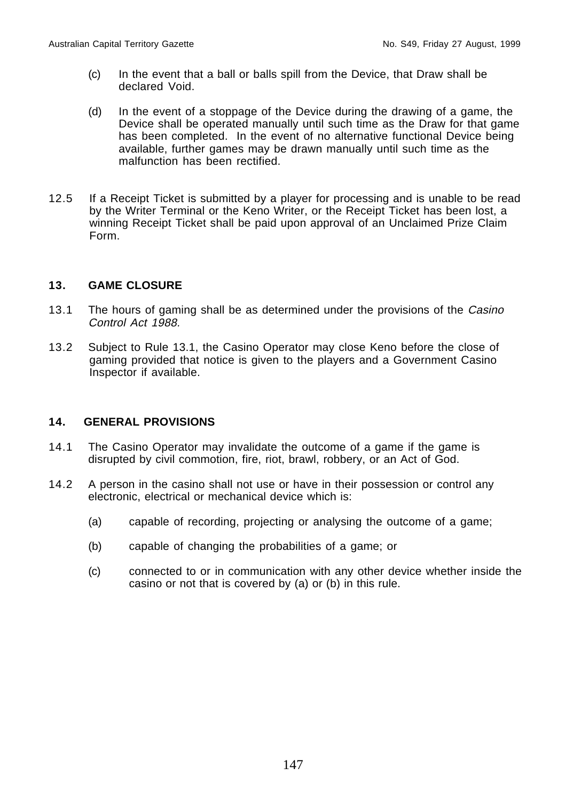- (c) In the event that a ball or balls spill from the Device, that Draw shall be declared Void.
- (d) In the event of a stoppage of the Device during the drawing of a game, the Device shall be operated manually until such time as the Draw for that game has been completed. In the event of no alternative functional Device being available, further games may be drawn manually until such time as the malfunction has been rectified.
- 12.5 If a Receipt Ticket is submitted by a player for processing and is unable to be read by the Writer Terminal or the Keno Writer, or the Receipt Ticket has been lost, a winning Receipt Ticket shall be paid upon approval of an Unclaimed Prize Claim Form.

# **13. GAME CLOSURE**

- 13.1 The hours of gaming shall be as determined under the provisions of the Casino Control Act 1988.
- 13.2 Subject to Rule 13.1, the Casino Operator may close Keno before the close of gaming provided that notice is given to the players and a Government Casino Inspector if available.

### **14. GENERAL PROVISIONS**

- 14.1 The Casino Operator may invalidate the outcome of a game if the game is disrupted by civil commotion, fire, riot, brawl, robbery, or an Act of God.
- 14.2 A person in the casino shall not use or have in their possession or control any electronic, electrical or mechanical device which is:
	- (a) capable of recording, projecting or analysing the outcome of a game;
	- (b) capable of changing the probabilities of a game; or
	- (c) connected to or in communication with any other device whether inside the casino or not that is covered by (a) or (b) in this rule.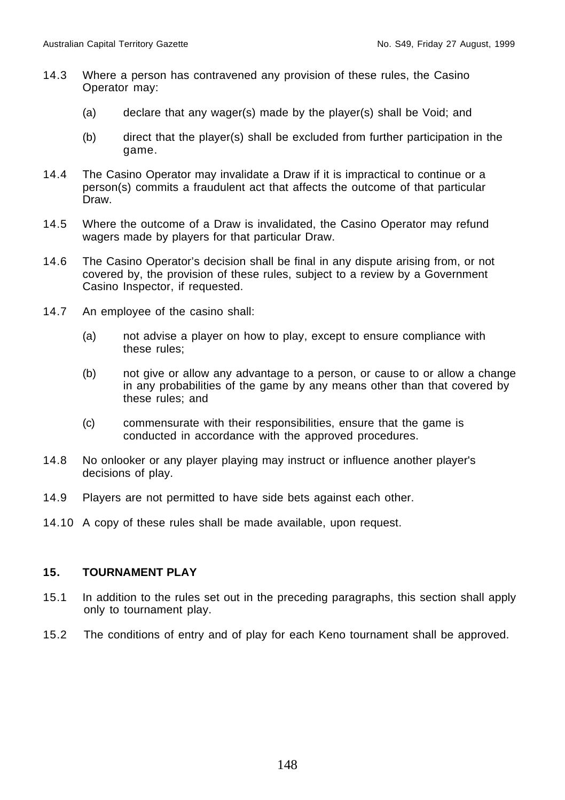- 14.3 Where a person has contravened any provision of these rules, the Casino Operator may:
	- (a) declare that any wager(s) made by the player(s) shall be Void; and
	- (b) direct that the player(s) shall be excluded from further participation in the game.
- 14.4 The Casino Operator may invalidate a Draw if it is impractical to continue or a person(s) commits a fraudulent act that affects the outcome of that particular Draw.
- 14.5 Where the outcome of a Draw is invalidated, the Casino Operator may refund wagers made by players for that particular Draw.
- 14.6 The Casino Operator's decision shall be final in any dispute arising from, or not covered by, the provision of these rules, subject to a review by a Government Casino Inspector, if requested.
- 14.7 An employee of the casino shall:
	- (a) not advise a player on how to play, except to ensure compliance with these rules;
	- (b) not give or allow any advantage to a person, or cause to or allow a change in any probabilities of the game by any means other than that covered by these rules; and
	- (c) commensurate with their responsibilities, ensure that the game is conducted in accordance with the approved procedures.
- 14.8 No onlooker or any player playing may instruct or influence another player's decisions of play.
- 14.9 Players are not permitted to have side bets against each other.
- 14.10 A copy of these rules shall be made available, upon request.

### **15. TOURNAMENT PLAY**

- 15.1 In addition to the rules set out in the preceding paragraphs, this section shall apply only to tournament play.
- 15.2 The conditions of entry and of play for each Keno tournament shall be approved.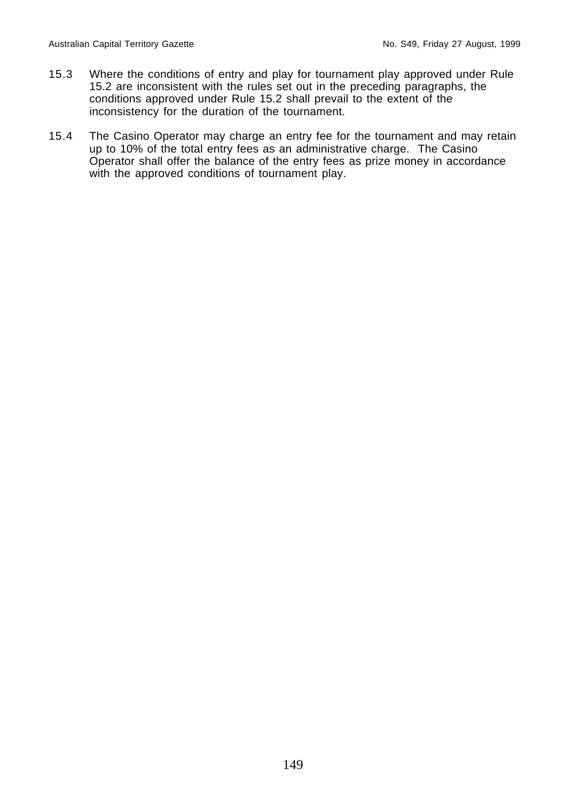- 15.3 Where the conditions of entry and play for tournament play approved under Rule 15.2 are inconsistent with the rules set out in the preceding paragraphs, the conditions approved under Rule 15.2 shall prevail to the extent of the inconsistency for the duration of the tournament.
- 15.4 The Casino Operator may charge an entry fee for the tournament and may retain up to 10% of the total entry fees as an administrative charge. The Casino Operator shall offer the balance of the entry fees as prize money in accordance with the approved conditions of tournament play.